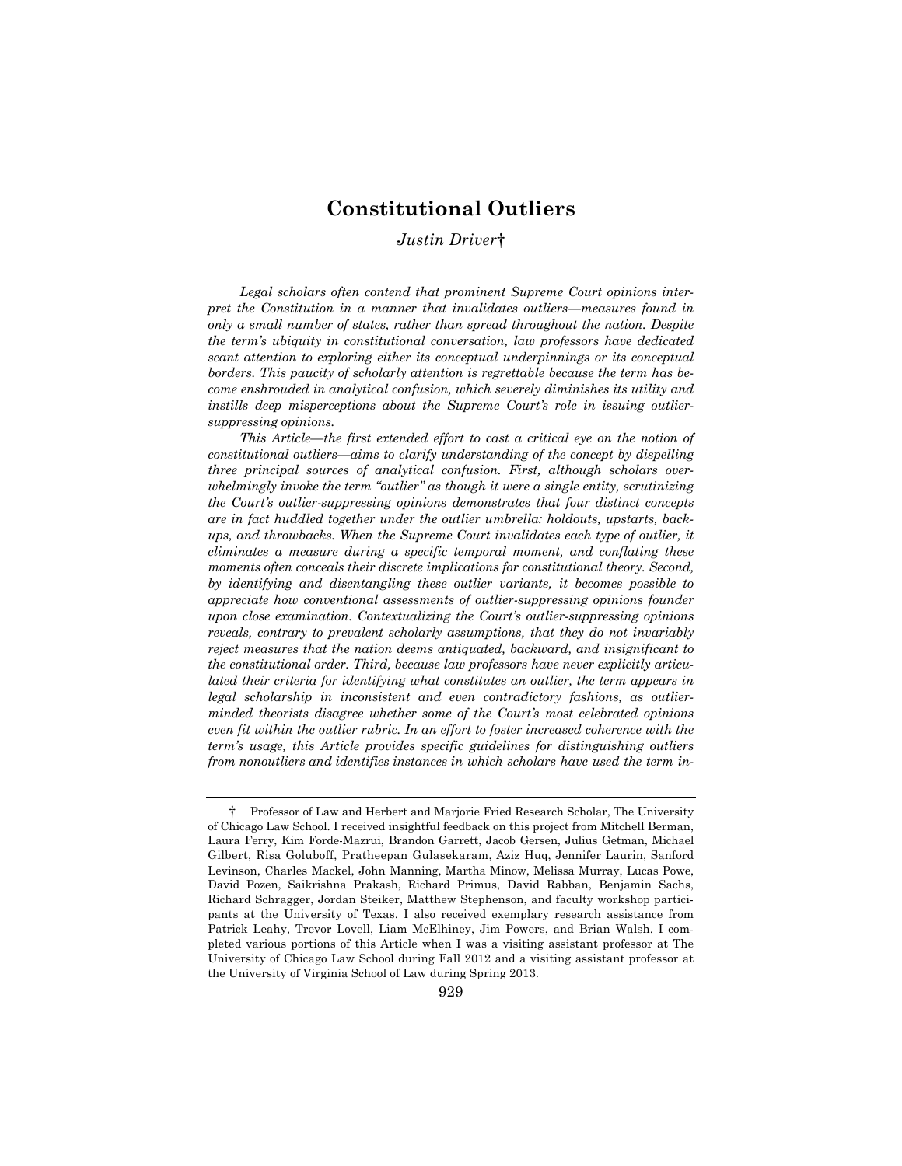# **Constitutional Outliers**

# *Justin Driver*†

*Legal scholars often contend that prominent Supreme Court opinions interpret the Constitution in a manner that invalidates outliers—measures found in only a small number of states, rather than spread throughout the nation. Despite the term's ubiquity in constitutional conversation, law professors have dedicated scant attention to exploring either its conceptual underpinnings or its conceptual borders. This paucity of scholarly attention is regrettable because the term has become enshrouded in analytical confusion, which severely diminishes its utility and instills deep misperceptions about the Supreme Court's role in issuing outliersuppressing opinions.*

*This Article—the first extended effort to cast a critical eye on the notion of constitutional outliers—aims to clarify understanding of the concept by dispelling three principal sources of analytical confusion. First, although scholars overwhelmingly invoke the term "outlier" as though it were a single entity, scrutinizing the Court's outlier-suppressing opinions demonstrates that four distinct concepts are in fact huddled together under the outlier umbrella: holdouts, upstarts, backups, and throwbacks. When the Supreme Court invalidates each type of outlier, it eliminates a measure during a specific temporal moment, and conflating these moments often conceals their discrete implications for constitutional theory. Second, by identifying and disentangling these outlier variants, it becomes possible to appreciate how conventional assessments of outlier-suppressing opinions founder upon close examination. Contextualizing the Court's outlier-suppressing opinions reveals, contrary to prevalent scholarly assumptions, that they do not invariably reject measures that the nation deems antiquated, backward, and insignificant to the constitutional order. Third, because law professors have never explicitly articulated their criteria for identifying what constitutes an outlier, the term appears in legal scholarship in inconsistent and even contradictory fashions, as outlierminded theorists disagree whether some of the Court's most celebrated opinions even fit within the outlier rubric. In an effort to foster increased coherence with the term's usage, this Article provides specific guidelines for distinguishing outliers from nonoutliers and identifies instances in which scholars have used the term in-*

<sup>†</sup> Professor of Law and Herbert and Marjorie Fried Research Scholar, The University of Chicago Law School. I received insightful feedback on this project from Mitchell Berman, Laura Ferry, Kim Forde-Mazrui, Brandon Garrett, Jacob Gersen, Julius Getman, Michael Gilbert, Risa Goluboff, Pratheepan Gulasekaram, Aziz Huq, Jennifer Laurin, Sanford Levinson, Charles Mackel, John Manning, Martha Minow, Melissa Murray, Lucas Powe, David Pozen, Saikrishna Prakash, Richard Primus, David Rabban, Benjamin Sachs, Richard Schragger, Jordan Steiker, Matthew Stephenson, and faculty workshop participants at the University of Texas. I also received exemplary research assistance from Patrick Leahy, Trevor Lovell, Liam McElhiney, Jim Powers, and Brian Walsh. I completed various portions of this Article when I was a visiting assistant professor at The University of Chicago Law School during Fall 2012 and a visiting assistant professor at the University of Virginia School of Law during Spring 2013.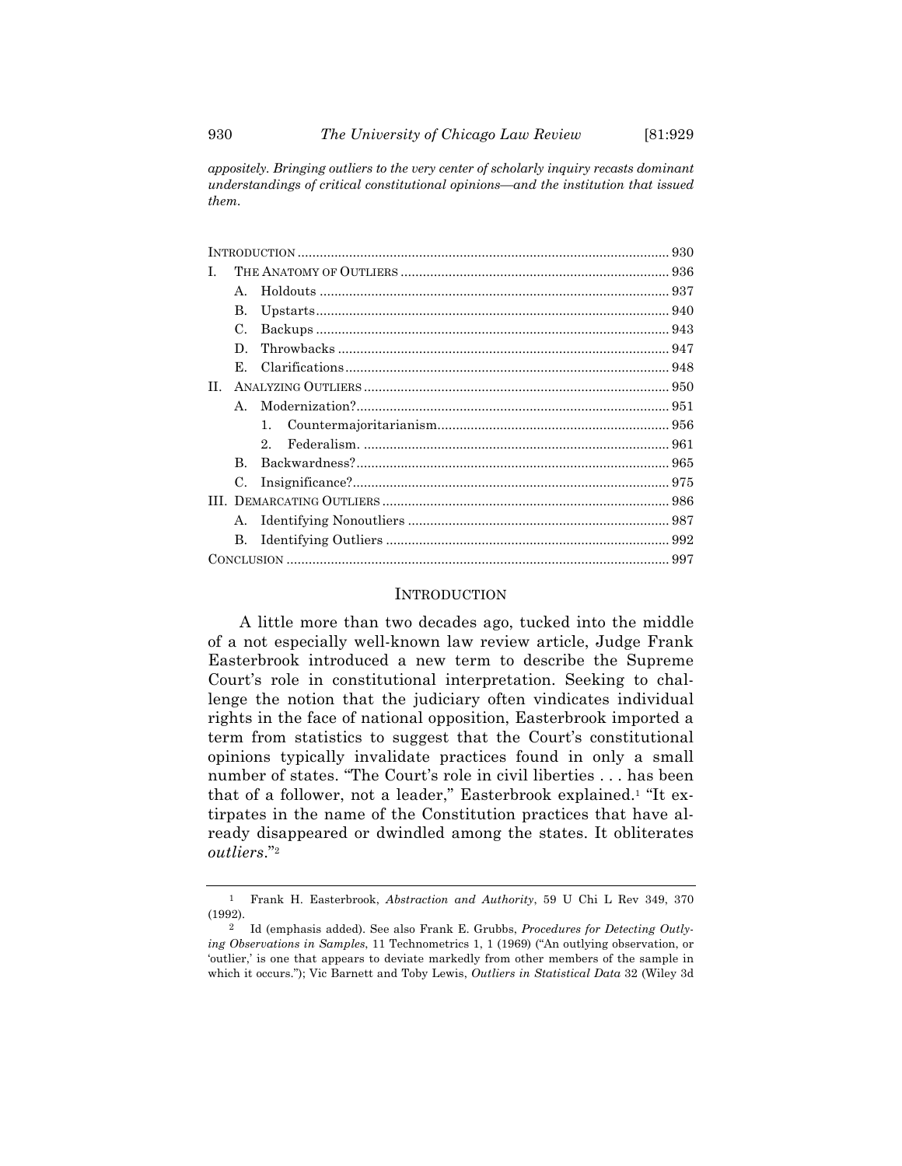*appositely. Bringing outliers to the very center of scholarly inquiry recasts dominant understandings of critical constitutional opinions—and the institution that issued them.*

| $\mathbf{A}$ . |             |  |
|----------------|-------------|--|
| B.             |             |  |
| $\mathcal{C}$  |             |  |
| D.             |             |  |
| Е.             |             |  |
|                |             |  |
| $\mathbf{A}$   |             |  |
|                | $1_{-}$     |  |
|                | $2^{\circ}$ |  |
| B.             |             |  |
| C.             |             |  |
|                |             |  |
| $\mathbf{A}$ . |             |  |
| В.             |             |  |
|                |             |  |
|                |             |  |

# INTRODUCTION

A little more than two decades ago, tucked into the middle of a not especially well-known law review article, Judge Frank Easterbrook introduced a new term to describe the Supreme Court's role in constitutional interpretation. Seeking to challenge the notion that the judiciary often vindicates individual rights in the face of national opposition, Easterbrook imported a term from statistics to suggest that the Court's constitutional opinions typically invalidate practices found in only a small number of states. "The Court's role in civil liberties . . . has been that of a follower, not a leader," Easterbrook explained.1 "It extirpates in the name of the Constitution practices that have already disappeared or dwindled among the states. It obliterates *outliers*."2

<sup>1</sup> Frank H. Easterbrook, *Abstraction and Authority*, 59 U Chi L Rev 349, 370 (1992).

<sup>2</sup> Id (emphasis added). See also Frank E. Grubbs, *Procedures for Detecting Outlying Observations in Samples*, 11 Technometrics 1, 1 (1969) ("An outlying observation, or 'outlier,' is one that appears to deviate markedly from other members of the sample in which it occurs."); Vic Barnett and Toby Lewis, *Outliers in Statistical Data* 32 (Wiley 3d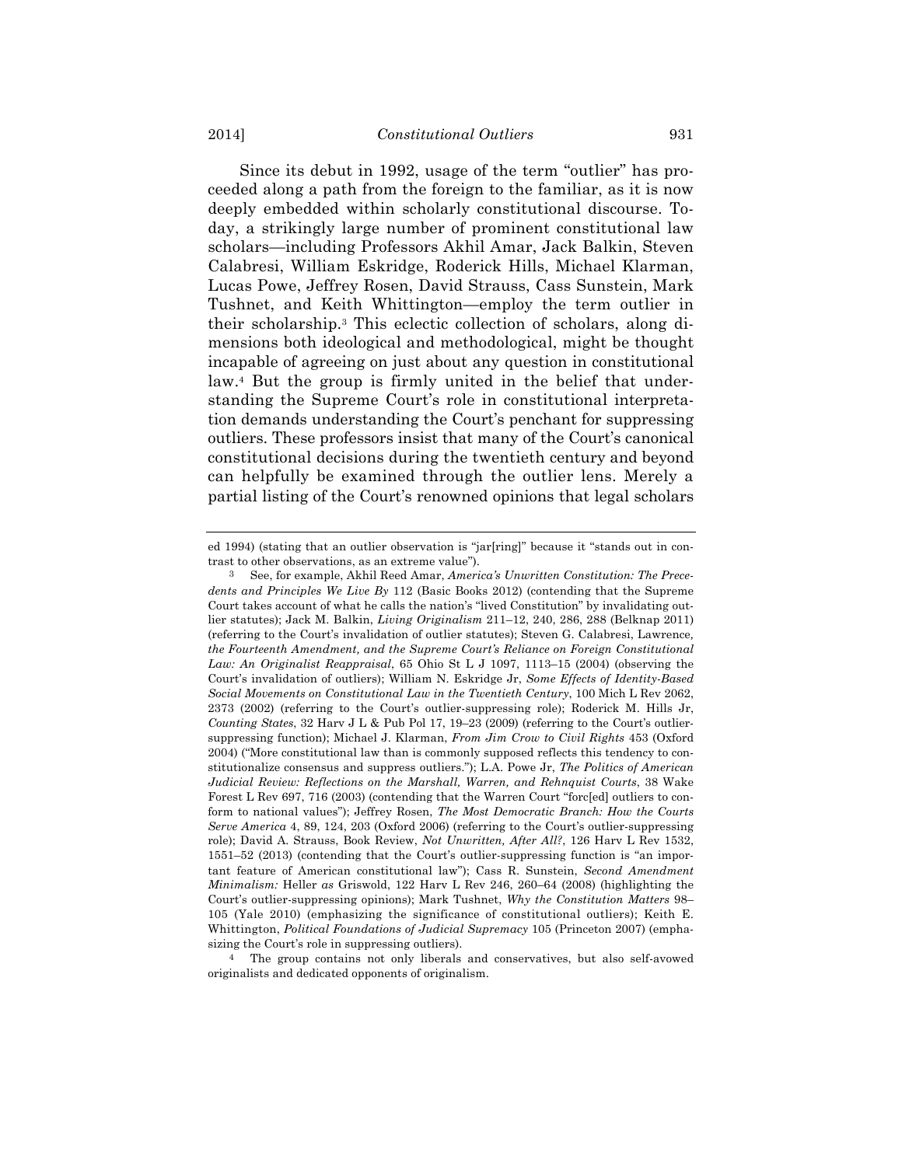Since its debut in 1992, usage of the term "outlier" has proceeded along a path from the foreign to the familiar, as it is now deeply embedded within scholarly constitutional discourse. Today, a strikingly large number of prominent constitutional law scholars—including Professors Akhil Amar, Jack Balkin, Steven Calabresi, William Eskridge, Roderick Hills, Michael Klarman, Lucas Powe, Jeffrey Rosen, David Strauss, Cass Sunstein, Mark Tushnet, and Keith Whittington—employ the term outlier in their scholarship.3 This eclectic collection of scholars, along dimensions both ideological and methodological, might be thought incapable of agreeing on just about any question in constitutional law.4 But the group is firmly united in the belief that understanding the Supreme Court's role in constitutional interpretation demands understanding the Court's penchant for suppressing outliers. These professors insist that many of the Court's canonical constitutional decisions during the twentieth century and beyond can helpfully be examined through the outlier lens. Merely a partial listing of the Court's renowned opinions that legal scholars

4 The group contains not only liberals and conservatives, but also self-avowed originalists and dedicated opponents of originalism.

ed 1994) (stating that an outlier observation is "jar[ring]" because it "stands out in contrast to other observations, as an extreme value").

<sup>3</sup> See, for example, Akhil Reed Amar, *America's Unwritten Constitution: The Precedents and Principles We Live By* 112 (Basic Books 2012) (contending that the Supreme Court takes account of what he calls the nation's "lived Constitution" by invalidating outlier statutes); Jack M. Balkin, *Living Originalism* 211–12, 240, 286, 288 (Belknap 2011) (referring to the Court's invalidation of outlier statutes); Steven G. Calabresi, Lawrence*, the Fourteenth Amendment, and the Supreme Court's Reliance on Foreign Constitutional Law: An Originalist Reappraisal*, 65 Ohio St L J 1097, 1113–15 (2004) (observing the Court's invalidation of outliers); William N. Eskridge Jr, *Some Effects of Identity-Based Social Movements on Constitutional Law in the Twentieth Century*, 100 Mich L Rev 2062, 2373 (2002) (referring to the Court's outlier-suppressing role); Roderick M. Hills Jr, *Counting States*, 32 Harv J L & Pub Pol 17, 19–23 (2009) (referring to the Court's outliersuppressing function); Michael J. Klarman, *From Jim Crow to Civil Rights* 453 (Oxford 2004) ("More constitutional law than is commonly supposed reflects this tendency to constitutionalize consensus and suppress outliers."); L.A. Powe Jr, *The Politics of American Judicial Review: Reflections on the Marshall, Warren, and Rehnquist Courts*, 38 Wake Forest L Rev 697, 716 (2003) (contending that the Warren Court "forc[ed] outliers to conform to national values"); Jeffrey Rosen, *The Most Democratic Branch: How the Courts Serve America* 4, 89, 124, 203 (Oxford 2006) (referring to the Court's outlier-suppressing role); David A. Strauss, Book Review, *Not Unwritten, After All?*, 126 Harv L Rev 1532, 1551–52 (2013) (contending that the Court's outlier-suppressing function is "an important feature of American constitutional law"); Cass R. Sunstein, *Second Amendment Minimalism:* Heller *as* Griswold, 122 Harv L Rev 246, 260–64 (2008) (highlighting the Court's outlier-suppressing opinions); Mark Tushnet, *Why the Constitution Matters* 98– 105 (Yale 2010) (emphasizing the significance of constitutional outliers); Keith E. Whittington, *Political Foundations of Judicial Supremacy* 105 (Princeton 2007) (emphasizing the Court's role in suppressing outliers).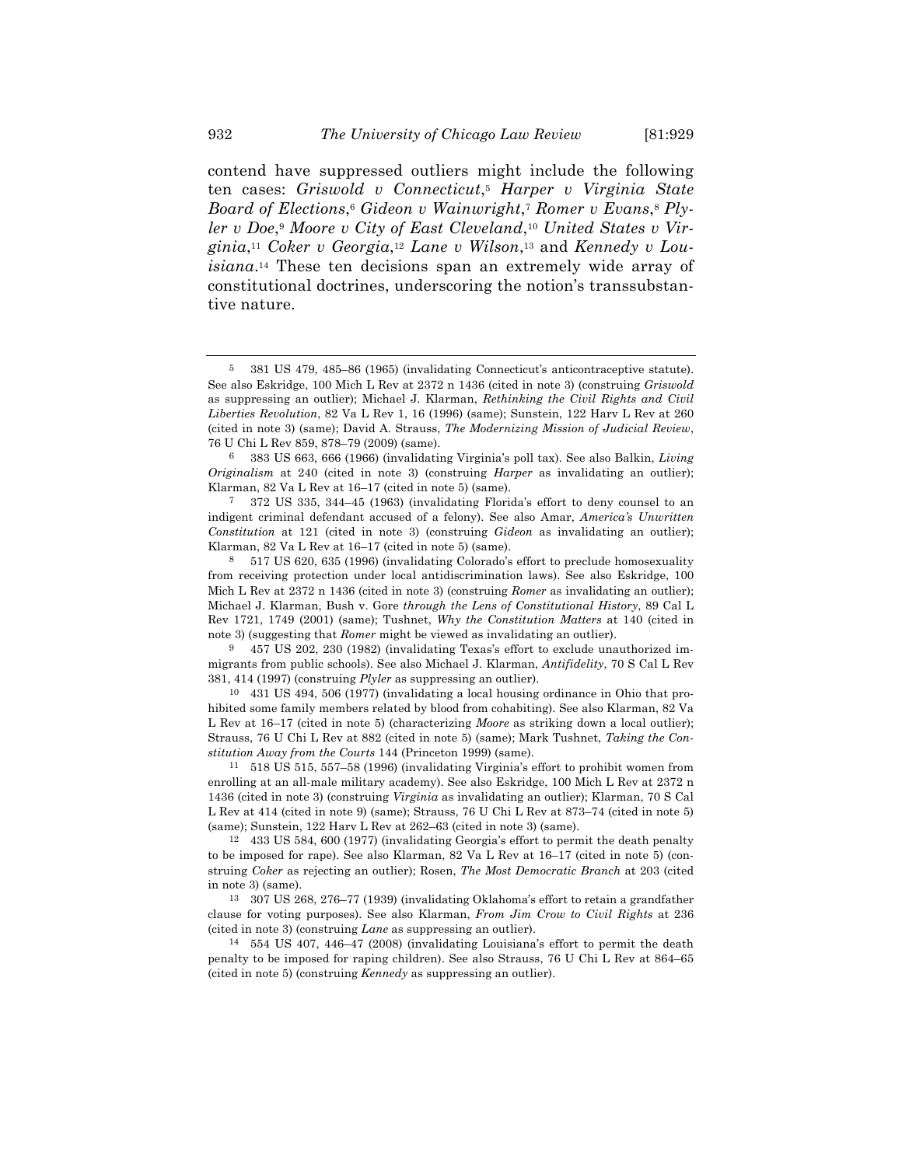contend have suppressed outliers might include the following ten cases: *Griswold v Connecticut*,5 *Harper v Virginia State Board of Elections*,6 *Gideon v Wainwright*,7 *Romer v Evans*,8 *Plyler v Doe*,9 *Moore v City of East Cleveland*,10 *United States v Virginia*,11 *Coker v Georgia*,12 *Lane v Wilson*,13 and *Kennedy v Louisiana*.14 These ten decisions span an extremely wide array of constitutional doctrines, underscoring the notion's transsubstantive nature.

6 383 US 663, 666 (1966) (invalidating Virginia's poll tax). See also Balkin, *Living Originalism* at 240 (cited in note 3) (construing *Harper* as invalidating an outlier); Klarman, 82 Va L Rev at 16–17 (cited in note 5) (same).

7 372 US 335, 344–45 (1963) (invalidating Florida's effort to deny counsel to an indigent criminal defendant accused of a felony). See also Amar, *America's Unwritten Constitution* at 121 (cited in note 3) (construing *Gideon* as invalidating an outlier); Klarman, 82 Va L Rev at 16–17 (cited in note 5) (same).

8 517 US 620, 635 (1996) (invalidating Colorado's effort to preclude homosexuality from receiving protection under local antidiscrimination laws). See also Eskridge, 100 Mich L Rev at 2372 n 1436 (cited in note 3) (construing *Romer* as invalidating an outlier); Michael J. Klarman, Bush v. Gore *through the Lens of Constitutional History*, 89 Cal L Rev 1721, 1749 (2001) (same); Tushnet, *Why the Constitution Matters* at 140 (cited in note 3) (suggesting that *Romer* might be viewed as invalidating an outlier).

9 457 US 202, 230 (1982) (invalidating Texas's effort to exclude unauthorized immigrants from public schools). See also Michael J. Klarman, *Antifidelity*, 70 S Cal L Rev 381, 414 (1997) (construing *Plyler* as suppressing an outlier).

10 431 US 494, 506 (1977) (invalidating a local housing ordinance in Ohio that prohibited some family members related by blood from cohabiting). See also Klarman, 82 Va L Rev at 16–17 (cited in note 5) (characterizing *Moore* as striking down a local outlier); Strauss, 76 U Chi L Rev at 882 (cited in note 5) (same); Mark Tushnet, *Taking the Constitution Away from the Courts* 144 (Princeton 1999) (same).

11 518 US 515, 557–58 (1996) (invalidating Virginia's effort to prohibit women from enrolling at an all-male military academy). See also Eskridge, 100 Mich L Rev at 2372 n 1436 (cited in note 3) (construing *Virginia* as invalidating an outlier); Klarman, 70 S Cal L Rev at 414 (cited in note 9) (same); Strauss, 76 U Chi L Rev at 873–74 (cited in note 5) (same); Sunstein, 122 Harv L Rev at 262–63 (cited in note 3) (same).

12 433 US 584, 600 (1977) (invalidating Georgia's effort to permit the death penalty to be imposed for rape). See also Klarman, 82 Va L Rev at 16–17 (cited in note 5) (construing *Coker* as rejecting an outlier); Rosen, *The Most Democratic Branch* at 203 (cited in note 3) (same).

13 307 US 268, 276–77 (1939) (invalidating Oklahoma's effort to retain a grandfather clause for voting purposes). See also Klarman, *From Jim Crow to Civil Rights* at 236 (cited in note 3) (construing *Lane* as suppressing an outlier).

14 554 US 407, 446–47 (2008) (invalidating Louisiana's effort to permit the death penalty to be imposed for raping children). See also Strauss, 76 U Chi L Rev at 864–65 (cited in note 5) (construing *Kennedy* as suppressing an outlier).

<sup>5</sup> 381 US 479, 485–86 (1965) (invalidating Connecticut's anticontraceptive statute). See also Eskridge, 100 Mich L Rev at 2372 n 1436 (cited in note 3) (construing *Griswold* as suppressing an outlier); Michael J. Klarman, *Rethinking the Civil Rights and Civil Liberties Revolution*, 82 Va L Rev 1, 16 (1996) (same); Sunstein, 122 Harv L Rev at 260 (cited in note 3) (same); David A. Strauss, *The Modernizing Mission of Judicial Review*, 76 U Chi L Rev 859, 878–79 (2009) (same).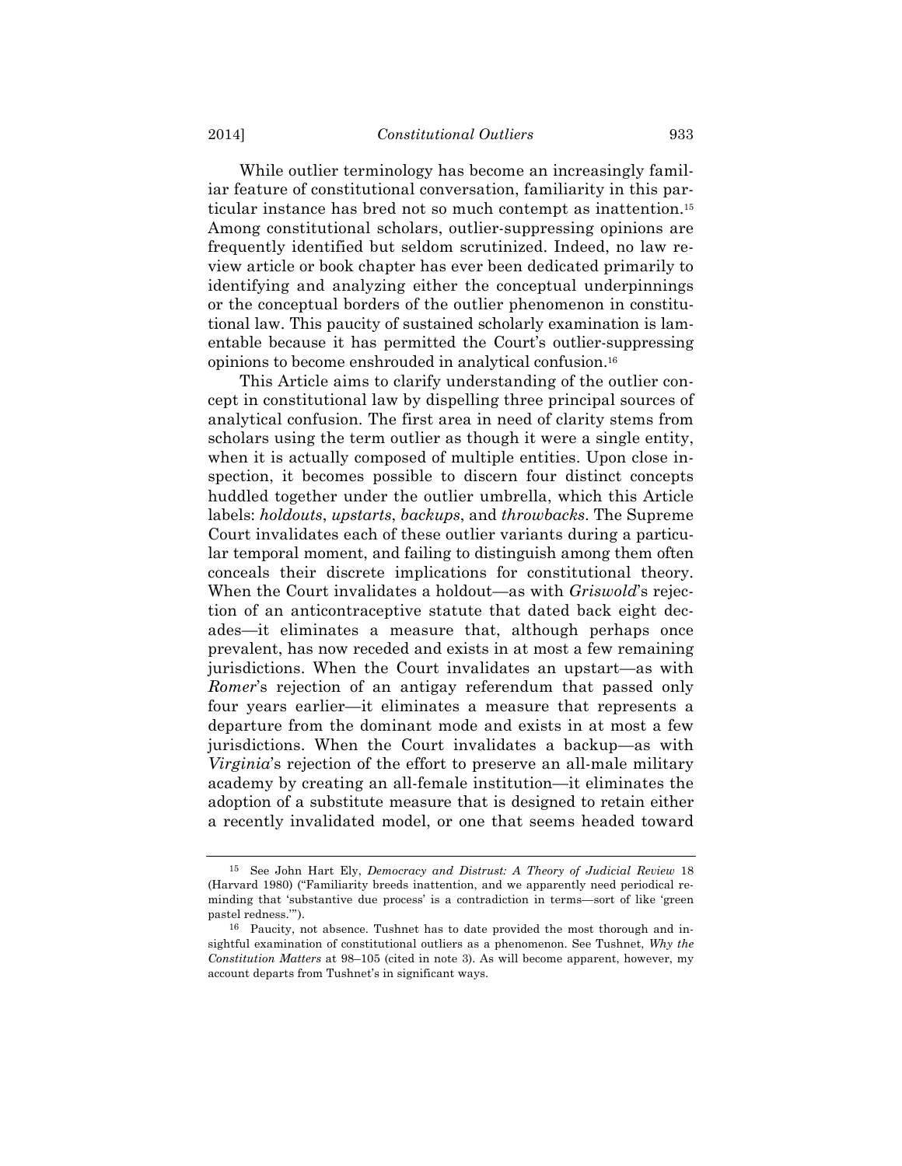While outlier terminology has become an increasingly familiar feature of constitutional conversation, familiarity in this particular instance has bred not so much contempt as inattention.15 Among constitutional scholars, outlier-suppressing opinions are frequently identified but seldom scrutinized. Indeed, no law review article or book chapter has ever been dedicated primarily to identifying and analyzing either the conceptual underpinnings or the conceptual borders of the outlier phenomenon in constitutional law. This paucity of sustained scholarly examination is lamentable because it has permitted the Court's outlier-suppressing opinions to become enshrouded in analytical confusion.16

This Article aims to clarify understanding of the outlier concept in constitutional law by dispelling three principal sources of analytical confusion. The first area in need of clarity stems from scholars using the term outlier as though it were a single entity, when it is actually composed of multiple entities. Upon close inspection, it becomes possible to discern four distinct concepts huddled together under the outlier umbrella, which this Article labels: *holdouts*, *upstarts*, *backups*, and *throwbacks*. The Supreme Court invalidates each of these outlier variants during a particular temporal moment, and failing to distinguish among them often conceals their discrete implications for constitutional theory. When the Court invalidates a holdout—as with *Griswold*'s rejection of an anticontraceptive statute that dated back eight decades—it eliminates a measure that, although perhaps once prevalent, has now receded and exists in at most a few remaining jurisdictions. When the Court invalidates an upstart—as with *Romer*'s rejection of an antigay referendum that passed only four years earlier—it eliminates a measure that represents a departure from the dominant mode and exists in at most a few jurisdictions. When the Court invalidates a backup—as with *Virginia*'s rejection of the effort to preserve an all-male military academy by creating an all-female institution—it eliminates the adoption of a substitute measure that is designed to retain either a recently invalidated model, or one that seems headed toward

<sup>15</sup> See John Hart Ely, *Democracy and Distrust: A Theory of Judicial Review* 18 (Harvard 1980) ("Familiarity breeds inattention, and we apparently need periodical reminding that 'substantive due process' is a contradiction in terms—sort of like 'green pastel redness.'").

<sup>16</sup> Paucity, not absence. Tushnet has to date provided the most thorough and insightful examination of constitutional outliers as a phenomenon. See Tushnet, *Why the Constitution Matters* at 98–105 (cited in note 3). As will become apparent, however, my account departs from Tushnet's in significant ways.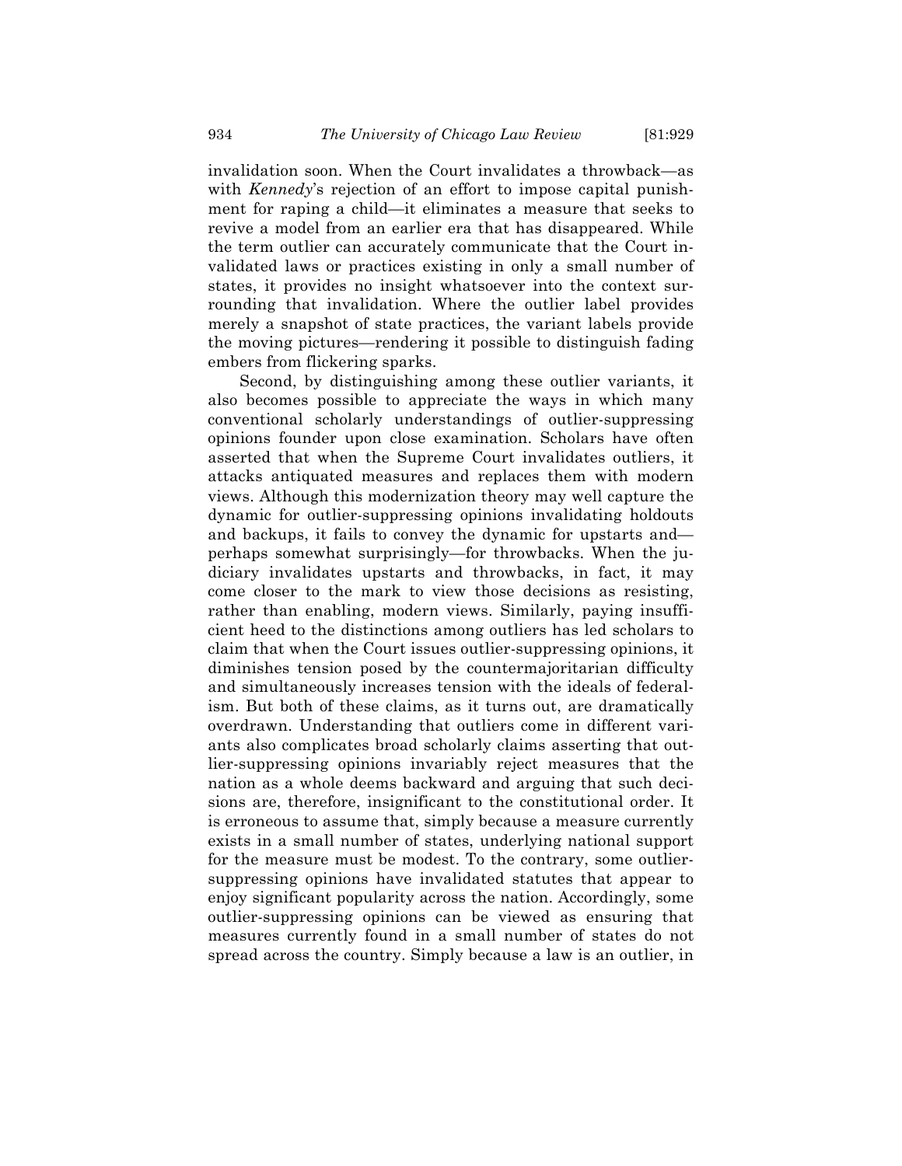invalidation soon. When the Court invalidates a throwback—as with *Kennedy*'s rejection of an effort to impose capital punishment for raping a child—it eliminates a measure that seeks to revive a model from an earlier era that has disappeared. While the term outlier can accurately communicate that the Court invalidated laws or practices existing in only a small number of states, it provides no insight whatsoever into the context surrounding that invalidation. Where the outlier label provides merely a snapshot of state practices, the variant labels provide the moving pictures—rendering it possible to distinguish fading embers from flickering sparks.

Second, by distinguishing among these outlier variants, it also becomes possible to appreciate the ways in which many conventional scholarly understandings of outlier-suppressing opinions founder upon close examination. Scholars have often asserted that when the Supreme Court invalidates outliers, it attacks antiquated measures and replaces them with modern views. Although this modernization theory may well capture the dynamic for outlier-suppressing opinions invalidating holdouts and backups, it fails to convey the dynamic for upstarts and perhaps somewhat surprisingly—for throwbacks. When the judiciary invalidates upstarts and throwbacks, in fact, it may come closer to the mark to view those decisions as resisting, rather than enabling, modern views. Similarly, paying insufficient heed to the distinctions among outliers has led scholars to claim that when the Court issues outlier-suppressing opinions, it diminishes tension posed by the countermajoritarian difficulty and simultaneously increases tension with the ideals of federalism. But both of these claims, as it turns out, are dramatically overdrawn. Understanding that outliers come in different variants also complicates broad scholarly claims asserting that outlier-suppressing opinions invariably reject measures that the nation as a whole deems backward and arguing that such decisions are, therefore, insignificant to the constitutional order. It is erroneous to assume that, simply because a measure currently exists in a small number of states, underlying national support for the measure must be modest. To the contrary, some outliersuppressing opinions have invalidated statutes that appear to enjoy significant popularity across the nation. Accordingly, some outlier-suppressing opinions can be viewed as ensuring that measures currently found in a small number of states do not spread across the country. Simply because a law is an outlier, in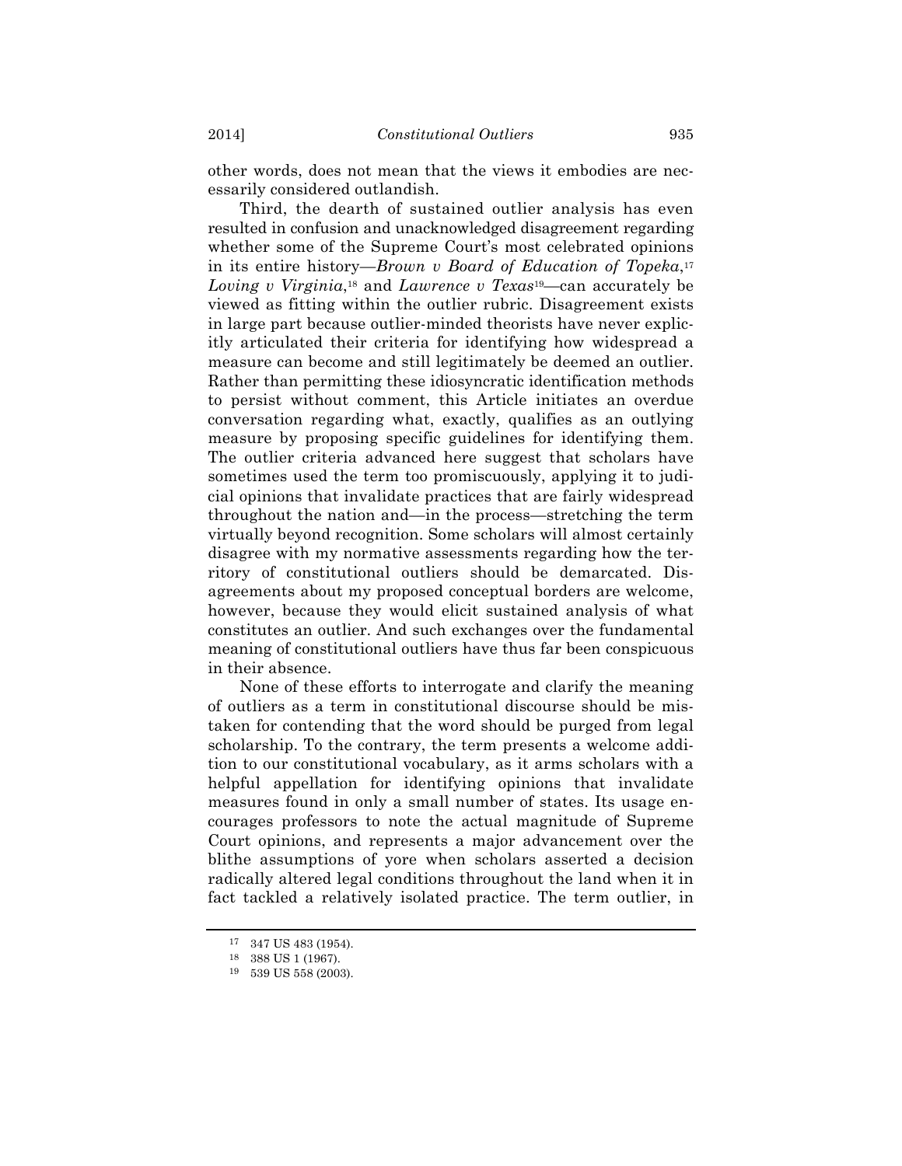other words, does not mean that the views it embodies are necessarily considered outlandish.

Third, the dearth of sustained outlier analysis has even resulted in confusion and unacknowledged disagreement regarding whether some of the Supreme Court's most celebrated opinions in its entire history—*Brown v Board of Education of Topeka*,17 *Loving v Virginia*,18 and *Lawrence v Texas*19—can accurately be viewed as fitting within the outlier rubric. Disagreement exists in large part because outlier-minded theorists have never explicitly articulated their criteria for identifying how widespread a measure can become and still legitimately be deemed an outlier. Rather than permitting these idiosyncratic identification methods to persist without comment, this Article initiates an overdue conversation regarding what, exactly, qualifies as an outlying measure by proposing specific guidelines for identifying them. The outlier criteria advanced here suggest that scholars have sometimes used the term too promiscuously, applying it to judicial opinions that invalidate practices that are fairly widespread throughout the nation and—in the process—stretching the term virtually beyond recognition. Some scholars will almost certainly disagree with my normative assessments regarding how the territory of constitutional outliers should be demarcated. Disagreements about my proposed conceptual borders are welcome, however, because they would elicit sustained analysis of what constitutes an outlier. And such exchanges over the fundamental meaning of constitutional outliers have thus far been conspicuous in their absence.

None of these efforts to interrogate and clarify the meaning of outliers as a term in constitutional discourse should be mistaken for contending that the word should be purged from legal scholarship. To the contrary, the term presents a welcome addition to our constitutional vocabulary, as it arms scholars with a helpful appellation for identifying opinions that invalidate measures found in only a small number of states. Its usage encourages professors to note the actual magnitude of Supreme Court opinions, and represents a major advancement over the blithe assumptions of yore when scholars asserted a decision radically altered legal conditions throughout the land when it in fact tackled a relatively isolated practice. The term outlier, in

<sup>17</sup> 347 US 483 (1954).

<sup>18</sup> 388 US 1 (1967).

<sup>19</sup> 539 US 558 (2003).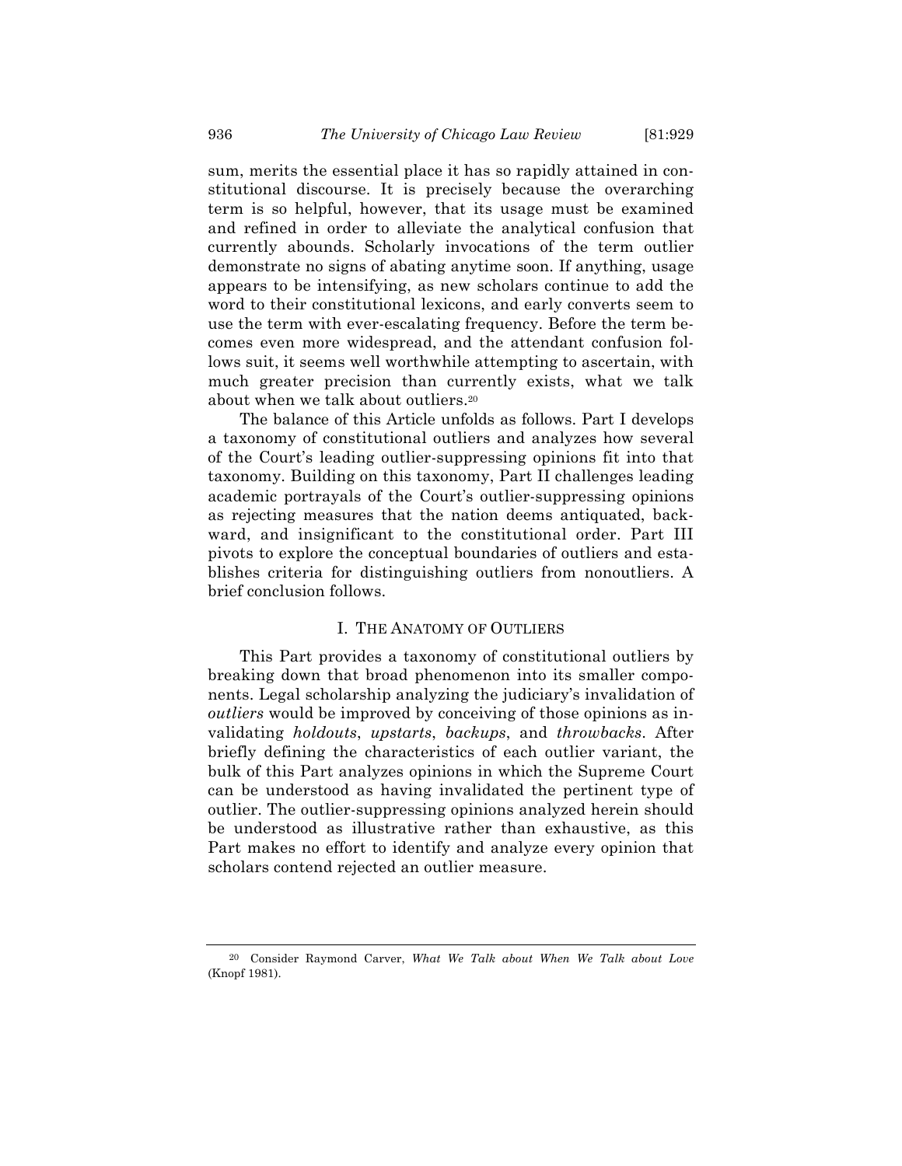sum, merits the essential place it has so rapidly attained in constitutional discourse. It is precisely because the overarching term is so helpful, however, that its usage must be examined and refined in order to alleviate the analytical confusion that currently abounds. Scholarly invocations of the term outlier demonstrate no signs of abating anytime soon. If anything, usage appears to be intensifying, as new scholars continue to add the word to their constitutional lexicons, and early converts seem to use the term with ever-escalating frequency. Before the term becomes even more widespread, and the attendant confusion follows suit, it seems well worthwhile attempting to ascertain, with much greater precision than currently exists, what we talk about when we talk about outliers.20

The balance of this Article unfolds as follows. Part I develops a taxonomy of constitutional outliers and analyzes how several of the Court's leading outlier-suppressing opinions fit into that taxonomy. Building on this taxonomy, Part II challenges leading academic portrayals of the Court's outlier-suppressing opinions as rejecting measures that the nation deems antiquated, backward, and insignificant to the constitutional order. Part III pivots to explore the conceptual boundaries of outliers and establishes criteria for distinguishing outliers from nonoutliers. A brief conclusion follows.

# I. THE ANATOMY OF OUTLIERS

This Part provides a taxonomy of constitutional outliers by breaking down that broad phenomenon into its smaller components. Legal scholarship analyzing the judiciary's invalidation of *outliers* would be improved by conceiving of those opinions as invalidating *holdouts*, *upstarts*, *backups*, and *throwbacks*. After briefly defining the characteristics of each outlier variant, the bulk of this Part analyzes opinions in which the Supreme Court can be understood as having invalidated the pertinent type of outlier. The outlier-suppressing opinions analyzed herein should be understood as illustrative rather than exhaustive, as this Part makes no effort to identify and analyze every opinion that scholars contend rejected an outlier measure.

<sup>20</sup> Consider Raymond Carver, *What We Talk about When We Talk about Love* (Knopf 1981).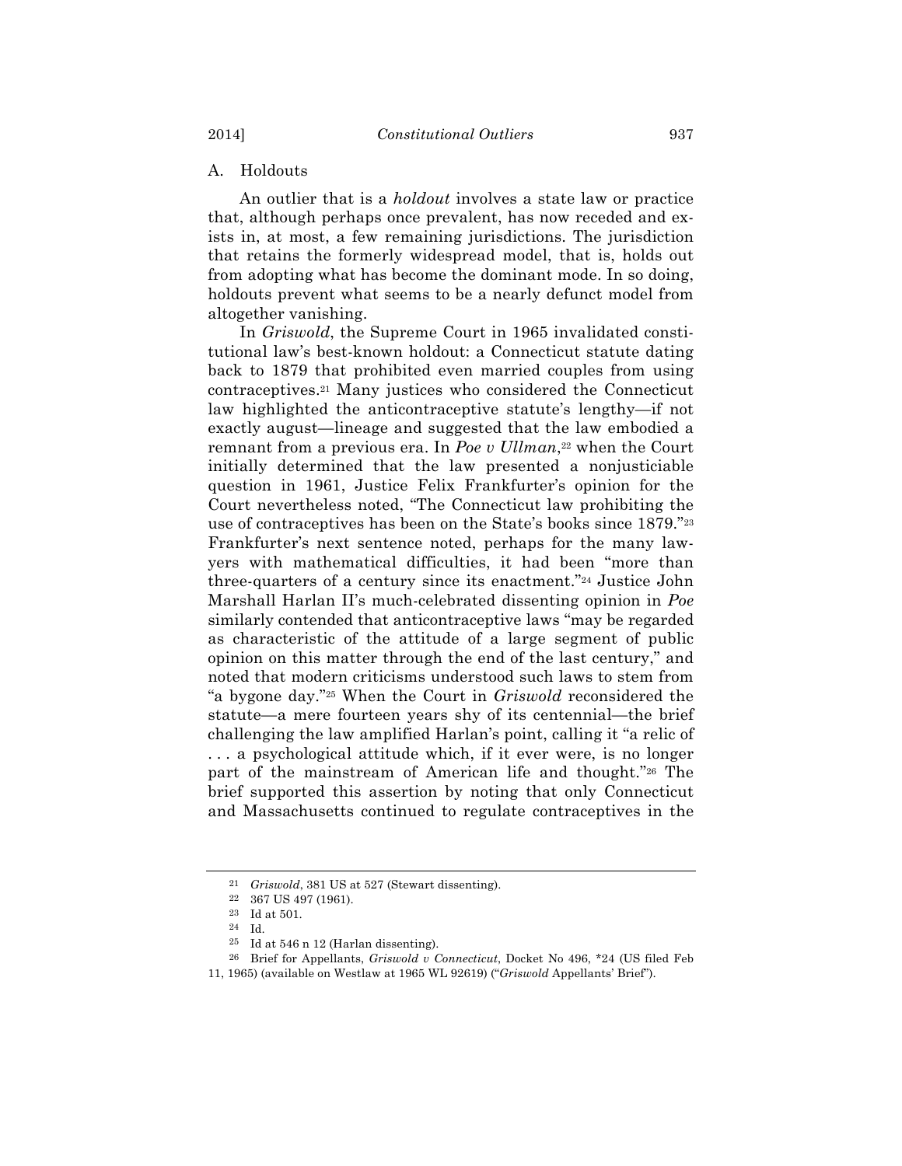# A. Holdouts

An outlier that is a *holdout* involves a state law or practice that, although perhaps once prevalent, has now receded and exists in, at most, a few remaining jurisdictions. The jurisdiction that retains the formerly widespread model, that is, holds out from adopting what has become the dominant mode. In so doing, holdouts prevent what seems to be a nearly defunct model from altogether vanishing.

In *Griswold*, the Supreme Court in 1965 invalidated constitutional law's best-known holdout: a Connecticut statute dating back to 1879 that prohibited even married couples from using contraceptives.21 Many justices who considered the Connecticut law highlighted the anticontraceptive statute's lengthy—if not exactly august—lineage and suggested that the law embodied a remnant from a previous era. In *Poe v Ullman*<sup>22</sup> when the Court initially determined that the law presented a nonjusticiable question in 1961, Justice Felix Frankfurter's opinion for the Court nevertheless noted, "The Connecticut law prohibiting the use of contraceptives has been on the State's books since 1879."23 Frankfurter's next sentence noted, perhaps for the many lawyers with mathematical difficulties, it had been "more than three-quarters of a century since its enactment."24 Justice John Marshall Harlan II's much-celebrated dissenting opinion in *Poe* similarly contended that anticontraceptive laws "may be regarded as characteristic of the attitude of a large segment of public opinion on this matter through the end of the last century," and noted that modern criticisms understood such laws to stem from "a bygone day."25 When the Court in *Griswold* reconsidered the statute—a mere fourteen years shy of its centennial—the brief challenging the law amplified Harlan's point, calling it "a relic of . . . a psychological attitude which, if it ever were, is no longer part of the mainstream of American life and thought."26 The brief supported this assertion by noting that only Connecticut and Massachusetts continued to regulate contraceptives in the

<sup>21</sup> *Griswold*, 381 US at 527 (Stewart dissenting).

 $^{22}$   $\,$  367 US 497 (1961).

<sup>23</sup> Id at 501.

<sup>24</sup> Id.

 $25$  Id at 546 n 12 (Harlan dissenting).

<sup>26</sup> Brief for Appellants, *Griswold v Connecticut*, Docket No 496, \*24 (US filed Feb

<sup>11, 1965) (</sup>available on Westlaw at 1965 WL 92619) ("*Griswold* Appellants' Brief").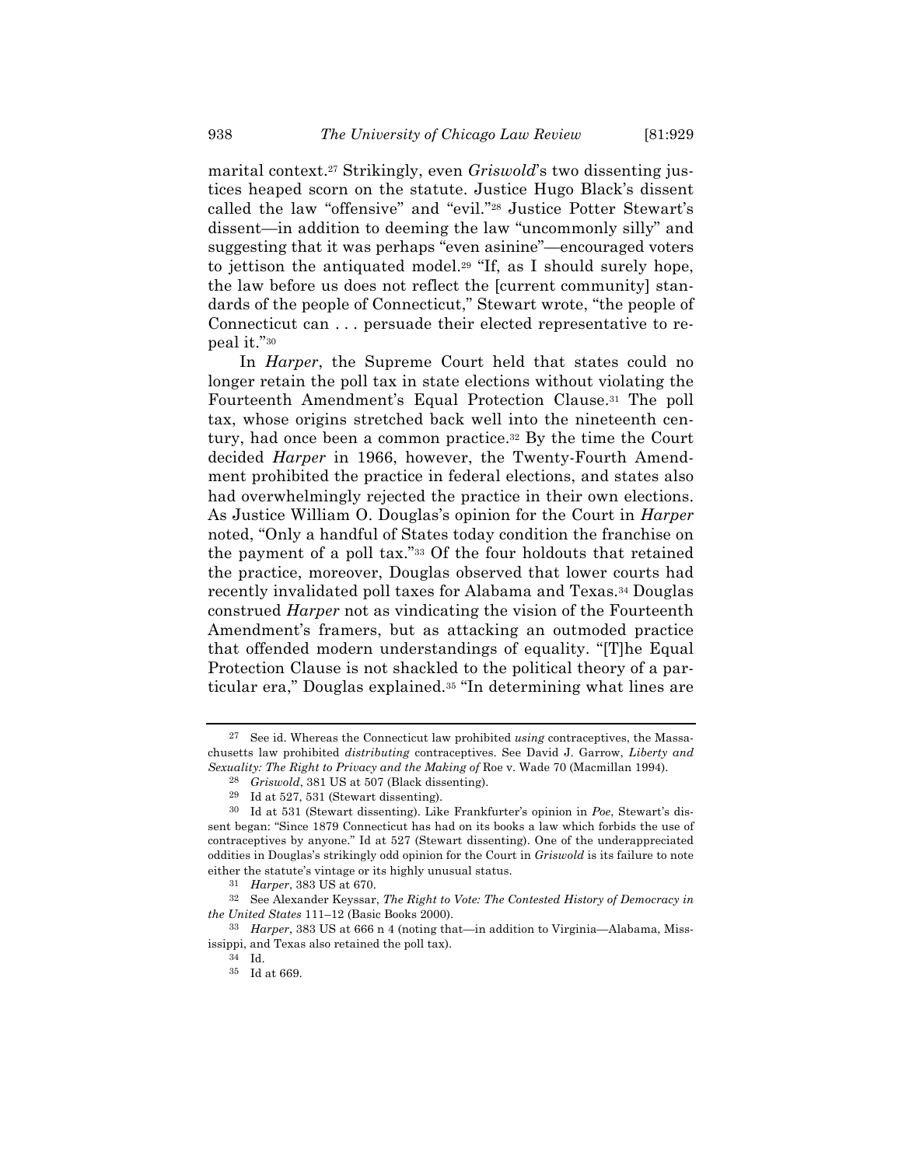marital context.27 Strikingly, even *Griswold*'s two dissenting justices heaped scorn on the statute. Justice Hugo Black's dissent called the law "offensive" and "evil."28 Justice Potter Stewart's dissent—in addition to deeming the law "uncommonly silly" and suggesting that it was perhaps "even asinine"—encouraged voters to jettison the antiquated model.29 "If, as I should surely hope, the law before us does not reflect the [current community] standards of the people of Connecticut," Stewart wrote, "the people of Connecticut can . . . persuade their elected representative to repeal it."30

In *Harper*, the Supreme Court held that states could no longer retain the poll tax in state elections without violating the Fourteenth Amendment's Equal Protection Clause.31 The poll tax, whose origins stretched back well into the nineteenth century, had once been a common practice.32 By the time the Court decided *Harper* in 1966, however, the Twenty-Fourth Amendment prohibited the practice in federal elections, and states also had overwhelmingly rejected the practice in their own elections. As Justice William O. Douglas's opinion for the Court in *Harper* noted, "Only a handful of States today condition the franchise on the payment of a poll tax."33 Of the four holdouts that retained the practice, moreover, Douglas observed that lower courts had recently invalidated poll taxes for Alabama and Texas.34 Douglas construed *Harper* not as vindicating the vision of the Fourteenth Amendment's framers, but as attacking an outmoded practice that offended modern understandings of equality. "[T]he Equal Protection Clause is not shackled to the political theory of a particular era," Douglas explained.35 "In determining what lines are

<sup>27</sup> See id. Whereas the Connecticut law prohibited *using* contraceptives, the Massachusetts law prohibited *distributing* contraceptives. See David J. Garrow, *Liberty and Sexuality: The Right to Privacy and the Making of* Roe v. Wade 70 (Macmillan 1994).

<sup>28</sup> *Griswold*, 381 US at 507 (Black dissenting).

<sup>29</sup> Id at 527, 531 (Stewart dissenting).

<sup>30</sup> Id at 531 (Stewart dissenting). Like Frankfurter's opinion in *Poe*, Stewart's dissent began: "Since 1879 Connecticut has had on its books a law which forbids the use of contraceptives by anyone." Id at 527 (Stewart dissenting). One of the underappreciated oddities in Douglas's strikingly odd opinion for the Court in *Griswold* is its failure to note either the statute's vintage or its highly unusual status.

<sup>31</sup> *Harper*, 383 US at 670.

<sup>32</sup> See Alexander Keyssar, *The Right to Vote: The Contested History of Democracy in the United States* 111–12 (Basic Books 2000).

<sup>33</sup> *Harper*, 383 US at 666 n 4 (noting that—in addition to Virginia—Alabama, Mississippi, and Texas also retained the poll tax).

<sup>34</sup> Id.

<sup>35</sup> Id at 669.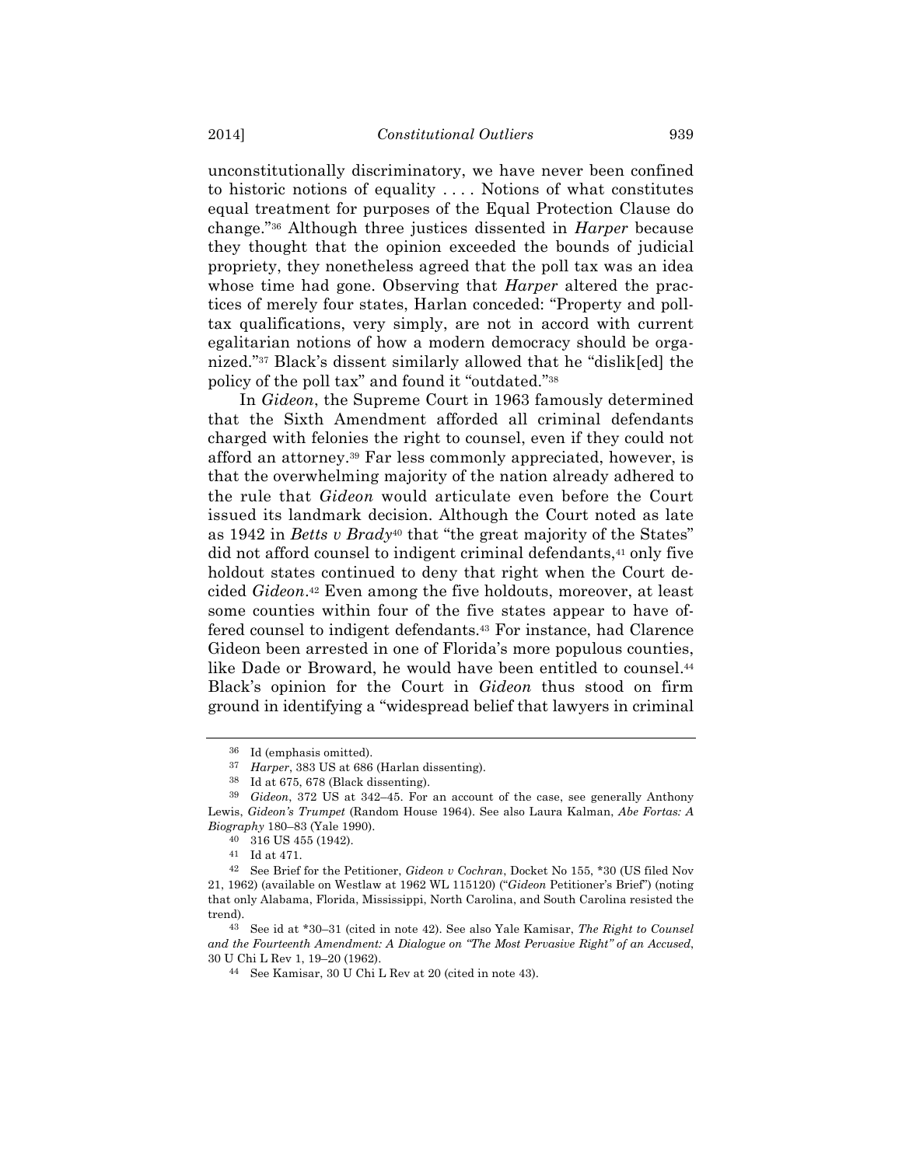unconstitutionally discriminatory, we have never been confined to historic notions of equality . . . . Notions of what constitutes equal treatment for purposes of the Equal Protection Clause do change."36 Although three justices dissented in *Harper* because they thought that the opinion exceeded the bounds of judicial propriety, they nonetheless agreed that the poll tax was an idea whose time had gone. Observing that *Harper* altered the practices of merely four states, Harlan conceded: "Property and polltax qualifications, very simply, are not in accord with current egalitarian notions of how a modern democracy should be organized."37 Black's dissent similarly allowed that he "dislik[ed] the policy of the poll tax" and found it "outdated."38

In *Gideon*, the Supreme Court in 1963 famously determined that the Sixth Amendment afforded all criminal defendants charged with felonies the right to counsel, even if they could not afford an attorney.39 Far less commonly appreciated, however, is that the overwhelming majority of the nation already adhered to the rule that *Gideon* would articulate even before the Court issued its landmark decision. Although the Court noted as late as 1942 in *Betts v Brady*40 that "the great majority of the States" did not afford counsel to indigent criminal defendants,<sup>41</sup> only five holdout states continued to deny that right when the Court decided *Gideon*.42 Even among the five holdouts, moreover, at least some counties within four of the five states appear to have offered counsel to indigent defendants.43 For instance, had Clarence Gideon been arrested in one of Florida's more populous counties, like Dade or Broward, he would have been entitled to counsel.<sup>44</sup> Black's opinion for the Court in *Gideon* thus stood on firm ground in identifying a "widespread belief that lawyers in criminal

<sup>36</sup> Id (emphasis omitted).

<sup>37</sup> *Harper*, 383 US at 686 (Harlan dissenting).

<sup>38</sup> Id at 675, 678 (Black dissenting).

<sup>39</sup> *Gideon*, 372 US at 342–45. For an account of the case, see generally Anthony Lewis, *Gideon's Trumpet* (Random House 1964). See also Laura Kalman, *Abe Fortas: A Biography* 180–83 (Yale 1990).

<sup>40</sup> 316 US 455 (1942).

<sup>41</sup> Id at 471.

<sup>42</sup> See Brief for the Petitioner, *Gideon v Cochran*, Docket No 155, \*30 (US filed Nov 21, 1962) (available on Westlaw at 1962 WL 115120) ("*Gideon* Petitioner's Brief") (noting that only Alabama, Florida, Mississippi, North Carolina, and South Carolina resisted the trend).

<sup>43</sup> See id at \*30–31 (cited in note 42). See also Yale Kamisar, *The Right to Counsel and the Fourteenth Amendment: A Dialogue on "The Most Pervasive Right" of an Accused*, 30 U Chi L Rev 1, 19–20 (1962).

<sup>44</sup> See Kamisar, 30 U Chi L Rev at 20 (cited in note 43).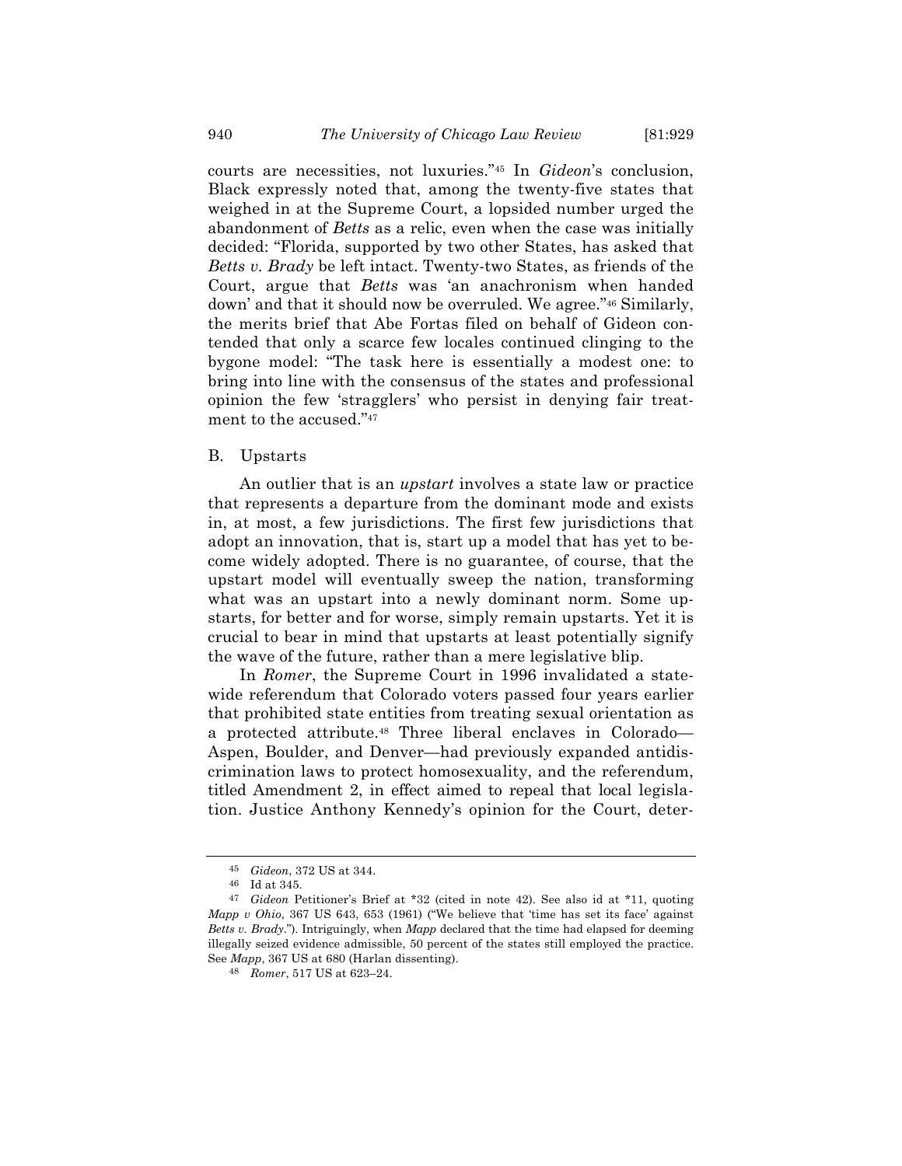courts are necessities, not luxuries."45 In *Gideon*'s conclusion, Black expressly noted that, among the twenty-five states that weighed in at the Supreme Court, a lopsided number urged the abandonment of *Betts* as a relic, even when the case was initially decided: "Florida, supported by two other States, has asked that *Betts v. Brady* be left intact. Twenty-two States, as friends of the Court, argue that *Betts* was 'an anachronism when handed down' and that it should now be overruled. We agree."46 Similarly, the merits brief that Abe Fortas filed on behalf of Gideon contended that only a scarce few locales continued clinging to the bygone model: "The task here is essentially a modest one: to bring into line with the consensus of the states and professional opinion the few 'stragglers' who persist in denying fair treatment to the accused."47

#### B. Upstarts

An outlier that is an *upstart* involves a state law or practice that represents a departure from the dominant mode and exists in, at most, a few jurisdictions. The first few jurisdictions that adopt an innovation, that is, start up a model that has yet to become widely adopted. There is no guarantee, of course, that the upstart model will eventually sweep the nation, transforming what was an upstart into a newly dominant norm. Some upstarts, for better and for worse, simply remain upstarts. Yet it is crucial to bear in mind that upstarts at least potentially signify the wave of the future, rather than a mere legislative blip.

In *Romer*, the Supreme Court in 1996 invalidated a statewide referendum that Colorado voters passed four years earlier that prohibited state entities from treating sexual orientation as a protected attribute.48 Three liberal enclaves in Colorado— Aspen, Boulder, and Denver—had previously expanded antidiscrimination laws to protect homosexuality, and the referendum, titled Amendment 2, in effect aimed to repeal that local legislation. Justice Anthony Kennedy's opinion for the Court, deter-

<sup>45</sup> *Gideon*, 372 US at 344.

<sup>46</sup> Id at 345.

<sup>47</sup> *Gideon* Petitioner's Brief at \*32 (cited in note 42). See also id at \*11, quoting *Mapp v Ohio*, 367 US 643, 653 (1961) ("We believe that 'time has set its face' against *Betts v. Brady*."). Intriguingly, when *Mapp* declared that the time had elapsed for deeming illegally seized evidence admissible, 50 percent of the states still employed the practice. See *Mapp*, 367 US at 680 (Harlan dissenting).

<sup>48</sup> *Romer*, 517 US at 623–24.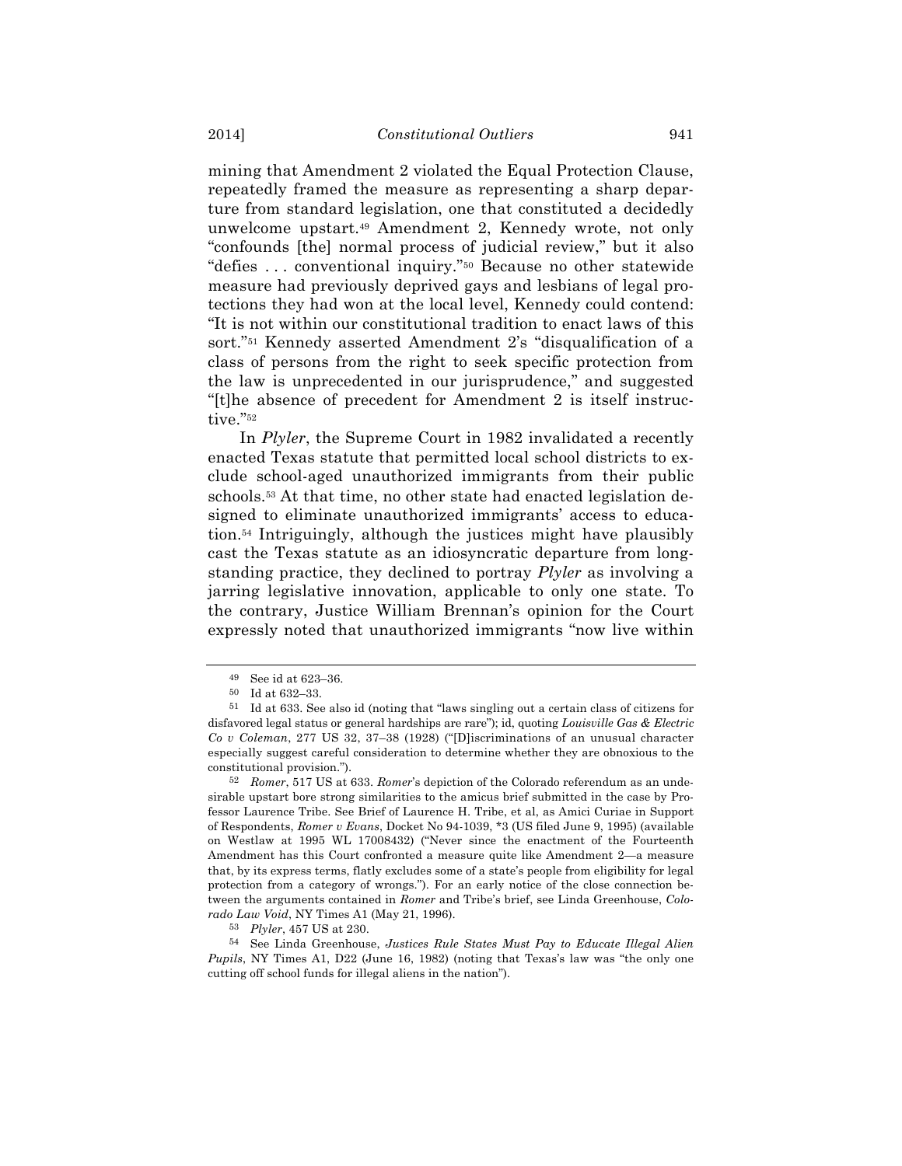mining that Amendment 2 violated the Equal Protection Clause, repeatedly framed the measure as representing a sharp departure from standard legislation, one that constituted a decidedly unwelcome upstart.49 Amendment 2, Kennedy wrote, not only "confounds [the] normal process of judicial review," but it also "defies . . . conventional inquiry."50 Because no other statewide measure had previously deprived gays and lesbians of legal protections they had won at the local level, Kennedy could contend: "It is not within our constitutional tradition to enact laws of this sort."51 Kennedy asserted Amendment 2's "disqualification of a class of persons from the right to seek specific protection from the law is unprecedented in our jurisprudence," and suggested "[t]he absence of precedent for Amendment 2 is itself instructive."<sup>52</sup>

In *Plyler*, the Supreme Court in 1982 invalidated a recently enacted Texas statute that permitted local school districts to exclude school-aged unauthorized immigrants from their public schools.53 At that time, no other state had enacted legislation designed to eliminate unauthorized immigrants' access to education.54 Intriguingly, although the justices might have plausibly cast the Texas statute as an idiosyncratic departure from longstanding practice, they declined to portray *Plyler* as involving a jarring legislative innovation, applicable to only one state. To the contrary, Justice William Brennan's opinion for the Court expressly noted that unauthorized immigrants "now live within

<sup>49</sup> See id at 623–36.

<sup>50</sup> Id at 632–33.

<sup>51</sup> Id at 633. See also id (noting that "laws singling out a certain class of citizens for disfavored legal status or general hardships are rare"); id, quoting *Louisville Gas & Electric Co v Coleman*, 277 US 32, 37–38 (1928) ("[D]iscriminations of an unusual character especially suggest careful consideration to determine whether they are obnoxious to the constitutional provision.").

<sup>52</sup> *Romer*, 517 US at 633. *Romer*'s depiction of the Colorado referendum as an undesirable upstart bore strong similarities to the amicus brief submitted in the case by Professor Laurence Tribe. See Brief of Laurence H. Tribe, et al, as Amici Curiae in Support of Respondents, *Romer v Evans*, Docket No 94-1039, \*3 (US filed June 9, 1995) (available on Westlaw at 1995 WL 17008432) ("Never since the enactment of the Fourteenth Amendment has this Court confronted a measure quite like Amendment 2—a measure that, by its express terms, flatly excludes some of a state's people from eligibility for legal protection from a category of wrongs."). For an early notice of the close connection between the arguments contained in *Romer* and Tribe's brief, see Linda Greenhouse, *Colorado Law Void*, NY Times A1 (May 21, 1996).

<sup>53</sup> *Plyler*, 457 US at 230.

<sup>54</sup> See Linda Greenhouse, *Justices Rule States Must Pay to Educate Illegal Alien Pupils*, NY Times A1, D22 (June 16, 1982) (noting that Texas's law was "the only one cutting off school funds for illegal aliens in the nation").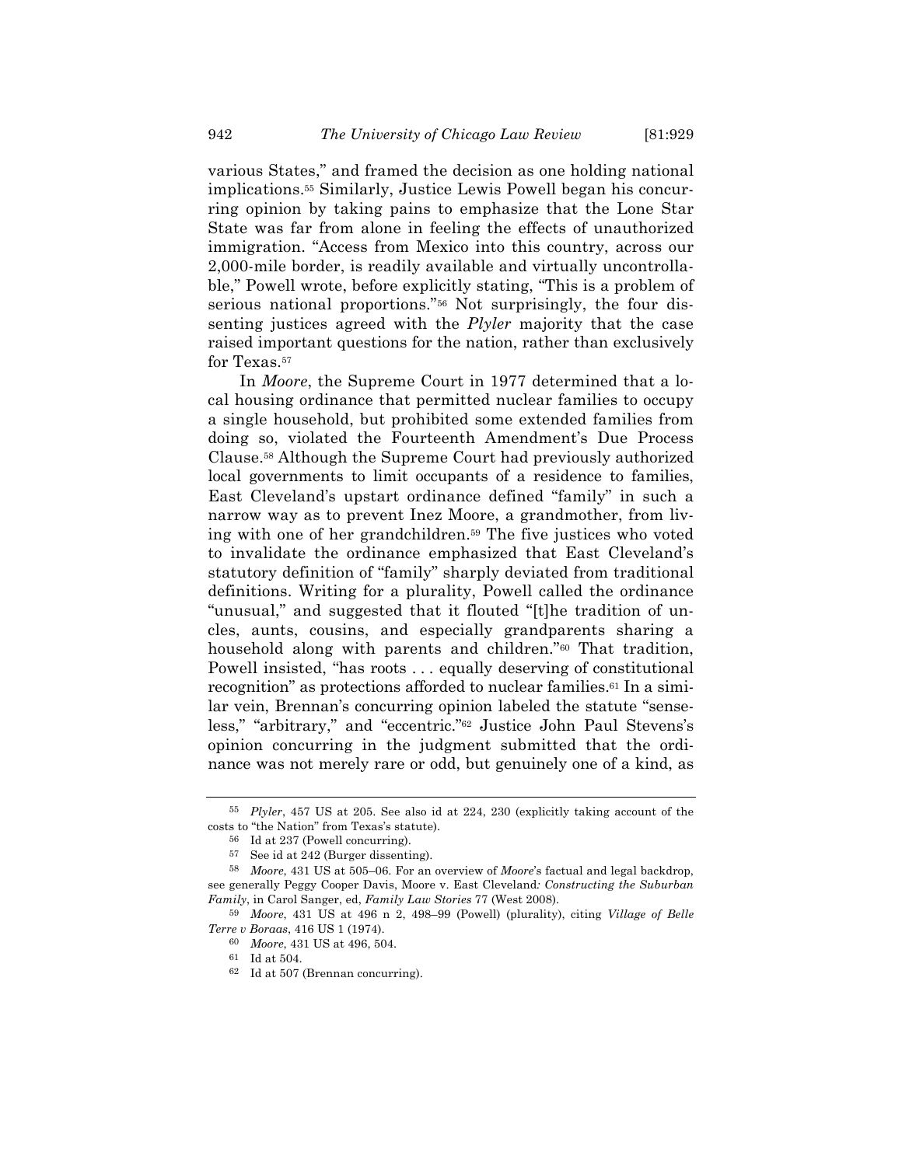various States," and framed the decision as one holding national implications.55 Similarly, Justice Lewis Powell began his concurring opinion by taking pains to emphasize that the Lone Star State was far from alone in feeling the effects of unauthorized immigration. "Access from Mexico into this country, across our 2,000-mile border, is readily available and virtually uncontrollable," Powell wrote, before explicitly stating, "This is a problem of serious national proportions."56 Not surprisingly, the four dissenting justices agreed with the *Plyler* majority that the case raised important questions for the nation, rather than exclusively for Texas.57

In *Moore*, the Supreme Court in 1977 determined that a local housing ordinance that permitted nuclear families to occupy a single household, but prohibited some extended families from doing so, violated the Fourteenth Amendment's Due Process Clause.58 Although the Supreme Court had previously authorized local governments to limit occupants of a residence to families, East Cleveland's upstart ordinance defined "family" in such a narrow way as to prevent Inez Moore, a grandmother, from living with one of her grandchildren.59 The five justices who voted to invalidate the ordinance emphasized that East Cleveland's statutory definition of "family" sharply deviated from traditional definitions. Writing for a plurality, Powell called the ordinance "unusual," and suggested that it flouted "[t]he tradition of uncles, aunts, cousins, and especially grandparents sharing a household along with parents and children."60 That tradition, Powell insisted, "has roots . . . equally deserving of constitutional recognition" as protections afforded to nuclear families.61 In a similar vein, Brennan's concurring opinion labeled the statute "senseless," "arbitrary," and "eccentric."62 Justice John Paul Stevens's opinion concurring in the judgment submitted that the ordinance was not merely rare or odd, but genuinely one of a kind, as

<sup>55</sup> *Plyler*, 457 US at 205. See also id at 224, 230 (explicitly taking account of the costs to "the Nation" from Texas's statute).

 $56$  Id at 237 (Powell concurring).<br> $57$  See id at 242 (Burger dissenti

See id at 242 (Burger dissenting).

<sup>58</sup> *Moore*, 431 US at 505–06. For an overview of *Moore*'s factual and legal backdrop, see generally Peggy Cooper Davis, Moore v. East Cleveland*: Constructing the Suburban Family*, in Carol Sanger, ed, *Family Law Stories* 77 (West 2008).

<sup>59</sup> *Moore*, 431 US at 496 n 2, 498–99 (Powell) (plurality), citing *Village of Belle Terre v Boraas*, 416 US 1 (1974).

<sup>60</sup> *Moore*, 431 US at 496, 504.

<sup>61</sup> Id at 504.

<sup>62</sup> Id at 507 (Brennan concurring).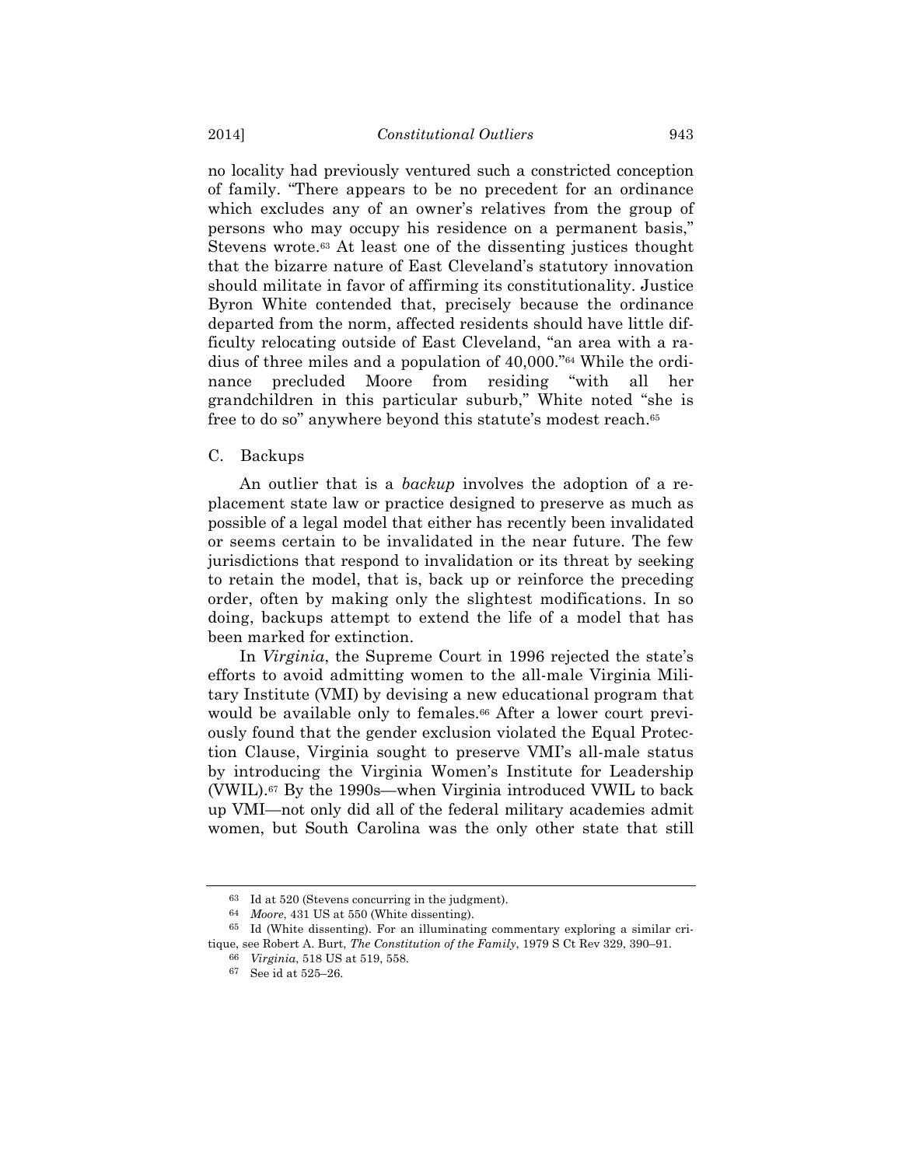no locality had previously ventured such a constricted conception of family. "There appears to be no precedent for an ordinance which excludes any of an owner's relatives from the group of persons who may occupy his residence on a permanent basis," Stevens wrote.63 At least one of the dissenting justices thought that the bizarre nature of East Cleveland's statutory innovation should militate in favor of affirming its constitutionality. Justice Byron White contended that, precisely because the ordinance departed from the norm, affected residents should have little difficulty relocating outside of East Cleveland, "an area with a radius of three miles and a population of 40,000."64 While the ordinance precluded Moore from residing "with all her grandchildren in this particular suburb," White noted "she is free to do so" anywhere beyond this statute's modest reach.65

## C. Backups

An outlier that is a *backup* involves the adoption of a replacement state law or practice designed to preserve as much as possible of a legal model that either has recently been invalidated or seems certain to be invalidated in the near future. The few jurisdictions that respond to invalidation or its threat by seeking to retain the model, that is, back up or reinforce the preceding order, often by making only the slightest modifications. In so doing, backups attempt to extend the life of a model that has been marked for extinction.

In *Virginia*, the Supreme Court in 1996 rejected the state's efforts to avoid admitting women to the all-male Virginia Military Institute (VMI) by devising a new educational program that would be available only to females.<sup>66</sup> After a lower court previously found that the gender exclusion violated the Equal Protection Clause, Virginia sought to preserve VMI's all-male status by introducing the Virginia Women's Institute for Leadership (VWIL).67 By the 1990s—when Virginia introduced VWIL to back up VMI—not only did all of the federal military academies admit women, but South Carolina was the only other state that still

<sup>63</sup> Id at 520 (Stevens concurring in the judgment).

<sup>64</sup> *Moore*, 431 US at 550 (White dissenting).

<sup>65</sup> Id (White dissenting). For an illuminating commentary exploring a similar critique, see Robert A. Burt, *The Constitution of the Family*, 1979 S Ct Rev 329, 390–91.

<sup>66</sup> *Virginia*, 518 US at 519, 558.

<sup>67</sup> See id at 525–26.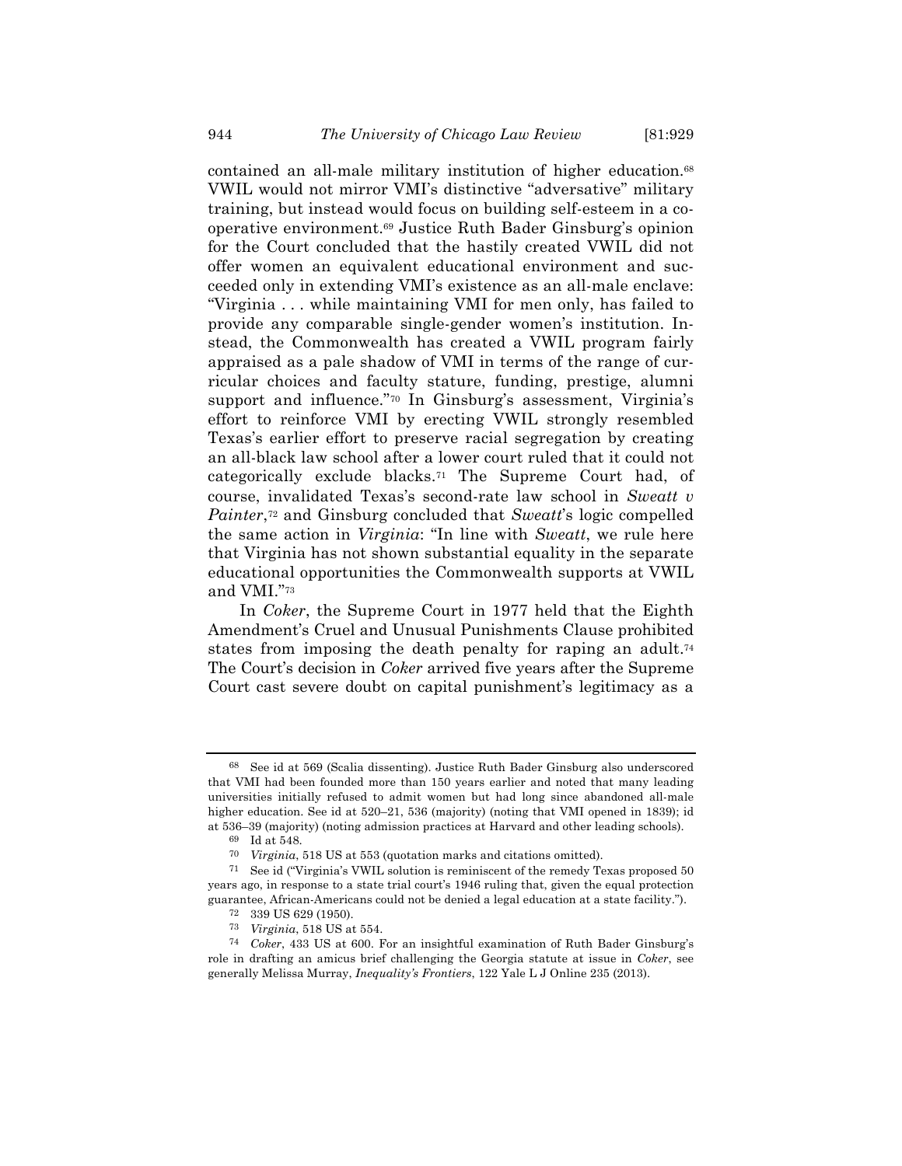contained an all-male military institution of higher education.<sup>68</sup> VWIL would not mirror VMI's distinctive "adversative" military training, but instead would focus on building self-esteem in a cooperative environment.69 Justice Ruth Bader Ginsburg's opinion for the Court concluded that the hastily created VWIL did not offer women an equivalent educational environment and succeeded only in extending VMI's existence as an all-male enclave: "Virginia . . . while maintaining VMI for men only, has failed to provide any comparable single-gender women's institution. Instead, the Commonwealth has created a VWIL program fairly appraised as a pale shadow of VMI in terms of the range of curricular choices and faculty stature, funding, prestige, alumni support and influence."70 In Ginsburg's assessment, Virginia's effort to reinforce VMI by erecting VWIL strongly resembled Texas's earlier effort to preserve racial segregation by creating an all-black law school after a lower court ruled that it could not categorically exclude blacks.71 The Supreme Court had, of course, invalidated Texas's second-rate law school in *Sweatt v Painter*,72 and Ginsburg concluded that *Sweatt*'s logic compelled the same action in *Virginia*: "In line with *Sweatt*, we rule here that Virginia has not shown substantial equality in the separate educational opportunities the Commonwealth supports at VWIL and VMI."73

In *Coker*, the Supreme Court in 1977 held that the Eighth Amendment's Cruel and Unusual Punishments Clause prohibited states from imposing the death penalty for raping an adult.<sup>74</sup> The Court's decision in *Coker* arrived five years after the Supreme Court cast severe doubt on capital punishment's legitimacy as a

<sup>68</sup> See id at 569 (Scalia dissenting). Justice Ruth Bader Ginsburg also underscored that VMI had been founded more than 150 years earlier and noted that many leading universities initially refused to admit women but had long since abandoned all-male higher education. See id at  $520-21$ ,  $536$  (majority) (noting that VMI opened in 1839); id at 536–39 (majority) (noting admission practices at Harvard and other leading schools).

<sup>69</sup> Id at 548.

<sup>70</sup> *Virginia*, 518 US at 553 (quotation marks and citations omitted).

<sup>71</sup> See id ("Virginia's VWIL solution is reminiscent of the remedy Texas proposed 50 years ago, in response to a state trial court's 1946 ruling that, given the equal protection guarantee, African-Americans could not be denied a legal education at a state facility."). 72 339 US 629 (1950).

<sup>73</sup> *Virginia*, 518 US at 554.

<sup>74</sup> *Coker*, 433 US at 600. For an insightful examination of Ruth Bader Ginsburg's role in drafting an amicus brief challenging the Georgia statute at issue in *Coker*, see generally Melissa Murray, *Inequality's Frontiers*, 122 Yale L J Online 235 (2013).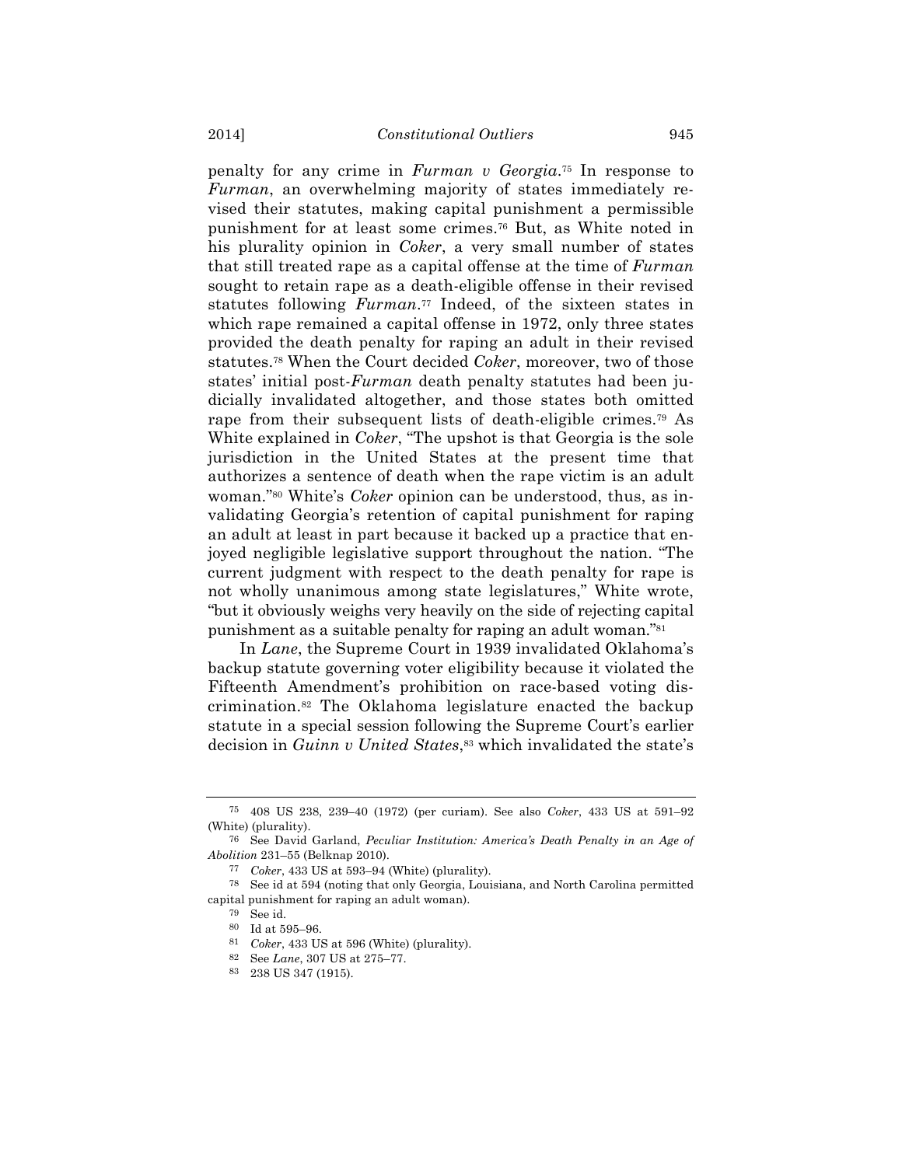penalty for any crime in *Furman v Georgia*.75 In response to *Furman*, an overwhelming majority of states immediately revised their statutes, making capital punishment a permissible punishment for at least some crimes.76 But, as White noted in his plurality opinion in *Coker*, a very small number of states that still treated rape as a capital offense at the time of *Furman* sought to retain rape as a death-eligible offense in their revised statutes following *Furman*.77 Indeed, of the sixteen states in which rape remained a capital offense in 1972, only three states provided the death penalty for raping an adult in their revised statutes.78 When the Court decided *Coker*, moreover, two of those states' initial post-*Furman* death penalty statutes had been judicially invalidated altogether, and those states both omitted rape from their subsequent lists of death-eligible crimes.79 As White explained in *Coker*, "The upshot is that Georgia is the sole jurisdiction in the United States at the present time that authorizes a sentence of death when the rape victim is an adult woman."80 White's *Coker* opinion can be understood, thus, as invalidating Georgia's retention of capital punishment for raping an adult at least in part because it backed up a practice that enjoyed negligible legislative support throughout the nation. "The current judgment with respect to the death penalty for rape is not wholly unanimous among state legislatures," White wrote, "but it obviously weighs very heavily on the side of rejecting capital punishment as a suitable penalty for raping an adult woman."81

In *Lane*, the Supreme Court in 1939 invalidated Oklahoma's backup statute governing voter eligibility because it violated the Fifteenth Amendment's prohibition on race-based voting discrimination.82 The Oklahoma legislature enacted the backup statute in a special session following the Supreme Court's earlier decision in *Guinn v United States*,<sup>83</sup> which invalidated the state's

<sup>75</sup> 408 US 238, 239–40 (1972) (per curiam). See also *Coker*, 433 US at 591–92 (White) (plurality).

<sup>76</sup> See David Garland, *Peculiar Institution: America's Death Penalty in an Age of Abolition* 231–55 (Belknap 2010).

<sup>77</sup> *Coker*, 433 US at 593–94 (White) (plurality).

<sup>78</sup> See id at 594 (noting that only Georgia, Louisiana, and North Carolina permitted capital punishment for raping an adult woman).

<sup>79</sup> See id.

<sup>80</sup> Id at 595–96.

<sup>81</sup> *Coker*, 433 US at 596 (White) (plurality).

<sup>82</sup> See *Lane*, 307 US at 275–77.

<sup>83</sup> 238 US 347 (1915).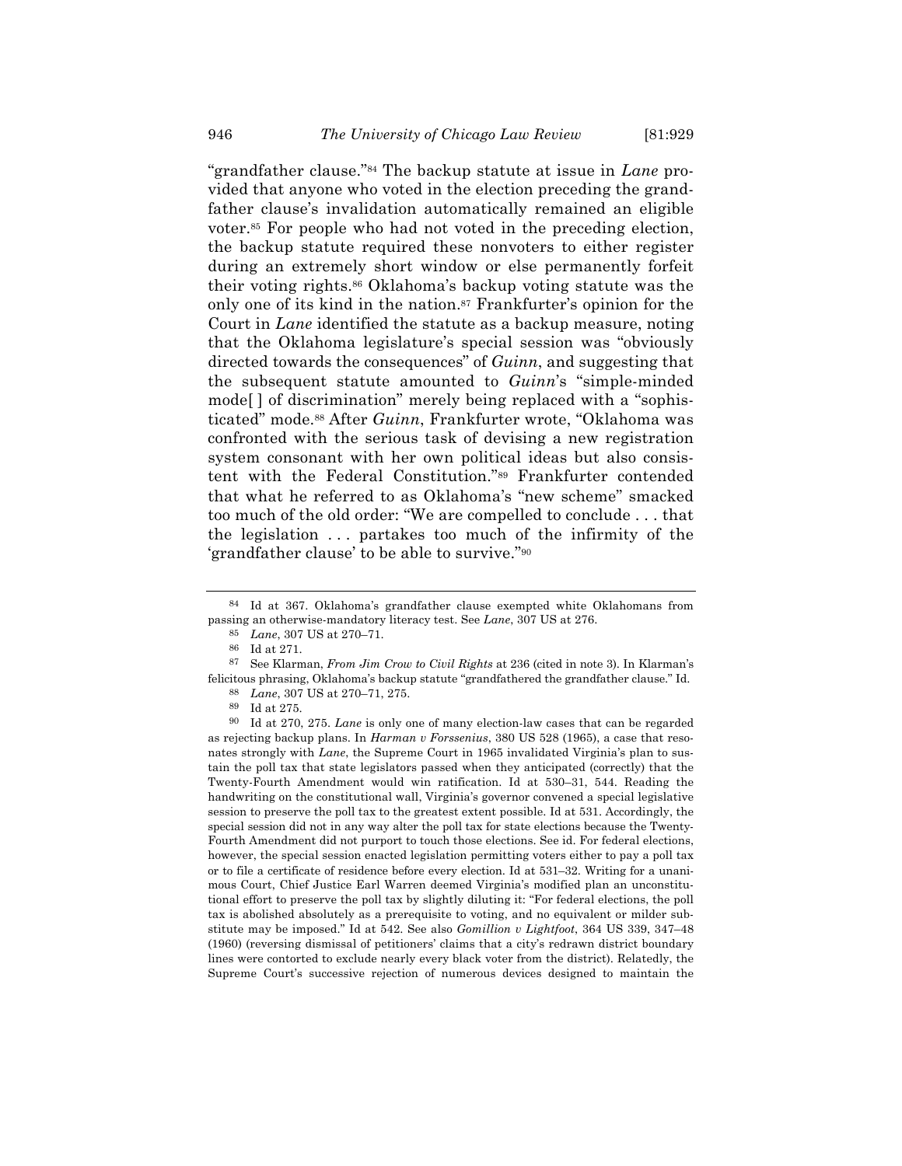"grandfather clause."84 The backup statute at issue in *Lane* provided that anyone who voted in the election preceding the grandfather clause's invalidation automatically remained an eligible voter.85 For people who had not voted in the preceding election, the backup statute required these nonvoters to either register during an extremely short window or else permanently forfeit their voting rights.86 Oklahoma's backup voting statute was the only one of its kind in the nation.<sup>87</sup> Frankfurter's opinion for the Court in *Lane* identified the statute as a backup measure, noting that the Oklahoma legislature's special session was "obviously directed towards the consequences" of *Guinn*, and suggesting that the subsequent statute amounted to *Guinn*'s "simple-minded mode[ ] of discrimination" merely being replaced with a "sophisticated" mode.88 After *Guinn*, Frankfurter wrote, "Oklahoma was confronted with the serious task of devising a new registration system consonant with her own political ideas but also consistent with the Federal Constitution."89 Frankfurter contended that what he referred to as Oklahoma's "new scheme" smacked too much of the old order: "We are compelled to conclude . . . that the legislation . . . partakes too much of the infirmity of the 'grandfather clause' to be able to survive."90

<sup>84</sup> Id at 367. Oklahoma's grandfather clause exempted white Oklahomans from passing an otherwise-mandatory literacy test. See *Lane*, 307 US at 276.

<sup>85</sup> *Lane*, 307 US at 270–71.

<sup>86</sup> Id at 271.

<sup>87</sup> See Klarman, *From Jim Crow to Civil Rights* at 236 (cited in note 3). In Klarman's felicitous phrasing, Oklahoma's backup statute "grandfathered the grandfather clause." Id. 88 *Lane*, 307 US at 270–71, 275.

<sup>89</sup> Id at 275.

<sup>90</sup> Id at 270, 275. *Lane* is only one of many election-law cases that can be regarded as rejecting backup plans. In *Harman v Forssenius*, 380 US 528 (1965), a case that resonates strongly with *Lane*, the Supreme Court in 1965 invalidated Virginia's plan to sustain the poll tax that state legislators passed when they anticipated (correctly) that the Twenty-Fourth Amendment would win ratification. Id at 530–31, 544. Reading the handwriting on the constitutional wall, Virginia's governor convened a special legislative session to preserve the poll tax to the greatest extent possible. Id at 531. Accordingly, the special session did not in any way alter the poll tax for state elections because the Twenty-Fourth Amendment did not purport to touch those elections. See id. For federal elections, however, the special session enacted legislation permitting voters either to pay a poll tax or to file a certificate of residence before every election. Id at 531–32. Writing for a unanimous Court, Chief Justice Earl Warren deemed Virginia's modified plan an unconstitutional effort to preserve the poll tax by slightly diluting it: "For federal elections, the poll tax is abolished absolutely as a prerequisite to voting, and no equivalent or milder substitute may be imposed." Id at 542. See also *Gomillion v Lightfoot*, 364 US 339, 347–48 (1960) (reversing dismissal of petitioners' claims that a city's redrawn district boundary lines were contorted to exclude nearly every black voter from the district). Relatedly, the Supreme Court's successive rejection of numerous devices designed to maintain the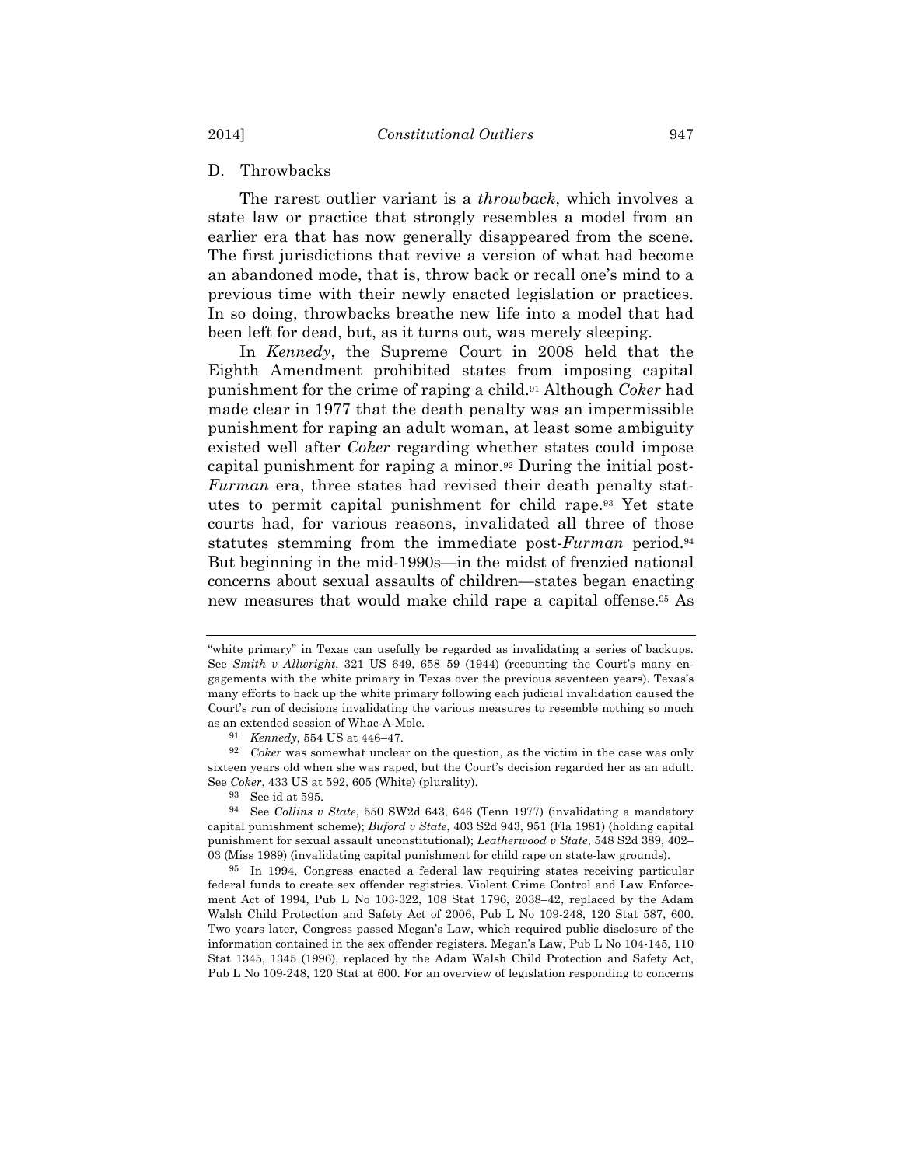# D. Throwbacks

The rarest outlier variant is a *throwback*, which involves a state law or practice that strongly resembles a model from an earlier era that has now generally disappeared from the scene. The first jurisdictions that revive a version of what had become an abandoned mode, that is, throw back or recall one's mind to a previous time with their newly enacted legislation or practices. In so doing, throwbacks breathe new life into a model that had been left for dead, but, as it turns out, was merely sleeping.

In *Kennedy*, the Supreme Court in 2008 held that the Eighth Amendment prohibited states from imposing capital punishment for the crime of raping a child.91 Although *Coker* had made clear in 1977 that the death penalty was an impermissible punishment for raping an adult woman, at least some ambiguity existed well after *Coker* regarding whether states could impose capital punishment for raping a minor.92 During the initial post-*Furman* era, three states had revised their death penalty statutes to permit capital punishment for child rape.93 Yet state courts had, for various reasons, invalidated all three of those statutes stemming from the immediate post-*Furman* period.94 But beginning in the mid-1990s—in the midst of frenzied national concerns about sexual assaults of children—states began enacting new measures that would make child rape a capital offense.95 As

<sup>&</sup>quot;white primary" in Texas can usefully be regarded as invalidating a series of backups. See *Smith v Allwright*, 321 US 649, 658–59 (1944) (recounting the Court's many engagements with the white primary in Texas over the previous seventeen years). Texas's many efforts to back up the white primary following each judicial invalidation caused the Court's run of decisions invalidating the various measures to resemble nothing so much as an extended session of Whac-A-Mole.

<sup>91</sup> *Kennedy*, 554 US at 446–47.

<sup>92</sup> *Coker* was somewhat unclear on the question, as the victim in the case was only sixteen years old when she was raped, but the Court's decision regarded her as an adult. See *Coker*, 433 US at 592, 605 (White) (plurality).

<sup>93</sup> See id at 595.

<sup>94</sup> See *Collins v State*, 550 SW2d 643, 646 (Tenn 1977) (invalidating a mandatory capital punishment scheme); *Buford v State*, 403 S2d 943, 951 (Fla 1981) (holding capital punishment for sexual assault unconstitutional); *Leatherwood v State*, 548 S2d 389, 402– 03 (Miss 1989) (invalidating capital punishment for child rape on state-law grounds).

<sup>95</sup> In 1994, Congress enacted a federal law requiring states receiving particular federal funds to create sex offender registries. Violent Crime Control and Law Enforcement Act of 1994, Pub L No 103-322, 108 Stat 1796, 2038–42, replaced by the Adam Walsh Child Protection and Safety Act of 2006, Pub L No 109-248, 120 Stat 587, 600. Two years later, Congress passed Megan's Law, which required public disclosure of the information contained in the sex offender registers. Megan's Law, Pub L No 104-145, 110 Stat 1345, 1345 (1996), replaced by the Adam Walsh Child Protection and Safety Act, Pub L No 109-248, 120 Stat at 600. For an overview of legislation responding to concerns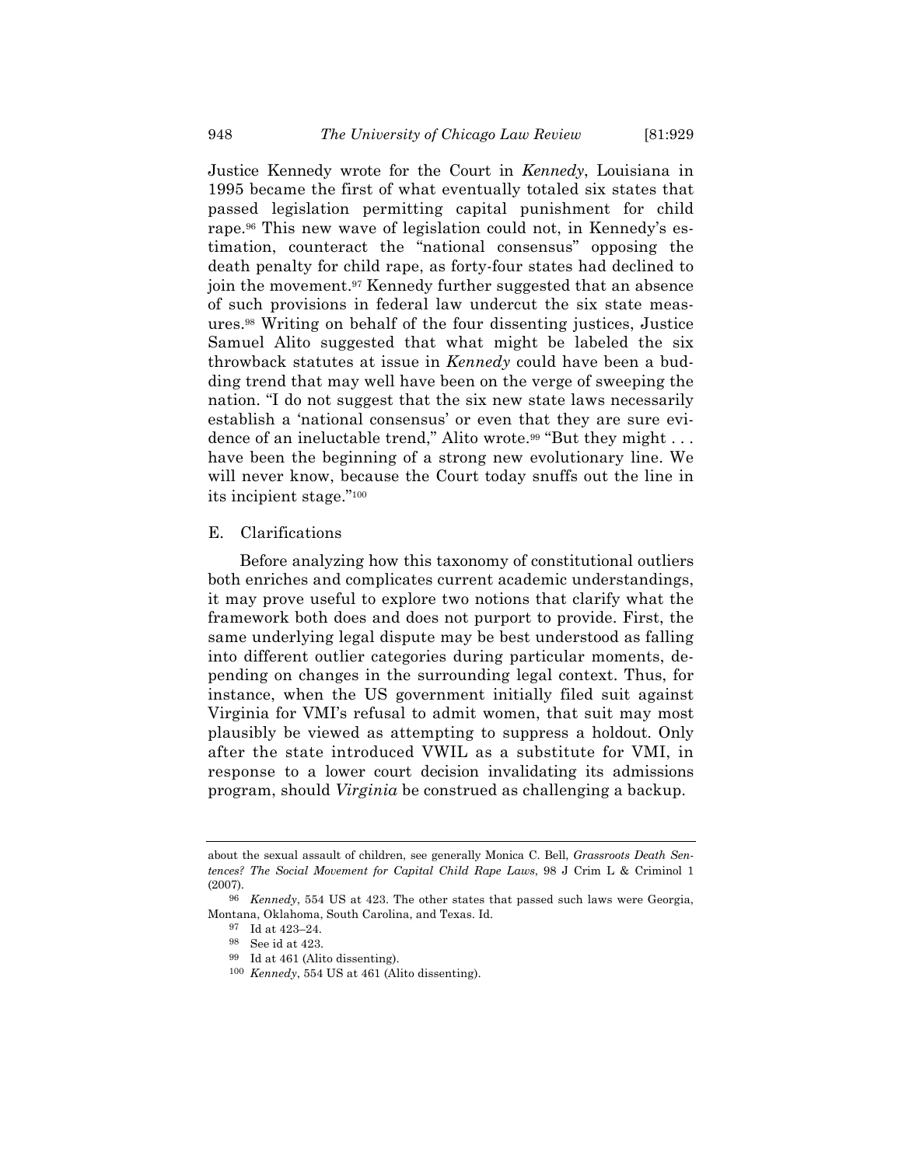Justice Kennedy wrote for the Court in *Kennedy*, Louisiana in 1995 became the first of what eventually totaled six states that passed legislation permitting capital punishment for child rape.96 This new wave of legislation could not, in Kennedy's estimation, counteract the "national consensus" opposing the death penalty for child rape, as forty-four states had declined to join the movement.97 Kennedy further suggested that an absence of such provisions in federal law undercut the six state measures.98 Writing on behalf of the four dissenting justices, Justice Samuel Alito suggested that what might be labeled the six throwback statutes at issue in *Kennedy* could have been a budding trend that may well have been on the verge of sweeping the nation. "I do not suggest that the six new state laws necessarily establish a 'national consensus' or even that they are sure evidence of an ineluctable trend," Alito wrote.<sup>99</sup> "But they might . . . have been the beginning of a strong new evolutionary line. We will never know, because the Court today snuffs out the line in its incipient stage."100

# E. Clarifications

Before analyzing how this taxonomy of constitutional outliers both enriches and complicates current academic understandings, it may prove useful to explore two notions that clarify what the framework both does and does not purport to provide. First, the same underlying legal dispute may be best understood as falling into different outlier categories during particular moments, depending on changes in the surrounding legal context. Thus, for instance, when the US government initially filed suit against Virginia for VMI's refusal to admit women, that suit may most plausibly be viewed as attempting to suppress a holdout. Only after the state introduced VWIL as a substitute for VMI, in response to a lower court decision invalidating its admissions program, should *Virginia* be construed as challenging a backup.

about the sexual assault of children, see generally Monica C. Bell, *Grassroots Death Sentences? The Social Movement for Capital Child Rape Laws*, 98 J Crim L & Criminol 1 (2007).

<sup>96</sup> *Kennedy*, 554 US at 423. The other states that passed such laws were Georgia, Montana, Oklahoma, South Carolina, and Texas. Id.

<sup>97</sup> Id at 423–24.

<sup>98</sup> See id at 423.

<sup>99</sup> Id at 461 (Alito dissenting).

<sup>100</sup> *Kennedy*, 554 US at 461 (Alito dissenting).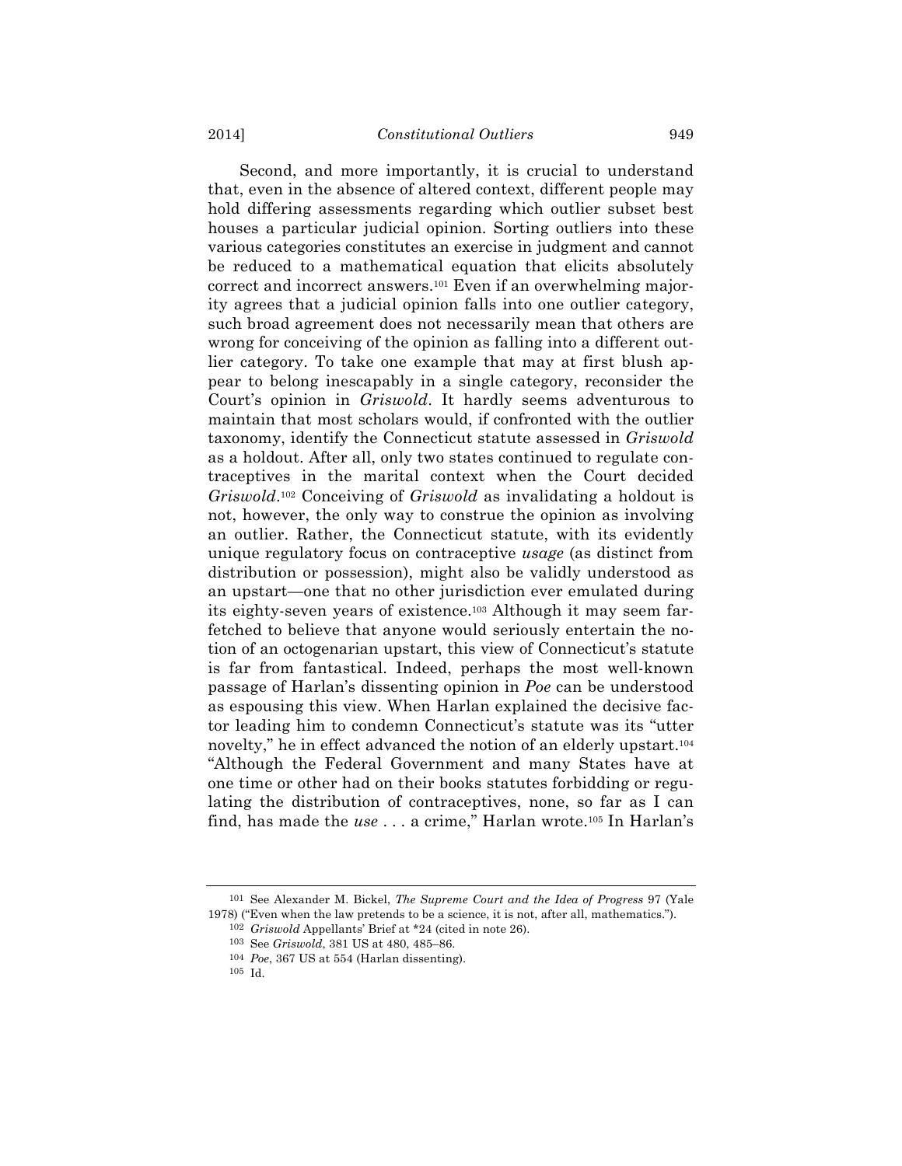Second, and more importantly, it is crucial to understand that, even in the absence of altered context, different people may hold differing assessments regarding which outlier subset best houses a particular judicial opinion. Sorting outliers into these various categories constitutes an exercise in judgment and cannot be reduced to a mathematical equation that elicits absolutely correct and incorrect answers.101 Even if an overwhelming majority agrees that a judicial opinion falls into one outlier category, such broad agreement does not necessarily mean that others are wrong for conceiving of the opinion as falling into a different outlier category. To take one example that may at first blush appear to belong inescapably in a single category, reconsider the Court's opinion in *Griswold*. It hardly seems adventurous to maintain that most scholars would, if confronted with the outlier taxonomy, identify the Connecticut statute assessed in *Griswold* as a holdout. After all, only two states continued to regulate contraceptives in the marital context when the Court decided *Griswold*.102 Conceiving of *Griswold* as invalidating a holdout is not, however, the only way to construe the opinion as involving an outlier. Rather, the Connecticut statute, with its evidently unique regulatory focus on contraceptive *usage* (as distinct from distribution or possession), might also be validly understood as an upstart—one that no other jurisdiction ever emulated during its eighty-seven years of existence.103 Although it may seem farfetched to believe that anyone would seriously entertain the notion of an octogenarian upstart, this view of Connecticut's statute is far from fantastical. Indeed, perhaps the most well-known passage of Harlan's dissenting opinion in *Poe* can be understood as espousing this view. When Harlan explained the decisive factor leading him to condemn Connecticut's statute was its "utter novelty," he in effect advanced the notion of an elderly upstart.104 "Although the Federal Government and many States have at one time or other had on their books statutes forbidding or regulating the distribution of contraceptives, none, so far as I can find, has made the *use* . . . a crime," Harlan wrote.105 In Harlan's

<sup>101</sup> See Alexander M. Bickel, *The Supreme Court and the Idea of Progress* 97 (Yale 1978) ("Even when the law pretends to be a science, it is not, after all, mathematics.").

<sup>102</sup> *Griswold* Appellants' Brief at \*24 (cited in note 26).

<sup>103</sup> See *Griswold*, 381 US at 480, 485–86.

<sup>104</sup> *Poe*, 367 US at 554 (Harlan dissenting).

<sup>105</sup> Id.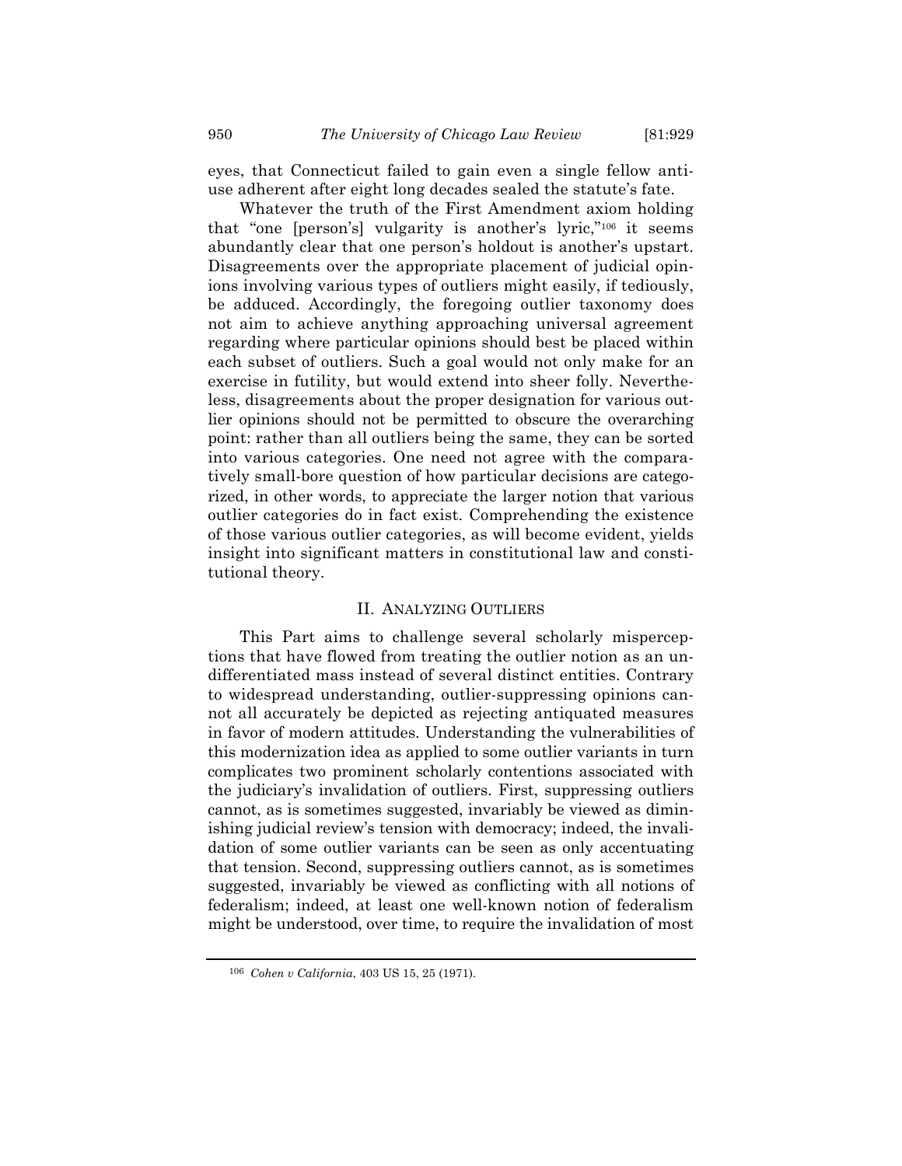eyes, that Connecticut failed to gain even a single fellow antiuse adherent after eight long decades sealed the statute's fate.

Whatever the truth of the First Amendment axiom holding that "one [person's] vulgarity is another's lyric,"106 it seems abundantly clear that one person's holdout is another's upstart. Disagreements over the appropriate placement of judicial opinions involving various types of outliers might easily, if tediously, be adduced. Accordingly, the foregoing outlier taxonomy does not aim to achieve anything approaching universal agreement regarding where particular opinions should best be placed within each subset of outliers. Such a goal would not only make for an exercise in futility, but would extend into sheer folly. Nevertheless, disagreements about the proper designation for various outlier opinions should not be permitted to obscure the overarching point: rather than all outliers being the same, they can be sorted into various categories. One need not agree with the comparatively small-bore question of how particular decisions are categorized, in other words, to appreciate the larger notion that various outlier categories do in fact exist. Comprehending the existence of those various outlier categories, as will become evident, yields insight into significant matters in constitutional law and constitutional theory.

# II. ANALYZING OUTLIERS

This Part aims to challenge several scholarly misperceptions that have flowed from treating the outlier notion as an undifferentiated mass instead of several distinct entities. Contrary to widespread understanding, outlier-suppressing opinions cannot all accurately be depicted as rejecting antiquated measures in favor of modern attitudes. Understanding the vulnerabilities of this modernization idea as applied to some outlier variants in turn complicates two prominent scholarly contentions associated with the judiciary's invalidation of outliers. First, suppressing outliers cannot, as is sometimes suggested, invariably be viewed as diminishing judicial review's tension with democracy; indeed, the invalidation of some outlier variants can be seen as only accentuating that tension. Second, suppressing outliers cannot, as is sometimes suggested, invariably be viewed as conflicting with all notions of federalism; indeed, at least one well-known notion of federalism might be understood, over time, to require the invalidation of most

<sup>106</sup> *Cohen v California*, 403 US 15, 25 (1971).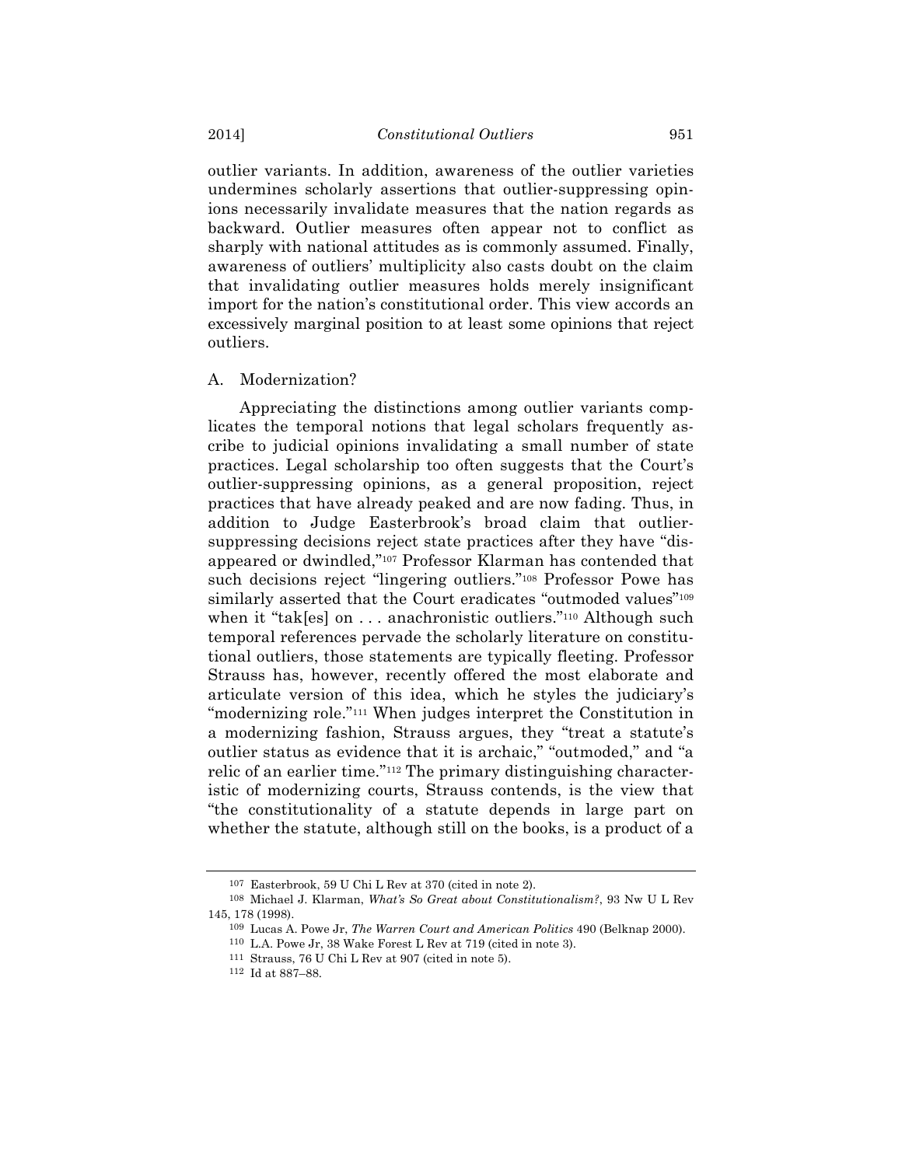outlier variants. In addition, awareness of the outlier varieties undermines scholarly assertions that outlier-suppressing opinions necessarily invalidate measures that the nation regards as backward. Outlier measures often appear not to conflict as sharply with national attitudes as is commonly assumed. Finally, awareness of outliers' multiplicity also casts doubt on the claim that invalidating outlier measures holds merely insignificant import for the nation's constitutional order. This view accords an excessively marginal position to at least some opinions that reject outliers.

### A. Modernization?

Appreciating the distinctions among outlier variants complicates the temporal notions that legal scholars frequently ascribe to judicial opinions invalidating a small number of state practices. Legal scholarship too often suggests that the Court's outlier-suppressing opinions, as a general proposition, reject practices that have already peaked and are now fading. Thus, in addition to Judge Easterbrook's broad claim that outliersuppressing decisions reject state practices after they have "disappeared or dwindled,"107 Professor Klarman has contended that such decisions reject "lingering outliers."108 Professor Powe has similarly asserted that the Court eradicates "outmoded values"<sup>109</sup> when it "tak[es] on ... anachronistic outliers."<sup>110</sup> Although such temporal references pervade the scholarly literature on constitutional outliers, those statements are typically fleeting. Professor Strauss has, however, recently offered the most elaborate and articulate version of this idea, which he styles the judiciary's "modernizing role."111 When judges interpret the Constitution in a modernizing fashion, Strauss argues, they "treat a statute's outlier status as evidence that it is archaic," "outmoded," and "a relic of an earlier time."112 The primary distinguishing characteristic of modernizing courts, Strauss contends, is the view that "the constitutionality of a statute depends in large part on whether the statute, although still on the books, is a product of a

<sup>107</sup> Easterbrook, 59 U Chi L Rev at 370 (cited in note 2).

<sup>108</sup> Michael J. Klarman, *What's So Great about Constitutionalism?*, 93 Nw U L Rev 145, 178 (1998).

<sup>109</sup> Lucas A. Powe Jr, *The Warren Court and American Politics* 490 (Belknap 2000).

<sup>110</sup> L.A. Powe Jr, 38 Wake Forest L Rev at 719 (cited in note 3).

<sup>111</sup> Strauss, 76 U Chi L Rev at 907 (cited in note 5).

<sup>112</sup> Id at 887–88.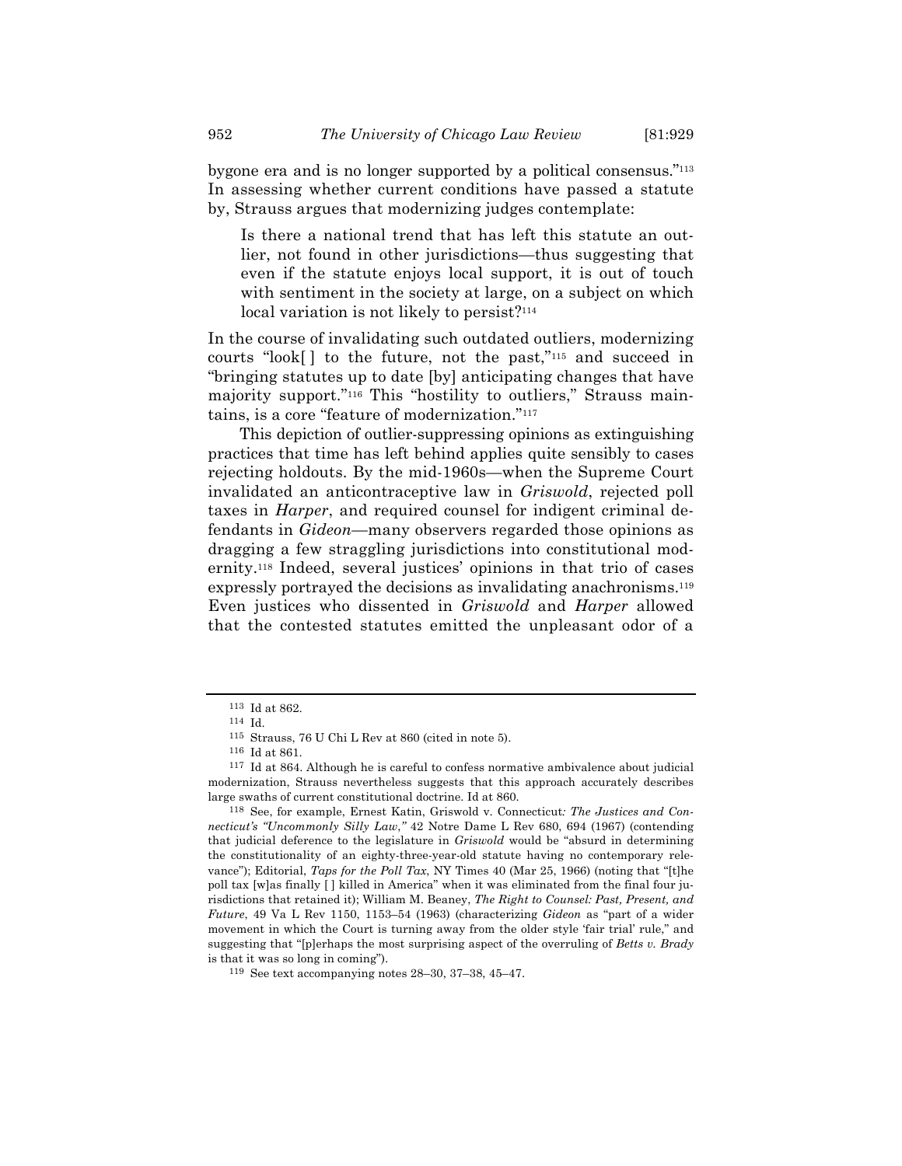bygone era and is no longer supported by a political consensus."113 In assessing whether current conditions have passed a statute by, Strauss argues that modernizing judges contemplate:

Is there a national trend that has left this statute an outlier, not found in other jurisdictions—thus suggesting that even if the statute enjoys local support, it is out of touch with sentiment in the society at large, on a subject on which local variation is not likely to persist?<sup>114</sup>

In the course of invalidating such outdated outliers, modernizing courts "look[ ] to the future, not the past,"115 and succeed in "bringing statutes up to date [by] anticipating changes that have majority support."116 This "hostility to outliers," Strauss maintains, is a core "feature of modernization."117

This depiction of outlier-suppressing opinions as extinguishing practices that time has left behind applies quite sensibly to cases rejecting holdouts. By the mid-1960s—when the Supreme Court invalidated an anticontraceptive law in *Griswold*, rejected poll taxes in *Harper*, and required counsel for indigent criminal defendants in *Gideon*—many observers regarded those opinions as dragging a few straggling jurisdictions into constitutional modernity.118 Indeed, several justices' opinions in that trio of cases expressly portrayed the decisions as invalidating anachronisms.<sup>119</sup> Even justices who dissented in *Griswold* and *Harper* allowed that the contested statutes emitted the unpleasant odor of a

<sup>113</sup> Id at 862.

<sup>114</sup> Id.

<sup>115</sup> Strauss, 76 U Chi L Rev at 860 (cited in note 5).

<sup>116</sup> Id at 861.

<sup>117</sup> Id at 864. Although he is careful to confess normative ambivalence about judicial modernization, Strauss nevertheless suggests that this approach accurately describes large swaths of current constitutional doctrine. Id at 860.

<sup>118</sup> See, for example, Ernest Katin, Griswold v. Connecticut*: The Justices and Connecticut's "Uncommonly Silly Law*,*"* 42 Notre Dame L Rev 680, 694 (1967) (contending that judicial deference to the legislature in *Griswold* would be "absurd in determining the constitutionality of an eighty-three-year-old statute having no contemporary relevance"); Editorial, *Taps for the Poll Tax*, NY Times 40 (Mar 25, 1966) (noting that "[t]he poll tax [w]as finally [ ] killed in America" when it was eliminated from the final four jurisdictions that retained it); William M. Beaney, *The Right to Counsel: Past, Present, and Future*, 49 Va L Rev 1150, 1153–54 (1963) (characterizing *Gideon* as "part of a wider movement in which the Court is turning away from the older style 'fair trial' rule," and suggesting that "[p]erhaps the most surprising aspect of the overruling of *Betts v. Brady* is that it was so long in coming").

<sup>119</sup> See text accompanying notes 28–30, 37–38, 45–47.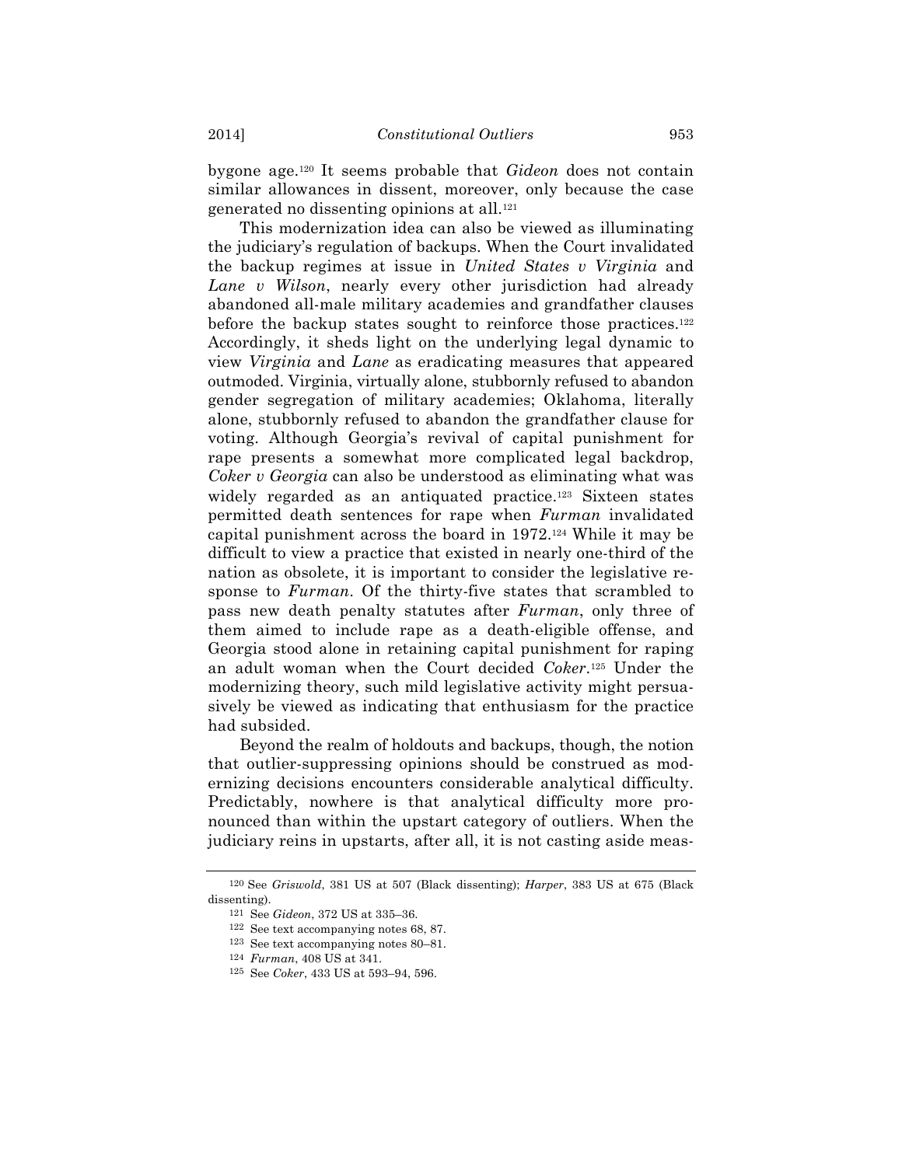bygone age.120 It seems probable that *Gideon* does not contain similar allowances in dissent, moreover, only because the case generated no dissenting opinions at all.121

This modernization idea can also be viewed as illuminating the judiciary's regulation of backups. When the Court invalidated the backup regimes at issue in *United States v Virginia* and *Lane v Wilson*, nearly every other jurisdiction had already abandoned all-male military academies and grandfather clauses before the backup states sought to reinforce those practices.<sup>122</sup> Accordingly, it sheds light on the underlying legal dynamic to view *Virginia* and *Lane* as eradicating measures that appeared outmoded. Virginia, virtually alone, stubbornly refused to abandon gender segregation of military academies; Oklahoma, literally alone, stubbornly refused to abandon the grandfather clause for voting. Although Georgia's revival of capital punishment for rape presents a somewhat more complicated legal backdrop, *Coker v Georgia* can also be understood as eliminating what was widely regarded as an antiquated practice.<sup>123</sup> Sixteen states permitted death sentences for rape when *Furman* invalidated capital punishment across the board in 1972.124 While it may be difficult to view a practice that existed in nearly one-third of the nation as obsolete, it is important to consider the legislative response to *Furman*. Of the thirty-five states that scrambled to pass new death penalty statutes after *Furman*, only three of them aimed to include rape as a death-eligible offense, and Georgia stood alone in retaining capital punishment for raping an adult woman when the Court decided *Coker*.125 Under the modernizing theory, such mild legislative activity might persuasively be viewed as indicating that enthusiasm for the practice had subsided.

Beyond the realm of holdouts and backups, though, the notion that outlier-suppressing opinions should be construed as modernizing decisions encounters considerable analytical difficulty. Predictably, nowhere is that analytical difficulty more pronounced than within the upstart category of outliers. When the judiciary reins in upstarts, after all, it is not casting aside meas-

<sup>120</sup> See *Griswold*, 381 US at 507 (Black dissenting); *Harper*, 383 US at 675 (Black dissenting).

<sup>121</sup> See *Gideon*, 372 US at 335–36.

<sup>122</sup> See text accompanying notes 68, 87.

<sup>123</sup> See text accompanying notes 80–81.

<sup>124</sup> *Furman*, 408 US at 341.

<sup>125</sup> See *Coker*, 433 US at 593–94, 596.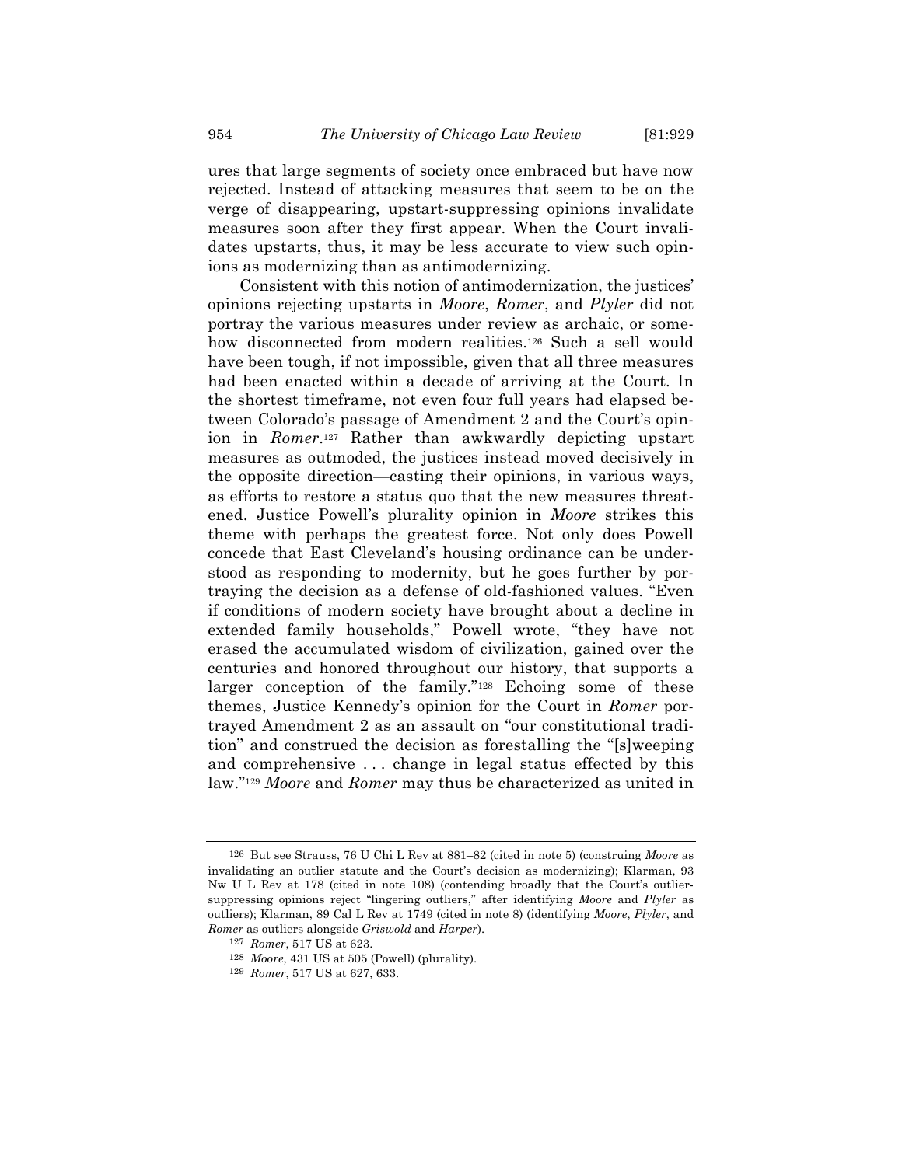ures that large segments of society once embraced but have now rejected. Instead of attacking measures that seem to be on the verge of disappearing, upstart-suppressing opinions invalidate measures soon after they first appear. When the Court invalidates upstarts, thus, it may be less accurate to view such opinions as modernizing than as antimodernizing.

Consistent with this notion of antimodernization, the justices' opinions rejecting upstarts in *Moore*, *Romer*, and *Plyler* did not portray the various measures under review as archaic, or somehow disconnected from modern realities.<sup>126</sup> Such a sell would have been tough, if not impossible, given that all three measures had been enacted within a decade of arriving at the Court. In the shortest timeframe, not even four full years had elapsed between Colorado's passage of Amendment 2 and the Court's opinion in *Romer*.127 Rather than awkwardly depicting upstart measures as outmoded, the justices instead moved decisively in the opposite direction—casting their opinions, in various ways, as efforts to restore a status quo that the new measures threatened. Justice Powell's plurality opinion in *Moore* strikes this theme with perhaps the greatest force. Not only does Powell concede that East Cleveland's housing ordinance can be understood as responding to modernity, but he goes further by portraying the decision as a defense of old-fashioned values. "Even if conditions of modern society have brought about a decline in extended family households," Powell wrote, "they have not erased the accumulated wisdom of civilization, gained over the centuries and honored throughout our history, that supports a larger conception of the family."128 Echoing some of these themes, Justice Kennedy's opinion for the Court in *Romer* portrayed Amendment 2 as an assault on "our constitutional tradition" and construed the decision as forestalling the "[s]weeping and comprehensive . . . change in legal status effected by this law."129 *Moore* and *Romer* may thus be characterized as united in

<sup>126</sup> But see Strauss, 76 U Chi L Rev at 881–82 (cited in note 5) (construing *Moore* as invalidating an outlier statute and the Court's decision as modernizing); Klarman, 93 Nw U L Rev at 178 (cited in note 108) (contending broadly that the Court's outliersuppressing opinions reject "lingering outliers," after identifying *Moore* and *Plyler* as outliers); Klarman, 89 Cal L Rev at 1749 (cited in note 8) (identifying *Moore*, *Plyler*, and *Romer* as outliers alongside *Griswold* and *Harper*).

<sup>127</sup> *Romer*, 517 US at 623.

<sup>128</sup> *Moore*, 431 US at 505 (Powell) (plurality).

<sup>129</sup> *Romer*, 517 US at 627, 633.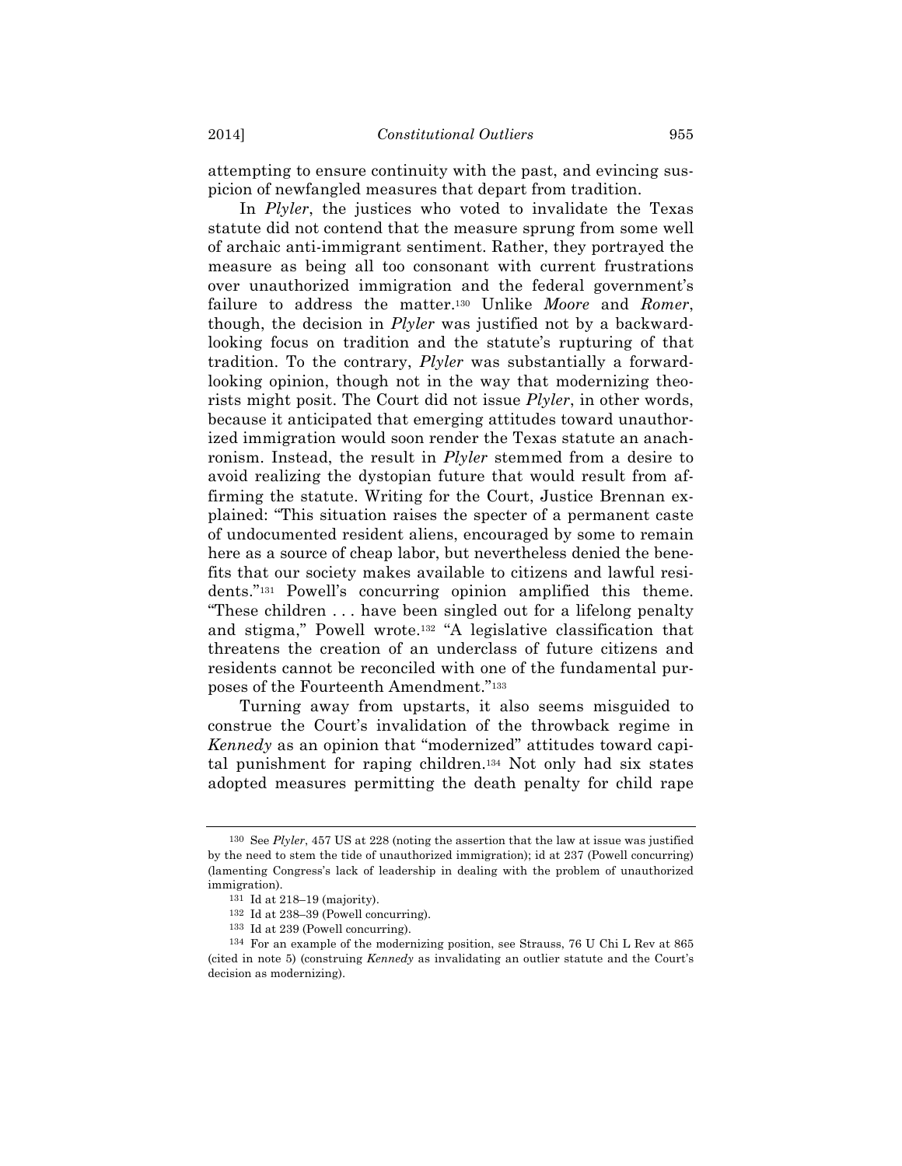attempting to ensure continuity with the past, and evincing suspicion of newfangled measures that depart from tradition.

In *Plyler*, the justices who voted to invalidate the Texas statute did not contend that the measure sprung from some well of archaic anti-immigrant sentiment. Rather, they portrayed the measure as being all too consonant with current frustrations over unauthorized immigration and the federal government's failure to address the matter.130 Unlike *Moore* and *Romer*, though, the decision in *Plyler* was justified not by a backwardlooking focus on tradition and the statute's rupturing of that tradition. To the contrary, *Plyler* was substantially a forwardlooking opinion, though not in the way that modernizing theorists might posit. The Court did not issue *Plyler*, in other words, because it anticipated that emerging attitudes toward unauthorized immigration would soon render the Texas statute an anachronism. Instead, the result in *Plyler* stemmed from a desire to avoid realizing the dystopian future that would result from affirming the statute. Writing for the Court, Justice Brennan explained: "This situation raises the specter of a permanent caste of undocumented resident aliens, encouraged by some to remain here as a source of cheap labor, but nevertheless denied the benefits that our society makes available to citizens and lawful residents."131 Powell's concurring opinion amplified this theme. "These children . . . have been singled out for a lifelong penalty and stigma," Powell wrote.132 "A legislative classification that threatens the creation of an underclass of future citizens and residents cannot be reconciled with one of the fundamental purposes of the Fourteenth Amendment."133

Turning away from upstarts, it also seems misguided to construe the Court's invalidation of the throwback regime in *Kennedy* as an opinion that "modernized" attitudes toward capital punishment for raping children.134 Not only had six states adopted measures permitting the death penalty for child rape

<sup>130</sup> See *Plyler*, 457 US at 228 (noting the assertion that the law at issue was justified by the need to stem the tide of unauthorized immigration); id at 237 (Powell concurring) (lamenting Congress's lack of leadership in dealing with the problem of unauthorized immigration).

<sup>131</sup> Id at 218–19 (majority).

<sup>132</sup> Id at 238–39 (Powell concurring).

<sup>133</sup> Id at 239 (Powell concurring).

<sup>134</sup> For an example of the modernizing position, see Strauss, 76 U Chi L Rev at 865 (cited in note 5) (construing *Kennedy* as invalidating an outlier statute and the Court's decision as modernizing).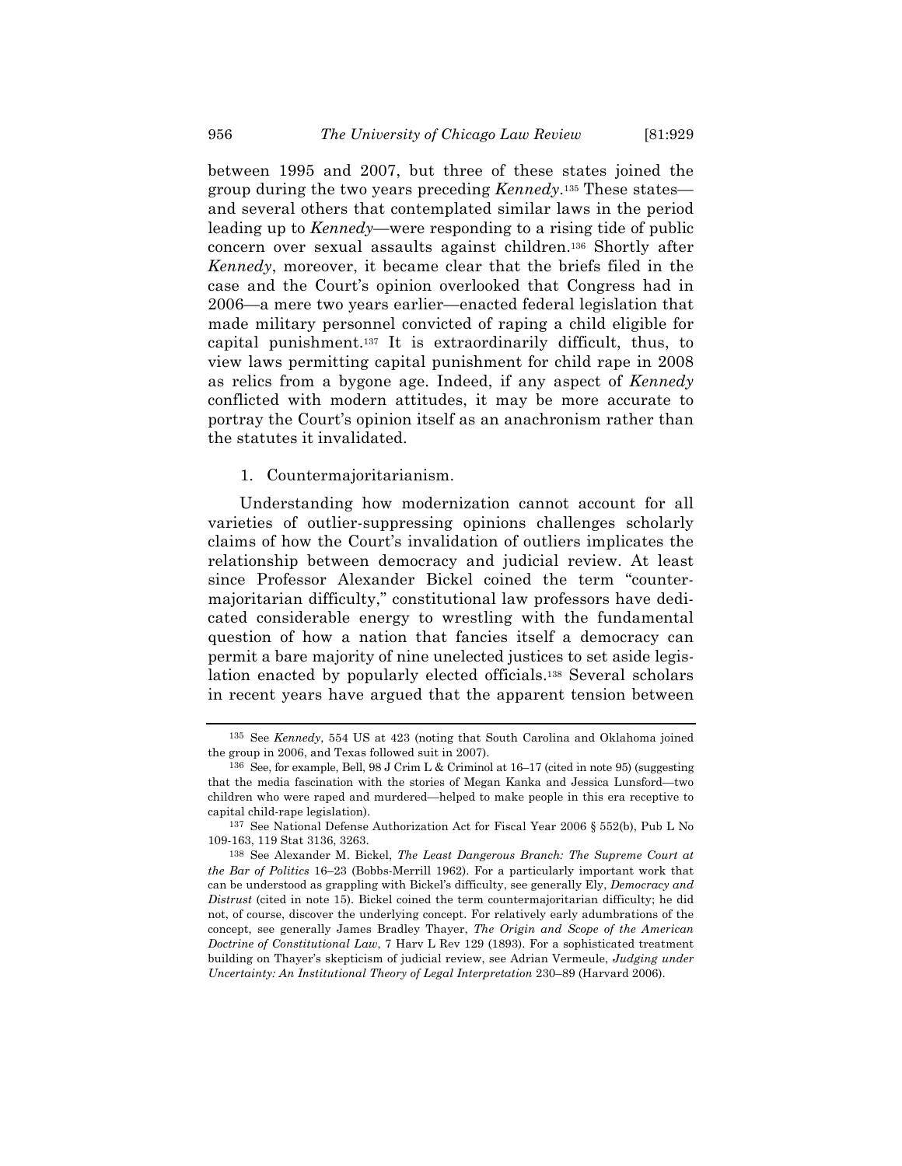between 1995 and 2007, but three of these states joined the group during the two years preceding *Kennedy*.135 These states and several others that contemplated similar laws in the period leading up to *Kennedy*—were responding to a rising tide of public concern over sexual assaults against children.136 Shortly after *Kennedy*, moreover, it became clear that the briefs filed in the case and the Court's opinion overlooked that Congress had in 2006—a mere two years earlier—enacted federal legislation that made military personnel convicted of raping a child eligible for capital punishment.137 It is extraordinarily difficult, thus, to view laws permitting capital punishment for child rape in 2008 as relics from a bygone age. Indeed, if any aspect of *Kennedy* conflicted with modern attitudes, it may be more accurate to portray the Court's opinion itself as an anachronism rather than the statutes it invalidated.

#### 1. Countermajoritarianism.

Understanding how modernization cannot account for all varieties of outlier-suppressing opinions challenges scholarly claims of how the Court's invalidation of outliers implicates the relationship between democracy and judicial review. At least since Professor Alexander Bickel coined the term "countermajoritarian difficulty," constitutional law professors have dedicated considerable energy to wrestling with the fundamental question of how a nation that fancies itself a democracy can permit a bare majority of nine unelected justices to set aside legislation enacted by popularly elected officials.138 Several scholars in recent years have argued that the apparent tension between

<sup>135</sup> See *Kennedy*, 554 US at 423 (noting that South Carolina and Oklahoma joined the group in 2006, and Texas followed suit in 2007).

<sup>136</sup> See, for example, Bell, 98 J Crim L & Criminol at 16–17 (cited in note 95) (suggesting that the media fascination with the stories of Megan Kanka and Jessica Lunsford—two children who were raped and murdered—helped to make people in this era receptive to capital child-rape legislation).

<sup>137</sup> See National Defense Authorization Act for Fiscal Year 2006 § 552(b), Pub L No 109-163, 119 Stat 3136, 3263.

<sup>138</sup> See Alexander M. Bickel, *The Least Dangerous Branch: The Supreme Court at the Bar of Politics* 16–23 (Bobbs-Merrill 1962). For a particularly important work that can be understood as grappling with Bickel's difficulty, see generally Ely, *Democracy and Distrust* (cited in note 15). Bickel coined the term countermajoritarian difficulty; he did not, of course, discover the underlying concept. For relatively early adumbrations of the concept, see generally James Bradley Thayer, *The Origin and Scope of the American Doctrine of Constitutional Law*, 7 Harv L Rev 129 (1893). For a sophisticated treatment building on Thayer's skepticism of judicial review, see Adrian Vermeule, *Judging under Uncertainty: An Institutional Theory of Legal Interpretation* 230–89 (Harvard 2006).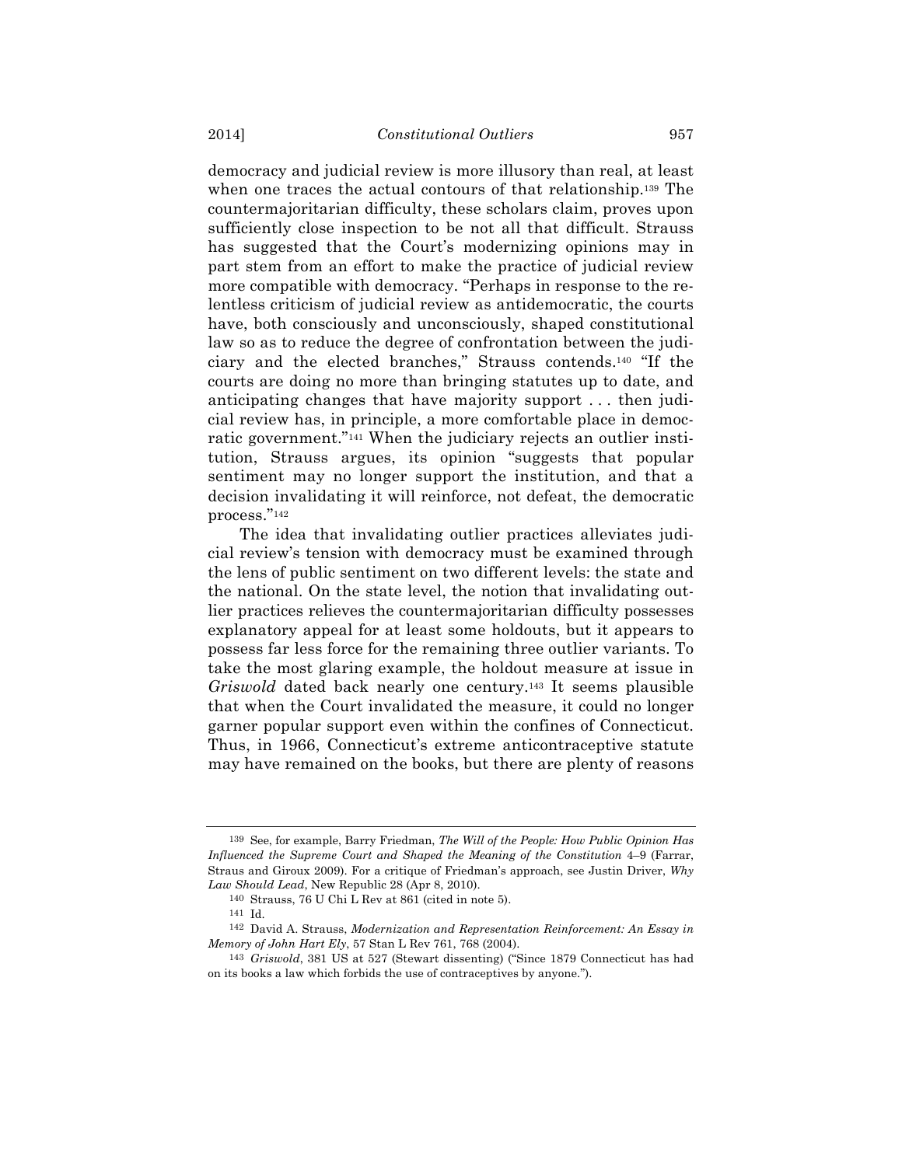democracy and judicial review is more illusory than real, at least when one traces the actual contours of that relationship.139 The countermajoritarian difficulty, these scholars claim, proves upon sufficiently close inspection to be not all that difficult. Strauss has suggested that the Court's modernizing opinions may in part stem from an effort to make the practice of judicial review more compatible with democracy. "Perhaps in response to the relentless criticism of judicial review as antidemocratic, the courts have, both consciously and unconsciously, shaped constitutional law so as to reduce the degree of confrontation between the judiciary and the elected branches," Strauss contends.140 "If the courts are doing no more than bringing statutes up to date, and anticipating changes that have majority support . . . then judicial review has, in principle, a more comfortable place in democratic government."141 When the judiciary rejects an outlier institution, Strauss argues, its opinion "suggests that popular sentiment may no longer support the institution, and that a decision invalidating it will reinforce, not defeat, the democratic process."142

The idea that invalidating outlier practices alleviates judicial review's tension with democracy must be examined through the lens of public sentiment on two different levels: the state and the national. On the state level, the notion that invalidating outlier practices relieves the countermajoritarian difficulty possesses explanatory appeal for at least some holdouts, but it appears to possess far less force for the remaining three outlier variants. To take the most glaring example, the holdout measure at issue in *Griswold* dated back nearly one century.143 It seems plausible that when the Court invalidated the measure, it could no longer garner popular support even within the confines of Connecticut. Thus, in 1966, Connecticut's extreme anticontraceptive statute may have remained on the books, but there are plenty of reasons

<sup>139</sup> See, for example, Barry Friedman, *The Will of the People: How Public Opinion Has Influenced the Supreme Court and Shaped the Meaning of the Constitution* 4–9 (Farrar, Straus and Giroux 2009). For a critique of Friedman's approach, see Justin Driver, *Why Law Should Lead*, New Republic 28 (Apr 8, 2010).

<sup>140</sup> Strauss, 76 U Chi L Rev at 861 (cited in note 5).

<sup>141</sup> Id.

<sup>142</sup> David A. Strauss, *Modernization and Representation Reinforcement: An Essay in Memory of John Hart Ely*, 57 Stan L Rev 761, 768 (2004).

<sup>143</sup> *Griswold*, 381 US at 527 (Stewart dissenting) ("Since 1879 Connecticut has had on its books a law which forbids the use of contraceptives by anyone.").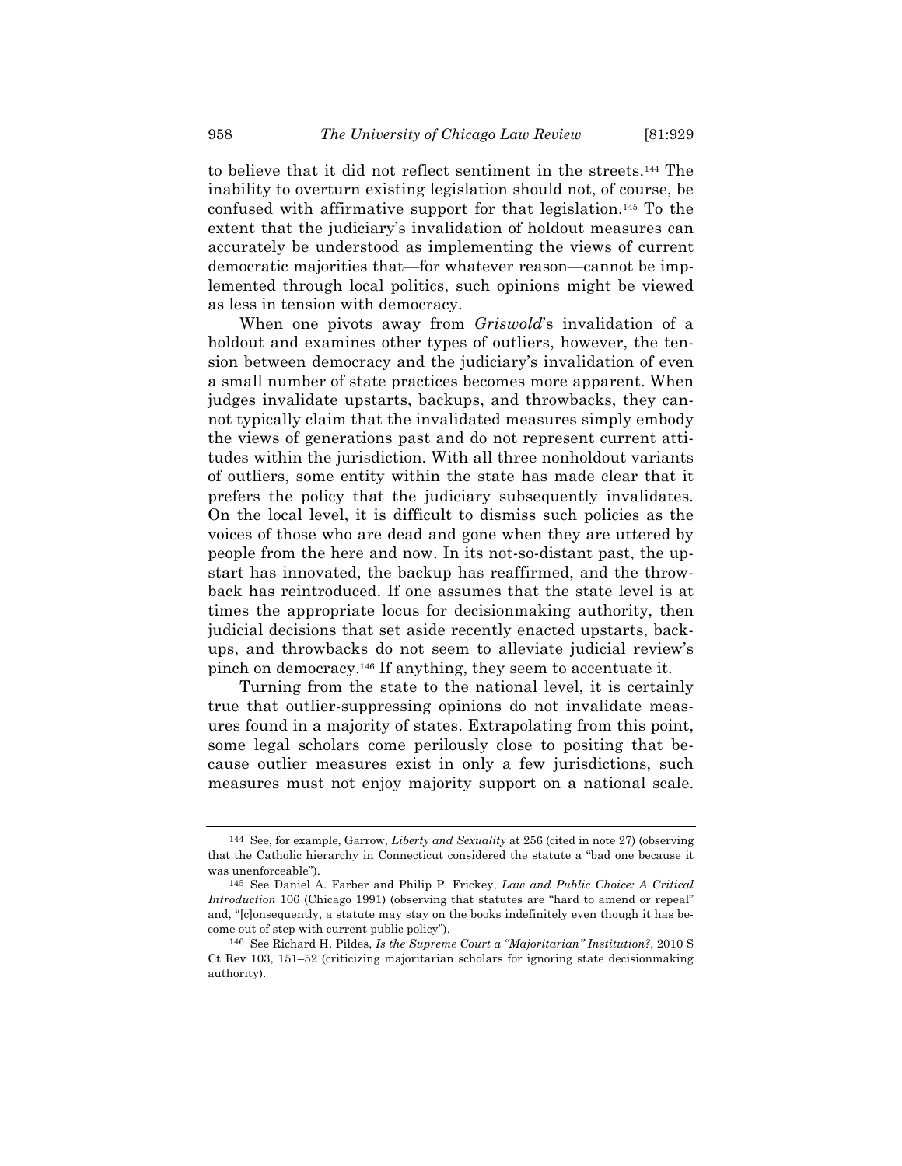to believe that it did not reflect sentiment in the streets.144 The inability to overturn existing legislation should not, of course, be confused with affirmative support for that legislation.145 To the extent that the judiciary's invalidation of holdout measures can accurately be understood as implementing the views of current democratic majorities that—for whatever reason—cannot be implemented through local politics, such opinions might be viewed as less in tension with democracy.

When one pivots away from *Griswold*'s invalidation of a holdout and examines other types of outliers, however, the tension between democracy and the judiciary's invalidation of even a small number of state practices becomes more apparent. When judges invalidate upstarts, backups, and throwbacks, they cannot typically claim that the invalidated measures simply embody the views of generations past and do not represent current attitudes within the jurisdiction. With all three nonholdout variants of outliers, some entity within the state has made clear that it prefers the policy that the judiciary subsequently invalidates. On the local level, it is difficult to dismiss such policies as the voices of those who are dead and gone when they are uttered by people from the here and now. In its not-so-distant past, the upstart has innovated, the backup has reaffirmed, and the throwback has reintroduced. If one assumes that the state level is at times the appropriate locus for decisionmaking authority, then judicial decisions that set aside recently enacted upstarts, backups, and throwbacks do not seem to alleviate judicial review's pinch on democracy.146 If anything, they seem to accentuate it.

Turning from the state to the national level, it is certainly true that outlier-suppressing opinions do not invalidate measures found in a majority of states. Extrapolating from this point, some legal scholars come perilously close to positing that because outlier measures exist in only a few jurisdictions, such measures must not enjoy majority support on a national scale.

<sup>144</sup> See, for example, Garrow, *Liberty and Sexuality* at 256 (cited in note 27) (observing that the Catholic hierarchy in Connecticut considered the statute a "bad one because it was unenforceable").

<sup>145</sup> See Daniel A. Farber and Philip P. Frickey, *Law and Public Choice: A Critical Introduction* 106 (Chicago 1991) (observing that statutes are "hard to amend or repeal" and, "[c]onsequently, a statute may stay on the books indefinitely even though it has become out of step with current public policy").

<sup>146</sup> See Richard H. Pildes, *Is the Supreme Court a "Majoritarian" Institution?*, 2010 S Ct Rev 103, 151–52 (criticizing majoritarian scholars for ignoring state decisionmaking authority).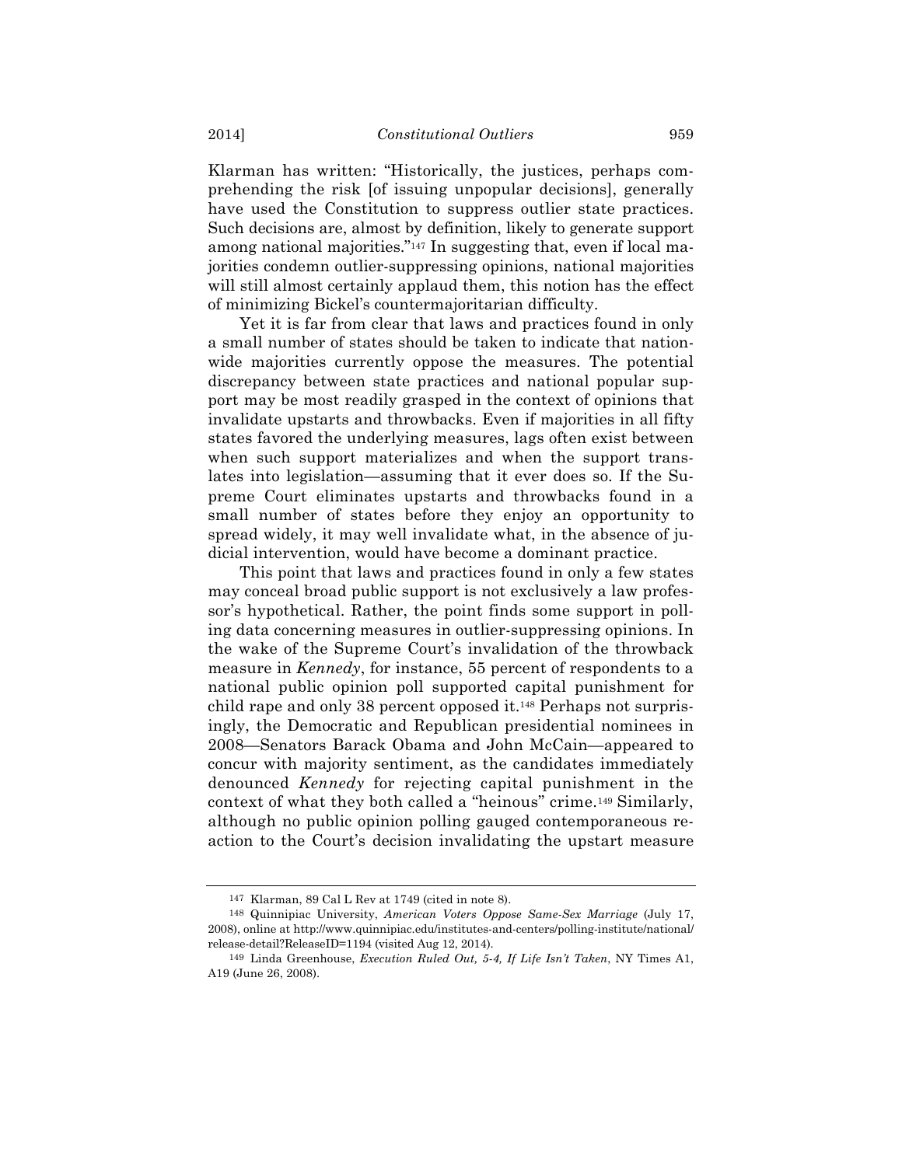Klarman has written: "Historically, the justices, perhaps comprehending the risk [of issuing unpopular decisions], generally have used the Constitution to suppress outlier state practices. Such decisions are, almost by definition, likely to generate support among national majorities."147 In suggesting that, even if local majorities condemn outlier-suppressing opinions, national majorities will still almost certainly applaud them, this notion has the effect of minimizing Bickel's countermajoritarian difficulty.

Yet it is far from clear that laws and practices found in only a small number of states should be taken to indicate that nationwide majorities currently oppose the measures. The potential discrepancy between state practices and national popular support may be most readily grasped in the context of opinions that invalidate upstarts and throwbacks. Even if majorities in all fifty states favored the underlying measures, lags often exist between when such support materializes and when the support translates into legislation—assuming that it ever does so. If the Supreme Court eliminates upstarts and throwbacks found in a small number of states before they enjoy an opportunity to spread widely, it may well invalidate what, in the absence of judicial intervention, would have become a dominant practice.

This point that laws and practices found in only a few states may conceal broad public support is not exclusively a law professor's hypothetical. Rather, the point finds some support in polling data concerning measures in outlier-suppressing opinions. In the wake of the Supreme Court's invalidation of the throwback measure in *Kennedy*, for instance, 55 percent of respondents to a national public opinion poll supported capital punishment for child rape and only 38 percent opposed it.148 Perhaps not surprisingly, the Democratic and Republican presidential nominees in 2008—Senators Barack Obama and John McCain—appeared to concur with majority sentiment, as the candidates immediately denounced *Kennedy* for rejecting capital punishment in the context of what they both called a "heinous" crime.149 Similarly, although no public opinion polling gauged contemporaneous reaction to the Court's decision invalidating the upstart measure

<sup>147</sup> Klarman, 89 Cal L Rev at 1749 (cited in note 8).

<sup>148</sup> Quinnipiac University, *American Voters Oppose Same-Sex Marriage* (July 17, 2008), online at http://www.quinnipiac.edu/institutes-and-centers/polling-institute/national/ release-detail?ReleaseID=1194 (visited Aug 12, 2014).

<sup>149</sup> Linda Greenhouse, *Execution Ruled Out, 5-4, If Life Isn't Taken*, NY Times A1, A19 (June 26, 2008).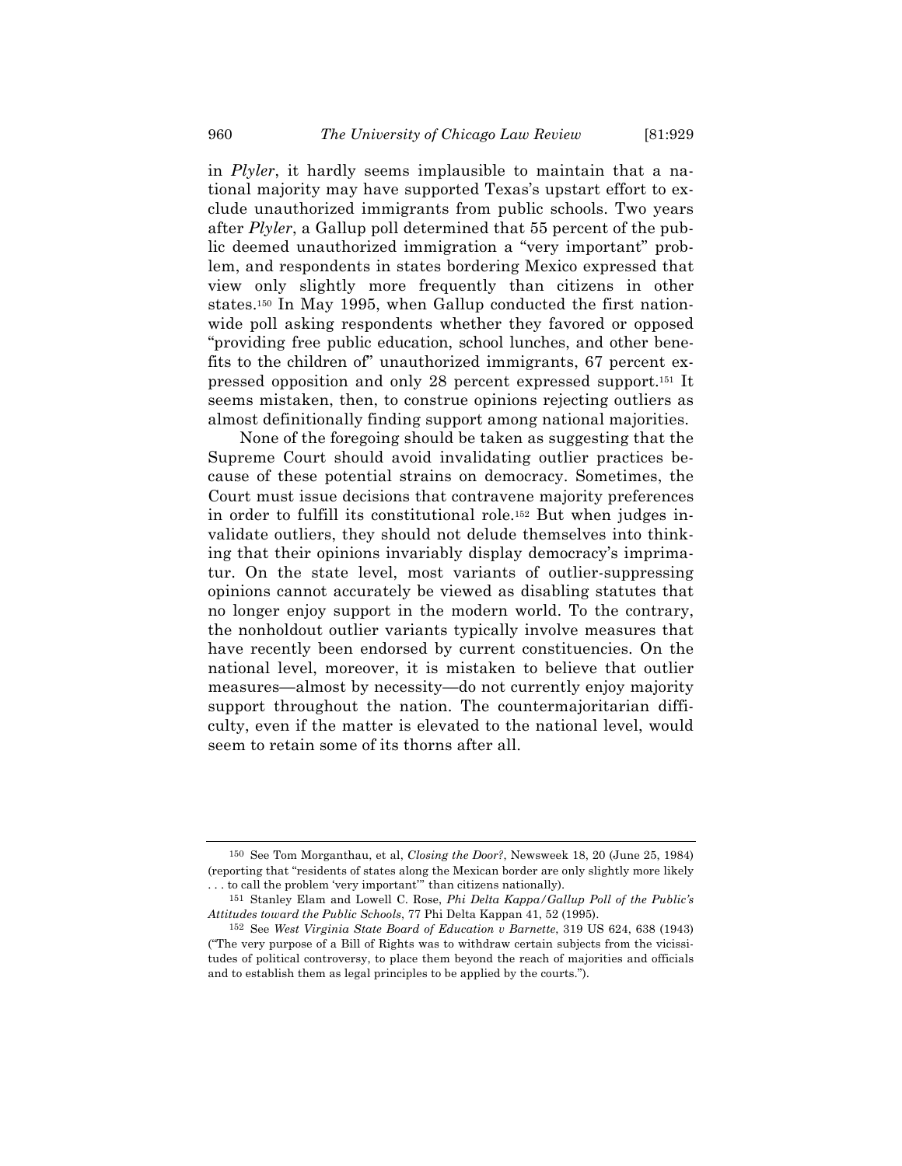in *Plyler*, it hardly seems implausible to maintain that a national majority may have supported Texas's upstart effort to exclude unauthorized immigrants from public schools. Two years after *Plyler*, a Gallup poll determined that 55 percent of the public deemed unauthorized immigration a "very important" problem, and respondents in states bordering Mexico expressed that view only slightly more frequently than citizens in other states.150 In May 1995, when Gallup conducted the first nationwide poll asking respondents whether they favored or opposed "providing free public education, school lunches, and other benefits to the children of" unauthorized immigrants, 67 percent expressed opposition and only 28 percent expressed support.151 It seems mistaken, then, to construe opinions rejecting outliers as almost definitionally finding support among national majorities.

None of the foregoing should be taken as suggesting that the Supreme Court should avoid invalidating outlier practices because of these potential strains on democracy. Sometimes, the Court must issue decisions that contravene majority preferences in order to fulfill its constitutional role.152 But when judges invalidate outliers, they should not delude themselves into thinking that their opinions invariably display democracy's imprimatur. On the state level, most variants of outlier-suppressing opinions cannot accurately be viewed as disabling statutes that no longer enjoy support in the modern world. To the contrary, the nonholdout outlier variants typically involve measures that have recently been endorsed by current constituencies. On the national level, moreover, it is mistaken to believe that outlier measures—almost by necessity—do not currently enjoy majority support throughout the nation. The countermajoritarian difficulty, even if the matter is elevated to the national level, would seem to retain some of its thorns after all.

<sup>150</sup> See Tom Morganthau, et al, *Closing the Door?*, Newsweek 18, 20 (June 25, 1984) (reporting that "residents of states along the Mexican border are only slightly more likely . . . to call the problem 'very important'" than citizens nationally).

<sup>151</sup> Stanley Elam and Lowell C. Rose, *Phi Delta Kappa/Gallup Poll of the Public's Attitudes toward the Public Schools*, 77 Phi Delta Kappan 41, 52 (1995).

<sup>152</sup> See *West Virginia State Board of Education v Barnette*, 319 US 624, 638 (1943) ("The very purpose of a Bill of Rights was to withdraw certain subjects from the vicissitudes of political controversy, to place them beyond the reach of majorities and officials and to establish them as legal principles to be applied by the courts.").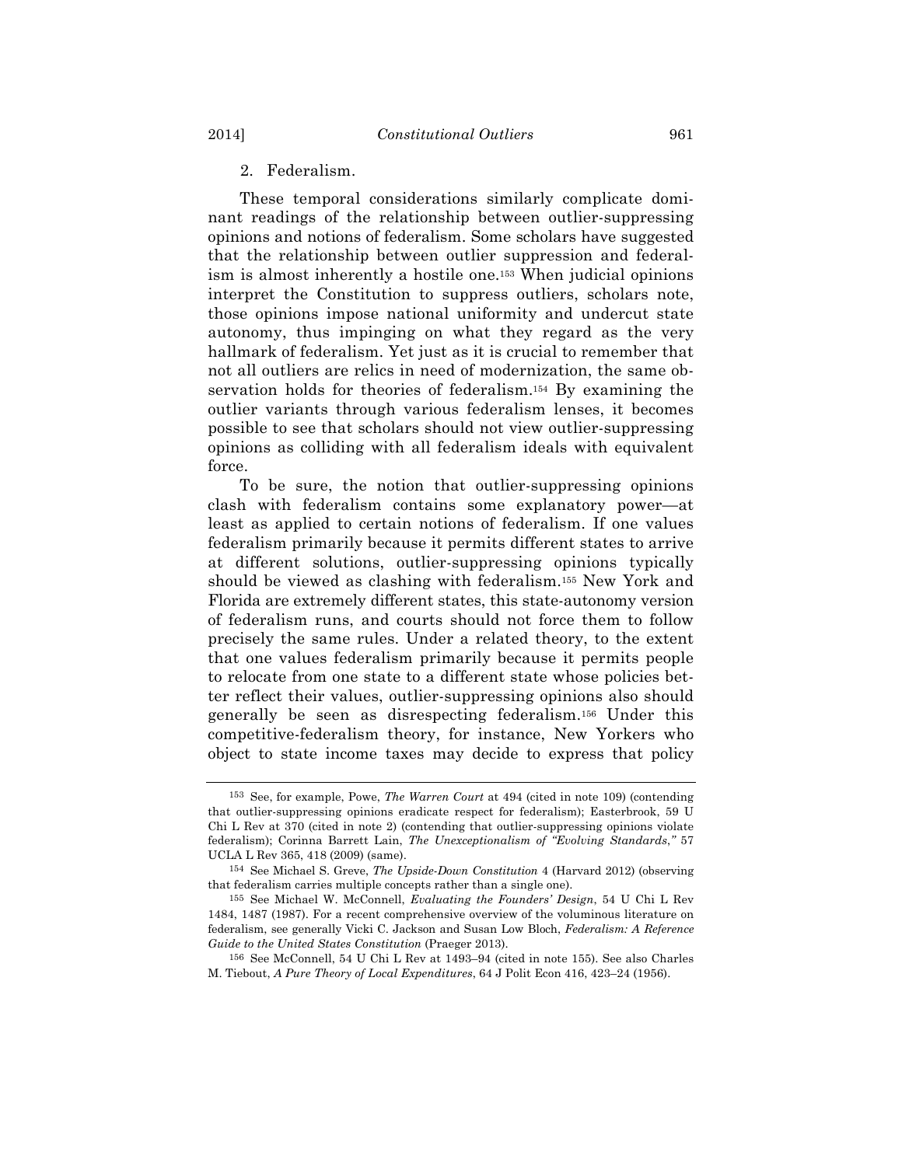2. Federalism.

These temporal considerations similarly complicate dominant readings of the relationship between outlier-suppressing opinions and notions of federalism. Some scholars have suggested that the relationship between outlier suppression and federalism is almost inherently a hostile one.153 When judicial opinions interpret the Constitution to suppress outliers, scholars note, those opinions impose national uniformity and undercut state autonomy, thus impinging on what they regard as the very hallmark of federalism. Yet just as it is crucial to remember that not all outliers are relics in need of modernization, the same observation holds for theories of federalism.154 By examining the outlier variants through various federalism lenses, it becomes possible to see that scholars should not view outlier-suppressing opinions as colliding with all federalism ideals with equivalent force.

To be sure, the notion that outlier-suppressing opinions clash with federalism contains some explanatory power—at least as applied to certain notions of federalism. If one values federalism primarily because it permits different states to arrive at different solutions, outlier-suppressing opinions typically should be viewed as clashing with federalism.155 New York and Florida are extremely different states, this state-autonomy version of federalism runs, and courts should not force them to follow precisely the same rules. Under a related theory, to the extent that one values federalism primarily because it permits people to relocate from one state to a different state whose policies better reflect their values, outlier-suppressing opinions also should generally be seen as disrespecting federalism.156 Under this competitive-federalism theory, for instance, New Yorkers who object to state income taxes may decide to express that policy

<sup>153</sup> See, for example, Powe, *The Warren Court* at 494 (cited in note 109) (contending that outlier-suppressing opinions eradicate respect for federalism); Easterbrook, 59 U Chi L Rev at 370 (cited in note 2) (contending that outlier-suppressing opinions violate federalism); Corinna Barrett Lain, *The Unexceptionalism of "Evolving Standards*,*"* 57 UCLA L Rev 365, 418 (2009) (same).

<sup>154</sup> See Michael S. Greve, *The Upside-Down Constitution* 4 (Harvard 2012) (observing that federalism carries multiple concepts rather than a single one).

<sup>155</sup> See Michael W. McConnell, *Evaluating the Founders' Design*, 54 U Chi L Rev 1484, 1487 (1987). For a recent comprehensive overview of the voluminous literature on federalism, see generally Vicki C. Jackson and Susan Low Bloch, *Federalism: A Reference Guide to the United States Constitution* (Praeger 2013).

<sup>156</sup> See McConnell, 54 U Chi L Rev at 1493–94 (cited in note 155). See also Charles M. Tiebout, *A Pure Theory of Local Expenditures*, 64 J Polit Econ 416, 423–24 (1956).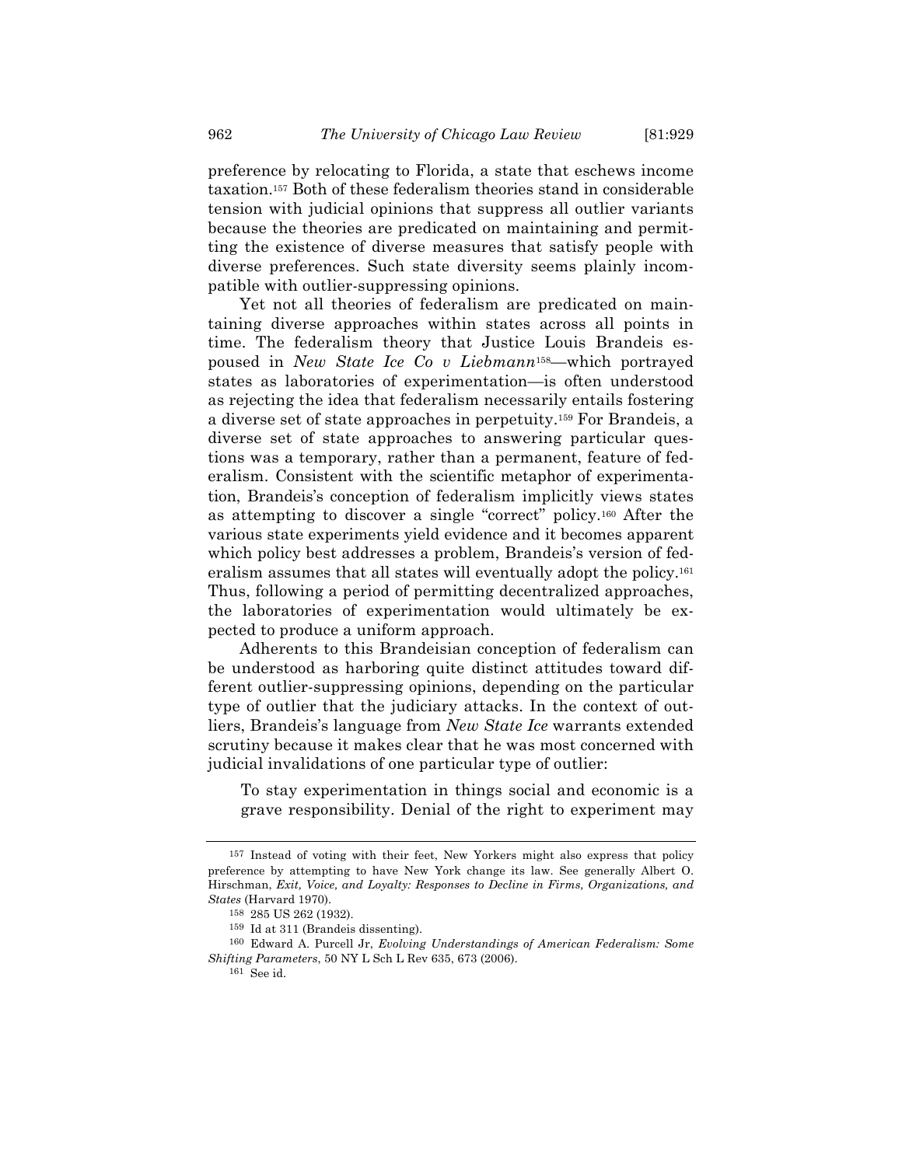preference by relocating to Florida, a state that eschews income taxation.157 Both of these federalism theories stand in considerable tension with judicial opinions that suppress all outlier variants because the theories are predicated on maintaining and permitting the existence of diverse measures that satisfy people with diverse preferences. Such state diversity seems plainly incompatible with outlier-suppressing opinions.

Yet not all theories of federalism are predicated on maintaining diverse approaches within states across all points in time. The federalism theory that Justice Louis Brandeis espoused in *New State Ice Co v Liebmann*158—which portrayed states as laboratories of experimentation—is often understood as rejecting the idea that federalism necessarily entails fostering a diverse set of state approaches in perpetuity.159 For Brandeis, a diverse set of state approaches to answering particular questions was a temporary, rather than a permanent, feature of federalism. Consistent with the scientific metaphor of experimentation, Brandeis's conception of federalism implicitly views states as attempting to discover a single "correct" policy.160 After the various state experiments yield evidence and it becomes apparent which policy best addresses a problem, Brandeis's version of federalism assumes that all states will eventually adopt the policy.161 Thus, following a period of permitting decentralized approaches, the laboratories of experimentation would ultimately be expected to produce a uniform approach.

Adherents to this Brandeisian conception of federalism can be understood as harboring quite distinct attitudes toward different outlier-suppressing opinions, depending on the particular type of outlier that the judiciary attacks. In the context of outliers, Brandeis's language from *New State Ice* warrants extended scrutiny because it makes clear that he was most concerned with judicial invalidations of one particular type of outlier:

To stay experimentation in things social and economic is a grave responsibility. Denial of the right to experiment may

<sup>157</sup> Instead of voting with their feet, New Yorkers might also express that policy preference by attempting to have New York change its law. See generally Albert O. Hirschman, *Exit, Voice, and Loyalty: Responses to Decline in Firms, Organizations, and States* (Harvard 1970).

<sup>158</sup> 285 US 262 (1932).

<sup>159</sup> Id at 311 (Brandeis dissenting).

<sup>160</sup> Edward A. Purcell Jr, *Evolving Understandings of American Federalism: Some Shifting Parameters*, 50 NY L Sch L Rev 635, 673 (2006).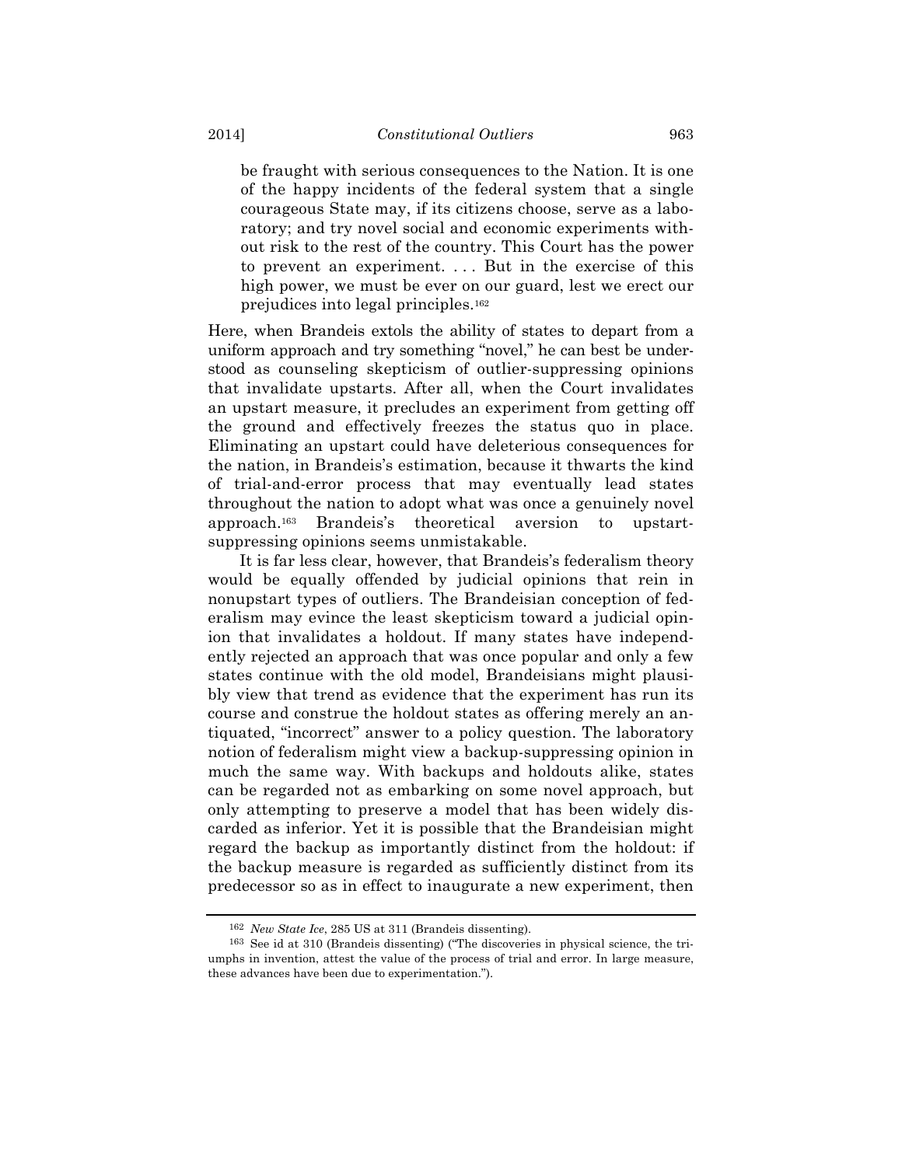be fraught with serious consequences to the Nation. It is one of the happy incidents of the federal system that a single courageous State may, if its citizens choose, serve as a laboratory; and try novel social and economic experiments without risk to the rest of the country. This Court has the power to prevent an experiment. . . . But in the exercise of this high power, we must be ever on our guard, lest we erect our prejudices into legal principles.162

Here, when Brandeis extols the ability of states to depart from a uniform approach and try something "novel," he can best be understood as counseling skepticism of outlier-suppressing opinions that invalidate upstarts. After all, when the Court invalidates an upstart measure, it precludes an experiment from getting off the ground and effectively freezes the status quo in place. Eliminating an upstart could have deleterious consequences for the nation, in Brandeis's estimation, because it thwarts the kind of trial-and-error process that may eventually lead states throughout the nation to adopt what was once a genuinely novel approach.163 Brandeis's theoretical aversion to upstartsuppressing opinions seems unmistakable.

It is far less clear, however, that Brandeis's federalism theory would be equally offended by judicial opinions that rein in nonupstart types of outliers. The Brandeisian conception of federalism may evince the least skepticism toward a judicial opinion that invalidates a holdout. If many states have independently rejected an approach that was once popular and only a few states continue with the old model, Brandeisians might plausibly view that trend as evidence that the experiment has run its course and construe the holdout states as offering merely an antiquated, "incorrect" answer to a policy question. The laboratory notion of federalism might view a backup-suppressing opinion in much the same way. With backups and holdouts alike, states can be regarded not as embarking on some novel approach, but only attempting to preserve a model that has been widely discarded as inferior. Yet it is possible that the Brandeisian might regard the backup as importantly distinct from the holdout: if the backup measure is regarded as sufficiently distinct from its predecessor so as in effect to inaugurate a new experiment, then

<sup>162</sup> *New State Ice*, 285 US at 311 (Brandeis dissenting).

<sup>163</sup> See id at 310 (Brandeis dissenting) ("The discoveries in physical science, the triumphs in invention, attest the value of the process of trial and error. In large measure, these advances have been due to experimentation.").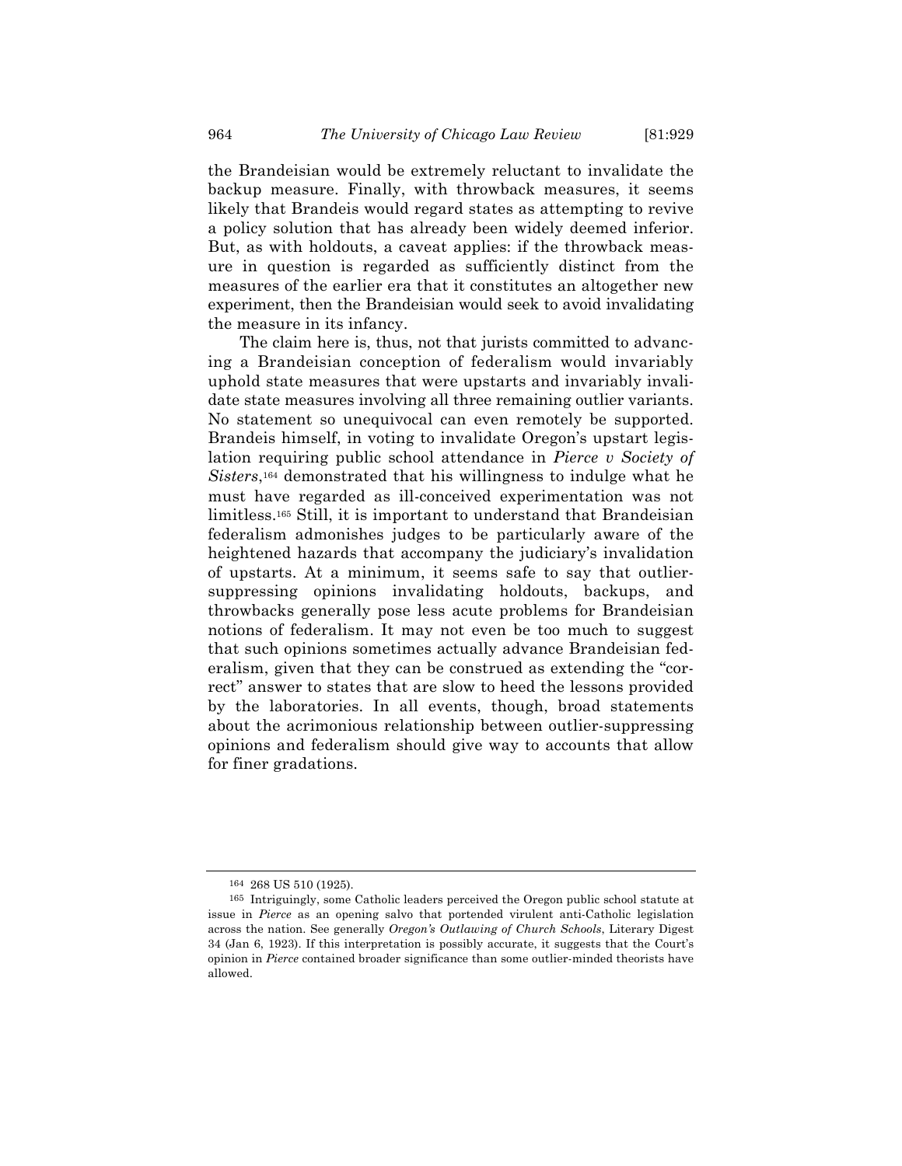the Brandeisian would be extremely reluctant to invalidate the backup measure. Finally, with throwback measures, it seems likely that Brandeis would regard states as attempting to revive a policy solution that has already been widely deemed inferior. But, as with holdouts, a caveat applies: if the throwback measure in question is regarded as sufficiently distinct from the measures of the earlier era that it constitutes an altogether new experiment, then the Brandeisian would seek to avoid invalidating the measure in its infancy.

The claim here is, thus, not that jurists committed to advancing a Brandeisian conception of federalism would invariably uphold state measures that were upstarts and invariably invalidate state measures involving all three remaining outlier variants. No statement so unequivocal can even remotely be supported. Brandeis himself, in voting to invalidate Oregon's upstart legislation requiring public school attendance in *Pierce v Society of Sisters*,164 demonstrated that his willingness to indulge what he must have regarded as ill-conceived experimentation was not limitless.165 Still, it is important to understand that Brandeisian federalism admonishes judges to be particularly aware of the heightened hazards that accompany the judiciary's invalidation of upstarts. At a minimum, it seems safe to say that outliersuppressing opinions invalidating holdouts, backups, and throwbacks generally pose less acute problems for Brandeisian notions of federalism. It may not even be too much to suggest that such opinions sometimes actually advance Brandeisian federalism, given that they can be construed as extending the "correct" answer to states that are slow to heed the lessons provided by the laboratories. In all events, though, broad statements about the acrimonious relationship between outlier-suppressing opinions and federalism should give way to accounts that allow for finer gradations.

<sup>164</sup> 268 US 510 (1925).

<sup>165</sup> Intriguingly, some Catholic leaders perceived the Oregon public school statute at issue in *Pierce* as an opening salvo that portended virulent anti-Catholic legislation across the nation. See generally *Oregon's Outlawing of Church Schools*, Literary Digest 34 (Jan 6, 1923). If this interpretation is possibly accurate, it suggests that the Court's opinion in *Pierce* contained broader significance than some outlier-minded theorists have allowed.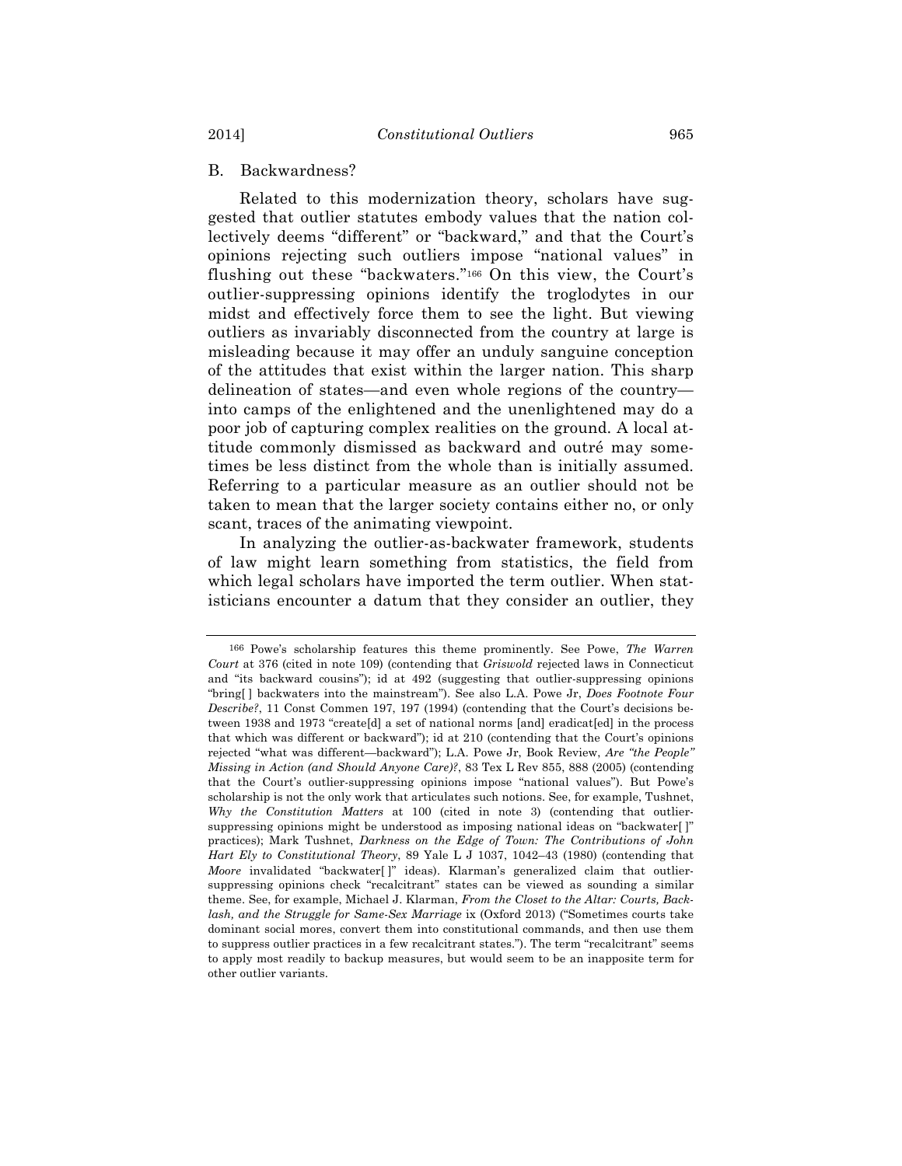# B. Backwardness?

Related to this modernization theory, scholars have suggested that outlier statutes embody values that the nation collectively deems "different" or "backward," and that the Court's opinions rejecting such outliers impose "national values" in flushing out these "backwaters."166 On this view, the Court's outlier-suppressing opinions identify the troglodytes in our midst and effectively force them to see the light. But viewing outliers as invariably disconnected from the country at large is misleading because it may offer an unduly sanguine conception of the attitudes that exist within the larger nation. This sharp delineation of states—and even whole regions of the country into camps of the enlightened and the unenlightened may do a poor job of capturing complex realities on the ground. A local attitude commonly dismissed as backward and outré may sometimes be less distinct from the whole than is initially assumed. Referring to a particular measure as an outlier should not be taken to mean that the larger society contains either no, or only scant, traces of the animating viewpoint.

In analyzing the outlier-as-backwater framework, students of law might learn something from statistics, the field from which legal scholars have imported the term outlier. When statisticians encounter a datum that they consider an outlier, they

<sup>166</sup> Powe's scholarship features this theme prominently. See Powe, *The Warren Court* at 376 (cited in note 109) (contending that *Griswold* rejected laws in Connecticut and "its backward cousins"); id at 492 (suggesting that outlier-suppressing opinions "bring[ ] backwaters into the mainstream"). See also L.A. Powe Jr, *Does Footnote Four Describe?*, 11 Const Commen 197, 197 (1994) (contending that the Court's decisions between 1938 and 1973 "create[d] a set of national norms [and] eradicat[ed] in the process that which was different or backward"); id at 210 (contending that the Court's opinions rejected "what was different—backward"); L.A. Powe Jr, Book Review, *Are "the People" Missing in Action (and Should Anyone Care)?*, 83 Tex L Rev 855, 888 (2005) (contending that the Court's outlier-suppressing opinions impose "national values"). But Powe's scholarship is not the only work that articulates such notions. See, for example, Tushnet, *Why the Constitution Matters* at 100 (cited in note 3) (contending that outliersuppressing opinions might be understood as imposing national ideas on "backwater[ ]" practices); Mark Tushnet, *Darkness on the Edge of Town: The Contributions of John Hart Ely to Constitutional Theory*, 89 Yale L J 1037, 1042–43 (1980) (contending that *Moore* invalidated "backwater[ ]" ideas). Klarman's generalized claim that outliersuppressing opinions check "recalcitrant" states can be viewed as sounding a similar theme. See, for example, Michael J. Klarman, *From the Closet to the Altar: Courts, Backlash, and the Struggle for Same-Sex Marriage* ix (Oxford 2013) ("Sometimes courts take dominant social mores, convert them into constitutional commands, and then use them to suppress outlier practices in a few recalcitrant states."). The term "recalcitrant" seems to apply most readily to backup measures, but would seem to be an inapposite term for other outlier variants.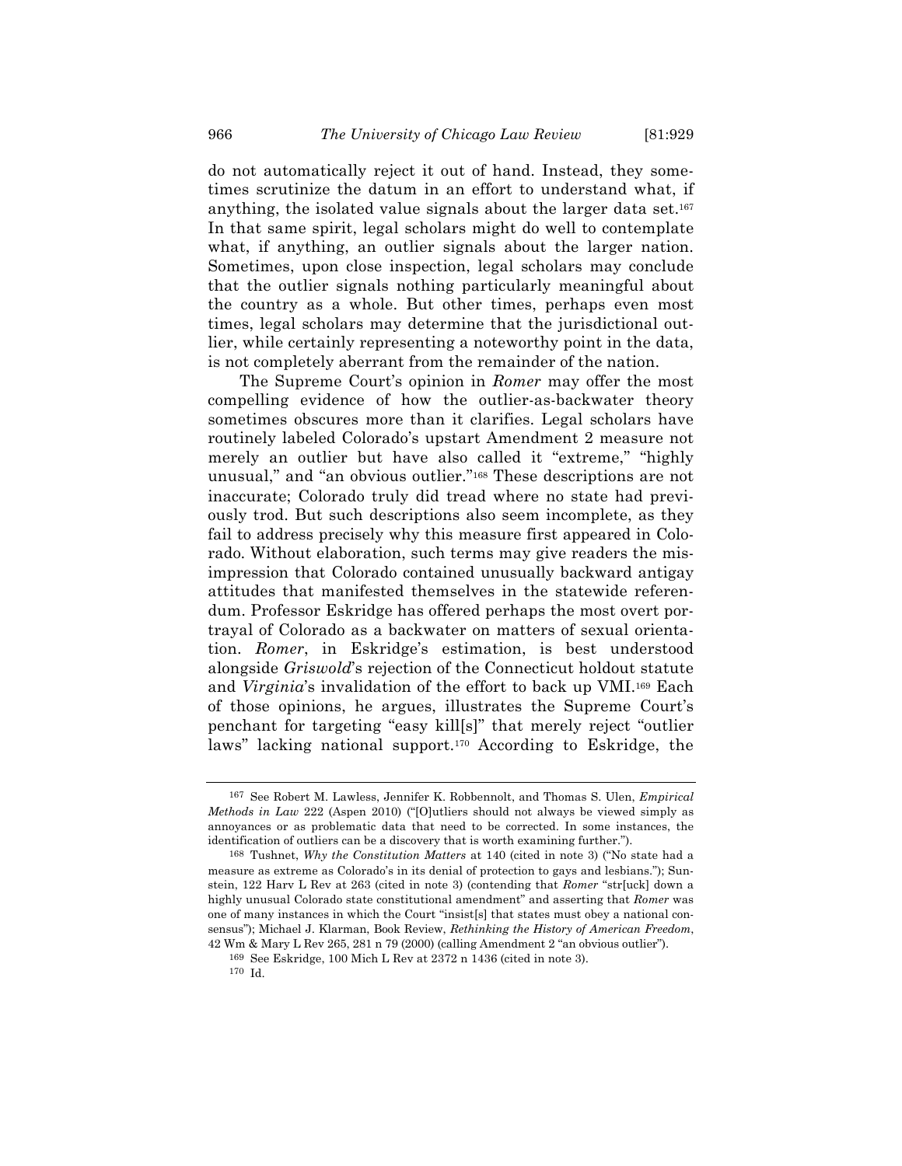do not automatically reject it out of hand. Instead, they sometimes scrutinize the datum in an effort to understand what, if anything, the isolated value signals about the larger data set.167 In that same spirit, legal scholars might do well to contemplate what, if anything, an outlier signals about the larger nation. Sometimes, upon close inspection, legal scholars may conclude that the outlier signals nothing particularly meaningful about the country as a whole. But other times, perhaps even most times, legal scholars may determine that the jurisdictional outlier, while certainly representing a noteworthy point in the data, is not completely aberrant from the remainder of the nation.

The Supreme Court's opinion in *Romer* may offer the most compelling evidence of how the outlier-as-backwater theory sometimes obscures more than it clarifies. Legal scholars have routinely labeled Colorado's upstart Amendment 2 measure not merely an outlier but have also called it "extreme," "highly unusual," and "an obvious outlier."168 These descriptions are not inaccurate; Colorado truly did tread where no state had previously trod. But such descriptions also seem incomplete, as they fail to address precisely why this measure first appeared in Colorado. Without elaboration, such terms may give readers the misimpression that Colorado contained unusually backward antigay attitudes that manifested themselves in the statewide referendum. Professor Eskridge has offered perhaps the most overt portrayal of Colorado as a backwater on matters of sexual orientation. *Romer*, in Eskridge's estimation, is best understood alongside *Griswold*'s rejection of the Connecticut holdout statute and *Virginia*'s invalidation of the effort to back up VMI.169 Each of those opinions, he argues, illustrates the Supreme Court's penchant for targeting "easy kill[s]" that merely reject "outlier laws" lacking national support.170 According to Eskridge, the

<sup>167</sup> See Robert M. Lawless, Jennifer K. Robbennolt, and Thomas S. Ulen, *Empirical Methods in Law* 222 (Aspen 2010) ("[O]utliers should not always be viewed simply as annoyances or as problematic data that need to be corrected. In some instances, the identification of outliers can be a discovery that is worth examining further.").

<sup>168</sup> Tushnet, *Why the Constitution Matters* at 140 (cited in note 3) ("No state had a measure as extreme as Colorado's in its denial of protection to gays and lesbians."); Sunstein, 122 Harv L Rev at 263 (cited in note 3) (contending that *Romer* "str[uck] down a highly unusual Colorado state constitutional amendment" and asserting that *Romer* was one of many instances in which the Court "insist[s] that states must obey a national consensus"); Michael J. Klarman, Book Review, *Rethinking the History of American Freedom*, 42 Wm & Mary L Rev 265, 281 n 79 (2000) (calling Amendment 2 "an obvious outlier").

<sup>169</sup> See Eskridge, 100 Mich L Rev at 2372 n 1436 (cited in note 3).

<sup>170</sup> Id.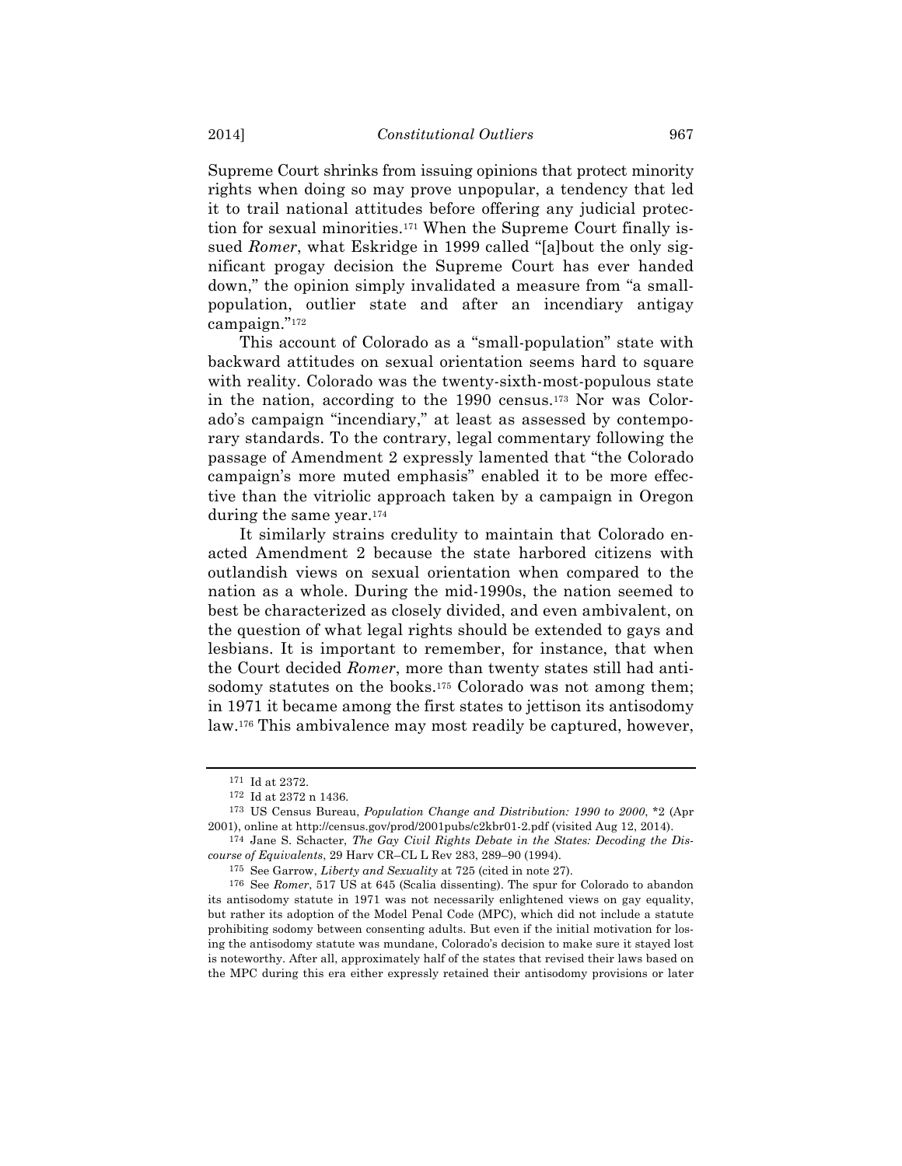Supreme Court shrinks from issuing opinions that protect minority rights when doing so may prove unpopular, a tendency that led it to trail national attitudes before offering any judicial protection for sexual minorities.171 When the Supreme Court finally issued *Romer*, what Eskridge in 1999 called "[a]bout the only significant progay decision the Supreme Court has ever handed down," the opinion simply invalidated a measure from "a smallpopulation, outlier state and after an incendiary antigay campaign."172

This account of Colorado as a "small-population" state with backward attitudes on sexual orientation seems hard to square with reality. Colorado was the twenty-sixth-most-populous state in the nation, according to the 1990 census.173 Nor was Colorado's campaign "incendiary," at least as assessed by contemporary standards. To the contrary, legal commentary following the passage of Amendment 2 expressly lamented that "the Colorado campaign's more muted emphasis" enabled it to be more effective than the vitriolic approach taken by a campaign in Oregon during the same year.174

It similarly strains credulity to maintain that Colorado enacted Amendment 2 because the state harbored citizens with outlandish views on sexual orientation when compared to the nation as a whole. During the mid-1990s, the nation seemed to best be characterized as closely divided, and even ambivalent, on the question of what legal rights should be extended to gays and lesbians. It is important to remember, for instance, that when the Court decided *Romer*, more than twenty states still had antisodomy statutes on the books.<sup>175</sup> Colorado was not among them; in 1971 it became among the first states to jettison its antisodomy law.176 This ambivalence may most readily be captured, however,

<sup>171</sup> Id at 2372.

<sup>172</sup> Id at 2372 n 1436.

<sup>173</sup> US Census Bureau, *Population Change and Distribution: 1990 to 2000*, \*2 (Apr 2001), online at http://census.gov/prod/2001pubs/c2kbr01-2.pdf (visited Aug 12, 2014).

<sup>174</sup> Jane S. Schacter, *The Gay Civil Rights Debate in the States: Decoding the Discourse of Equivalents*, 29 Harv CR–CL L Rev 283, 289–90 (1994).

<sup>175</sup> See Garrow, *Liberty and Sexuality* at 725 (cited in note 27).

<sup>176</sup> See *Romer*, 517 US at 645 (Scalia dissenting). The spur for Colorado to abandon its antisodomy statute in 1971 was not necessarily enlightened views on gay equality, but rather its adoption of the Model Penal Code (MPC), which did not include a statute prohibiting sodomy between consenting adults. But even if the initial motivation for losing the antisodomy statute was mundane, Colorado's decision to make sure it stayed lost is noteworthy. After all, approximately half of the states that revised their laws based on the MPC during this era either expressly retained their antisodomy provisions or later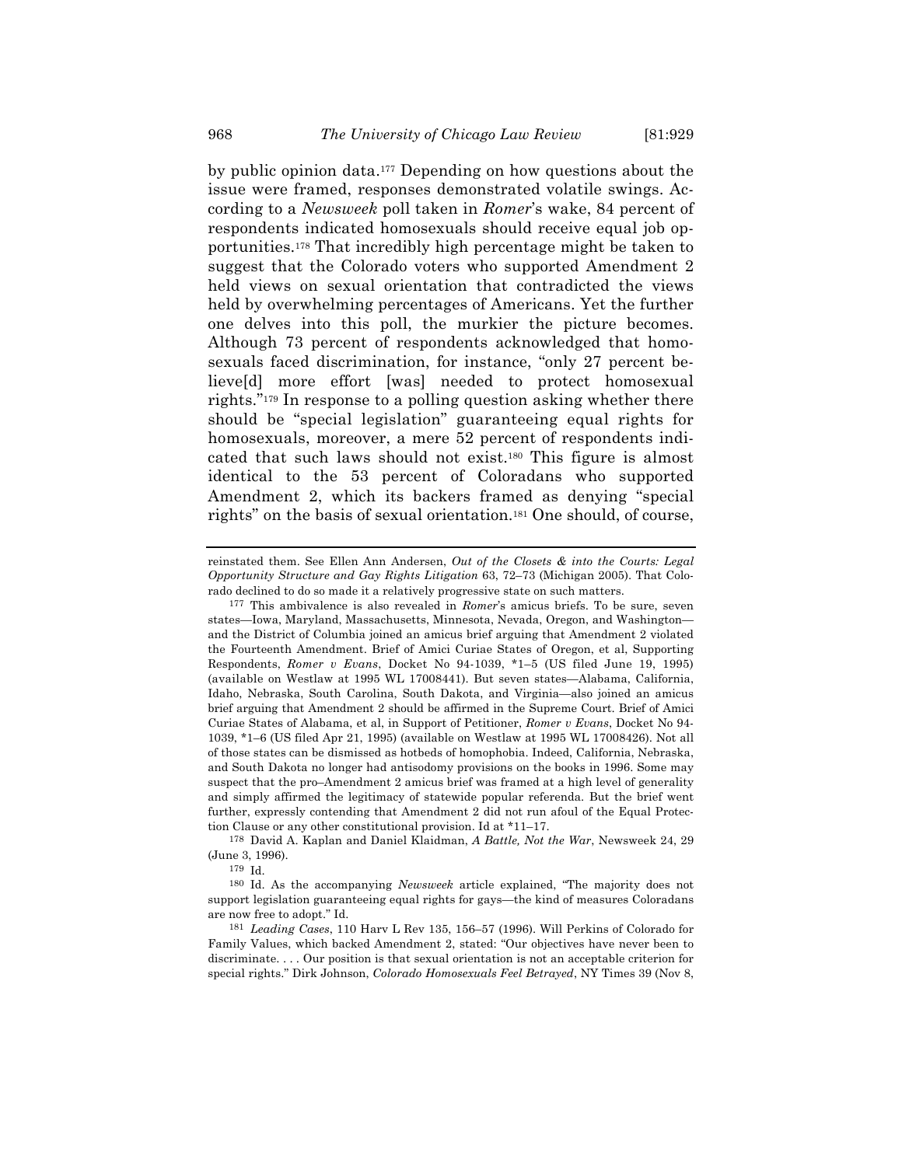by public opinion data.177 Depending on how questions about the issue were framed, responses demonstrated volatile swings. According to a *Newsweek* poll taken in *Romer*'s wake, 84 percent of respondents indicated homosexuals should receive equal job opportunities.178 That incredibly high percentage might be taken to suggest that the Colorado voters who supported Amendment 2 held views on sexual orientation that contradicted the views held by overwhelming percentages of Americans. Yet the further one delves into this poll, the murkier the picture becomes. Although 73 percent of respondents acknowledged that homosexuals faced discrimination, for instance, "only 27 percent believe[d] more effort [was] needed to protect homosexual rights."179 In response to a polling question asking whether there should be "special legislation" guaranteeing equal rights for homosexuals, moreover, a mere 52 percent of respondents indicated that such laws should not exist.180 This figure is almost identical to the 53 percent of Coloradans who supported Amendment 2, which its backers framed as denying "special rights" on the basis of sexual orientation.181 One should, of course,

178 David A. Kaplan and Daniel Klaidman, *A Battle, Not the War*, Newsweek 24, 29 (June 3, 1996).

179 Id.

180 Id. As the accompanying *Newsweek* article explained, "The majority does not support legislation guaranteeing equal rights for gays—the kind of measures Coloradans are now free to adopt." Id.

181 *Leading Cases*, 110 Harv L Rev 135, 156–57 (1996). Will Perkins of Colorado for Family Values, which backed Amendment 2, stated: "Our objectives have never been to discriminate. . . . Our position is that sexual orientation is not an acceptable criterion for special rights." Dirk Johnson, *Colorado Homosexuals Feel Betrayed*, NY Times 39 (Nov 8,

reinstated them. See Ellen Ann Andersen, *Out of the Closets & into the Courts: Legal Opportunity Structure and Gay Rights Litigation* 63, 72–73 (Michigan 2005). That Colorado declined to do so made it a relatively progressive state on such matters.

<sup>177</sup> This ambivalence is also revealed in *Romer*'s amicus briefs. To be sure, seven states—Iowa, Maryland, Massachusetts, Minnesota, Nevada, Oregon, and Washington and the District of Columbia joined an amicus brief arguing that Amendment 2 violated the Fourteenth Amendment. Brief of Amici Curiae States of Oregon, et al, Supporting Respondents, *Romer v Evans*, Docket No 94-1039, \*1–5 (US filed June 19, 1995) (available on Westlaw at 1995 WL 17008441). But seven states—Alabama, California, Idaho, Nebraska, South Carolina, South Dakota, and Virginia—also joined an amicus brief arguing that Amendment 2 should be affirmed in the Supreme Court. Brief of Amici Curiae States of Alabama, et al, in Support of Petitioner, *Romer v Evans*, Docket No 94- 1039, \*1–6 (US filed Apr 21, 1995) (available on Westlaw at 1995 WL 17008426). Not all of those states can be dismissed as hotbeds of homophobia. Indeed, California, Nebraska, and South Dakota no longer had antisodomy provisions on the books in 1996. Some may suspect that the pro–Amendment 2 amicus brief was framed at a high level of generality and simply affirmed the legitimacy of statewide popular referenda. But the brief went further, expressly contending that Amendment 2 did not run afoul of the Equal Protection Clause or any other constitutional provision. Id at \*11–17.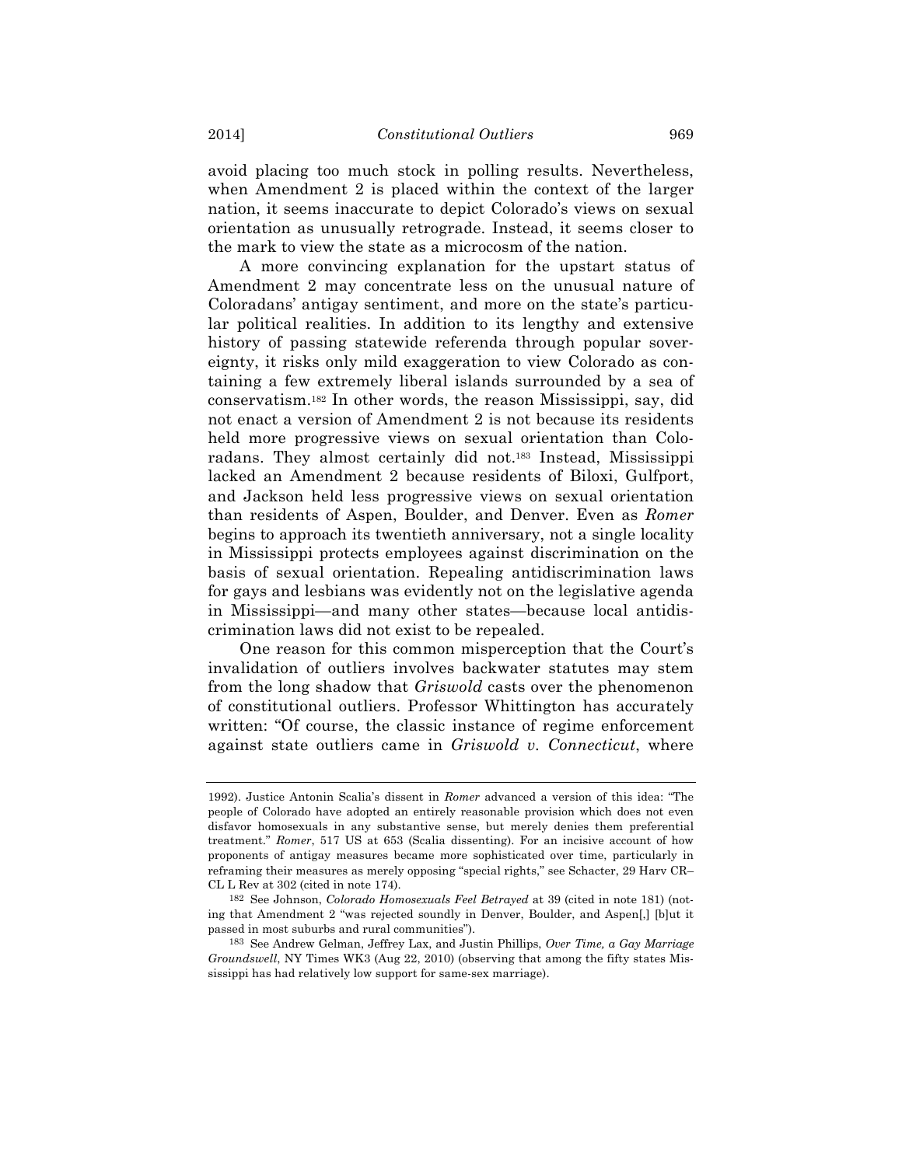avoid placing too much stock in polling results. Nevertheless, when Amendment 2 is placed within the context of the larger nation, it seems inaccurate to depict Colorado's views on sexual orientation as unusually retrograde. Instead, it seems closer to the mark to view the state as a microcosm of the nation.

A more convincing explanation for the upstart status of Amendment 2 may concentrate less on the unusual nature of Coloradans' antigay sentiment, and more on the state's particular political realities. In addition to its lengthy and extensive history of passing statewide referenda through popular sovereignty, it risks only mild exaggeration to view Colorado as containing a few extremely liberal islands surrounded by a sea of conservatism.182 In other words, the reason Mississippi, say, did not enact a version of Amendment 2 is not because its residents held more progressive views on sexual orientation than Coloradans. They almost certainly did not.183 Instead, Mississippi lacked an Amendment 2 because residents of Biloxi, Gulfport, and Jackson held less progressive views on sexual orientation than residents of Aspen, Boulder, and Denver. Even as *Romer* begins to approach its twentieth anniversary, not a single locality in Mississippi protects employees against discrimination on the basis of sexual orientation. Repealing antidiscrimination laws for gays and lesbians was evidently not on the legislative agenda in Mississippi—and many other states—because local antidiscrimination laws did not exist to be repealed.

One reason for this common misperception that the Court's invalidation of outliers involves backwater statutes may stem from the long shadow that *Griswold* casts over the phenomenon of constitutional outliers. Professor Whittington has accurately written: "Of course, the classic instance of regime enforcement against state outliers came in *Griswold v. Connecticut*, where

<sup>1992).</sup> Justice Antonin Scalia's dissent in *Romer* advanced a version of this idea: "The people of Colorado have adopted an entirely reasonable provision which does not even disfavor homosexuals in any substantive sense, but merely denies them preferential treatment." *Romer*, 517 US at 653 (Scalia dissenting). For an incisive account of how proponents of antigay measures became more sophisticated over time, particularly in reframing their measures as merely opposing "special rights," see Schacter, 29 Harv CR– CL L Rev at 302 (cited in note 174).

<sup>182</sup> See Johnson, *Colorado Homosexuals Feel Betrayed* at 39 (cited in note 181) (noting that Amendment 2 "was rejected soundly in Denver, Boulder, and Aspen[,] [b]ut it passed in most suburbs and rural communities").

<sup>183</sup> See Andrew Gelman, Jeffrey Lax, and Justin Phillips, *Over Time, a Gay Marriage Groundswell*, NY Times WK3 (Aug 22, 2010) (observing that among the fifty states Mississippi has had relatively low support for same-sex marriage).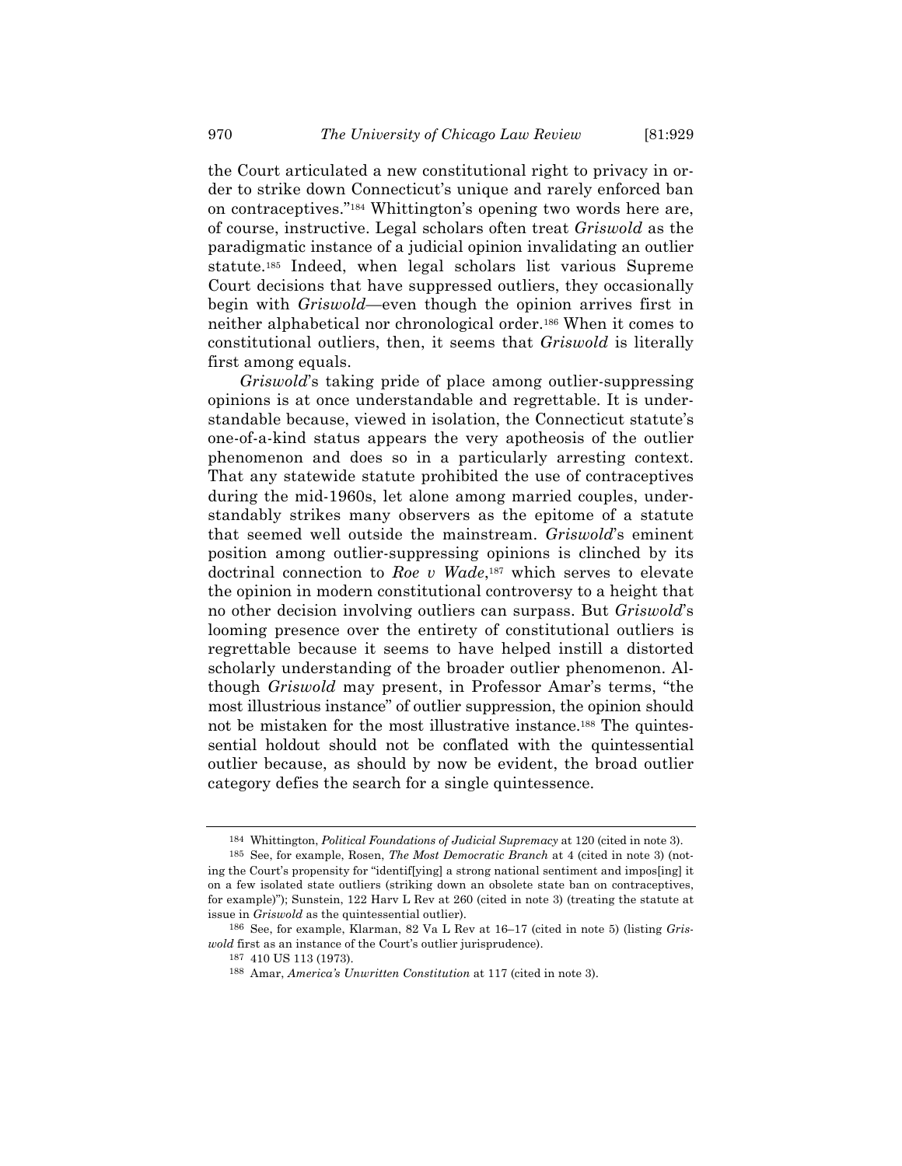the Court articulated a new constitutional right to privacy in order to strike down Connecticut's unique and rarely enforced ban on contraceptives."184 Whittington's opening two words here are, of course, instructive. Legal scholars often treat *Griswold* as the paradigmatic instance of a judicial opinion invalidating an outlier statute.185 Indeed, when legal scholars list various Supreme Court decisions that have suppressed outliers, they occasionally begin with *Griswold*—even though the opinion arrives first in neither alphabetical nor chronological order.186 When it comes to constitutional outliers, then, it seems that *Griswold* is literally first among equals.

*Griswold*'s taking pride of place among outlier-suppressing opinions is at once understandable and regrettable. It is understandable because, viewed in isolation, the Connecticut statute's one-of-a-kind status appears the very apotheosis of the outlier phenomenon and does so in a particularly arresting context. That any statewide statute prohibited the use of contraceptives during the mid-1960s, let alone among married couples, understandably strikes many observers as the epitome of a statute that seemed well outside the mainstream. *Griswold*'s eminent position among outlier-suppressing opinions is clinched by its doctrinal connection to *Roe v Wade*,187 which serves to elevate the opinion in modern constitutional controversy to a height that no other decision involving outliers can surpass. But *Griswold*'s looming presence over the entirety of constitutional outliers is regrettable because it seems to have helped instill a distorted scholarly understanding of the broader outlier phenomenon. Although *Griswold* may present, in Professor Amar's terms, "the most illustrious instance" of outlier suppression, the opinion should not be mistaken for the most illustrative instance.188 The quintessential holdout should not be conflated with the quintessential outlier because, as should by now be evident, the broad outlier category defies the search for a single quintessence.

<sup>184</sup> Whittington, *Political Foundations of Judicial Supremacy* at 120 (cited in note 3).

<sup>185</sup> See, for example, Rosen, *The Most Democratic Branch* at 4 (cited in note 3) (noting the Court's propensity for "identif[ying] a strong national sentiment and impos[ing] it on a few isolated state outliers (striking down an obsolete state ban on contraceptives, for example)"); Sunstein, 122 Harv L Rev at 260 (cited in note 3) (treating the statute at issue in *Griswold* as the quintessential outlier).

<sup>186</sup> See, for example, Klarman, 82 Va L Rev at 16–17 (cited in note 5) (listing *Griswold* first as an instance of the Court's outlier jurisprudence).

<sup>187</sup> 410 US 113 (1973).

<sup>188</sup> Amar, *America's Unwritten Constitution* at 117 (cited in note 3).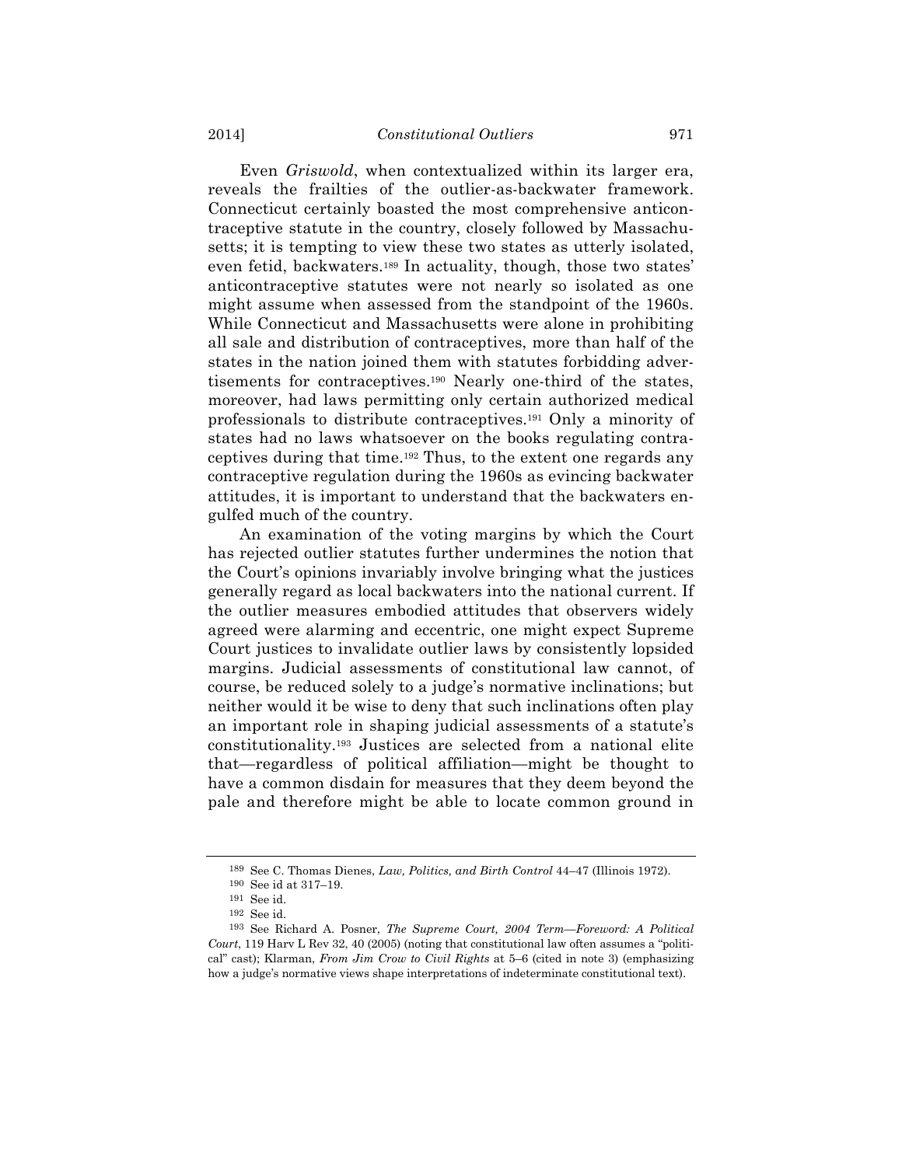Even *Griswold*, when contextualized within its larger era, reveals the frailties of the outlier-as-backwater framework. Connecticut certainly boasted the most comprehensive anticontraceptive statute in the country, closely followed by Massachusetts; it is tempting to view these two states as utterly isolated, even fetid, backwaters.189 In actuality, though, those two states' anticontraceptive statutes were not nearly so isolated as one might assume when assessed from the standpoint of the 1960s. While Connecticut and Massachusetts were alone in prohibiting all sale and distribution of contraceptives, more than half of the states in the nation joined them with statutes forbidding advertisements for contraceptives.190 Nearly one-third of the states, moreover, had laws permitting only certain authorized medical professionals to distribute contraceptives.191 Only a minority of states had no laws whatsoever on the books regulating contraceptives during that time.192 Thus, to the extent one regards any contraceptive regulation during the 1960s as evincing backwater attitudes, it is important to understand that the backwaters engulfed much of the country.

An examination of the voting margins by which the Court has rejected outlier statutes further undermines the notion that the Court's opinions invariably involve bringing what the justices generally regard as local backwaters into the national current. If the outlier measures embodied attitudes that observers widely agreed were alarming and eccentric, one might expect Supreme Court justices to invalidate outlier laws by consistently lopsided margins. Judicial assessments of constitutional law cannot, of course, be reduced solely to a judge's normative inclinations; but neither would it be wise to deny that such inclinations often play an important role in shaping judicial assessments of a statute's constitutionality.193 Justices are selected from a national elite that—regardless of political affiliation—might be thought to have a common disdain for measures that they deem beyond the pale and therefore might be able to locate common ground in

<sup>189</sup> See C. Thomas Dienes, *Law, Politics, and Birth Control* 44–47 (Illinois 1972). 190 See id at 317–19.

<sup>191</sup> See id.

<sup>192</sup> See id.

<sup>193</sup> See Richard A. Posner, *The Supreme Court, 2004 Term—Foreword: A Political Court*, 119 Harv L Rev 32, 40 (2005) (noting that constitutional law often assumes a "political" cast); Klarman, *From Jim Crow to Civil Rights* at 5–6 (cited in note 3) (emphasizing how a judge's normative views shape interpretations of indeterminate constitutional text).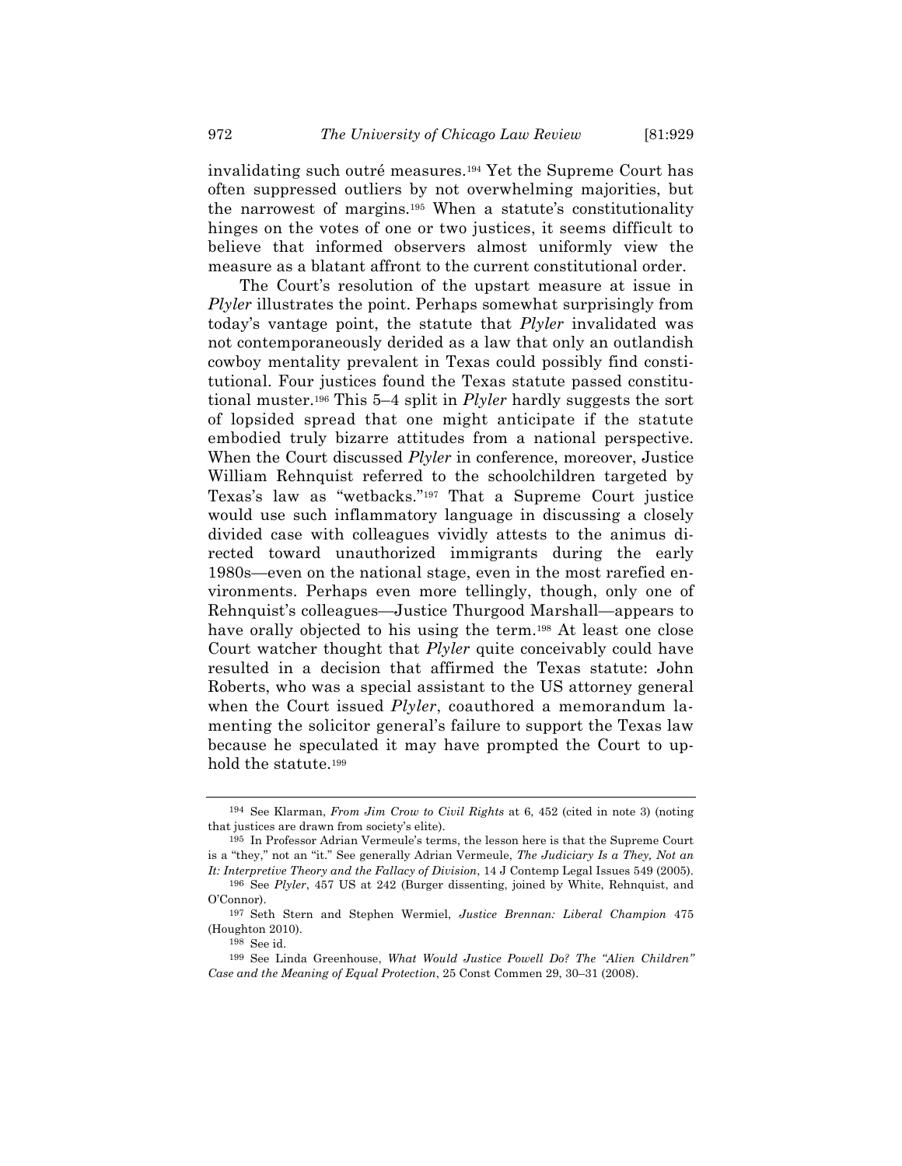invalidating such outré measures.194 Yet the Supreme Court has often suppressed outliers by not overwhelming majorities, but the narrowest of margins.195 When a statute's constitutionality hinges on the votes of one or two justices, it seems difficult to believe that informed observers almost uniformly view the measure as a blatant affront to the current constitutional order.

The Court's resolution of the upstart measure at issue in *Plyler* illustrates the point. Perhaps somewhat surprisingly from today's vantage point, the statute that *Plyler* invalidated was not contemporaneously derided as a law that only an outlandish cowboy mentality prevalent in Texas could possibly find constitutional. Four justices found the Texas statute passed constitutional muster.196 This 5–4 split in *Plyler* hardly suggests the sort of lopsided spread that one might anticipate if the statute embodied truly bizarre attitudes from a national perspective. When the Court discussed *Plyler* in conference, moreover, Justice William Rehnquist referred to the schoolchildren targeted by Texas's law as "wetbacks."197 That a Supreme Court justice would use such inflammatory language in discussing a closely divided case with colleagues vividly attests to the animus directed toward unauthorized immigrants during the early 1980s—even on the national stage, even in the most rarefied environments. Perhaps even more tellingly, though, only one of Rehnquist's colleagues—Justice Thurgood Marshall—appears to have orally objected to his using the term.<sup>198</sup> At least one close Court watcher thought that *Plyler* quite conceivably could have resulted in a decision that affirmed the Texas statute: John Roberts, who was a special assistant to the US attorney general when the Court issued *Plyler*, coauthored a memorandum lamenting the solicitor general's failure to support the Texas law because he speculated it may have prompted the Court to uphold the statute.199

<sup>194</sup> See Klarman, *From Jim Crow to Civil Rights* at 6, 452 (cited in note 3) (noting that justices are drawn from society's elite).

<sup>195</sup> In Professor Adrian Vermeule's terms, the lesson here is that the Supreme Court is a "they," not an "it." See generally Adrian Vermeule, *The Judiciary Is a They, Not an It: Interpretive Theory and the Fallacy of Division*, 14 J Contemp Legal Issues 549 (2005).

<sup>196</sup> See *Plyler*, 457 US at 242 (Burger dissenting, joined by White, Rehnquist, and O'Connor).

<sup>197</sup> Seth Stern and Stephen Wermiel, *Justice Brennan: Liberal Champion* 475 (Houghton 2010).

<sup>198</sup> See id.

<sup>199</sup> See Linda Greenhouse, *What Would Justice Powell Do? The "Alien Children" Case and the Meaning of Equal Protection*, 25 Const Commen 29, 30–31 (2008).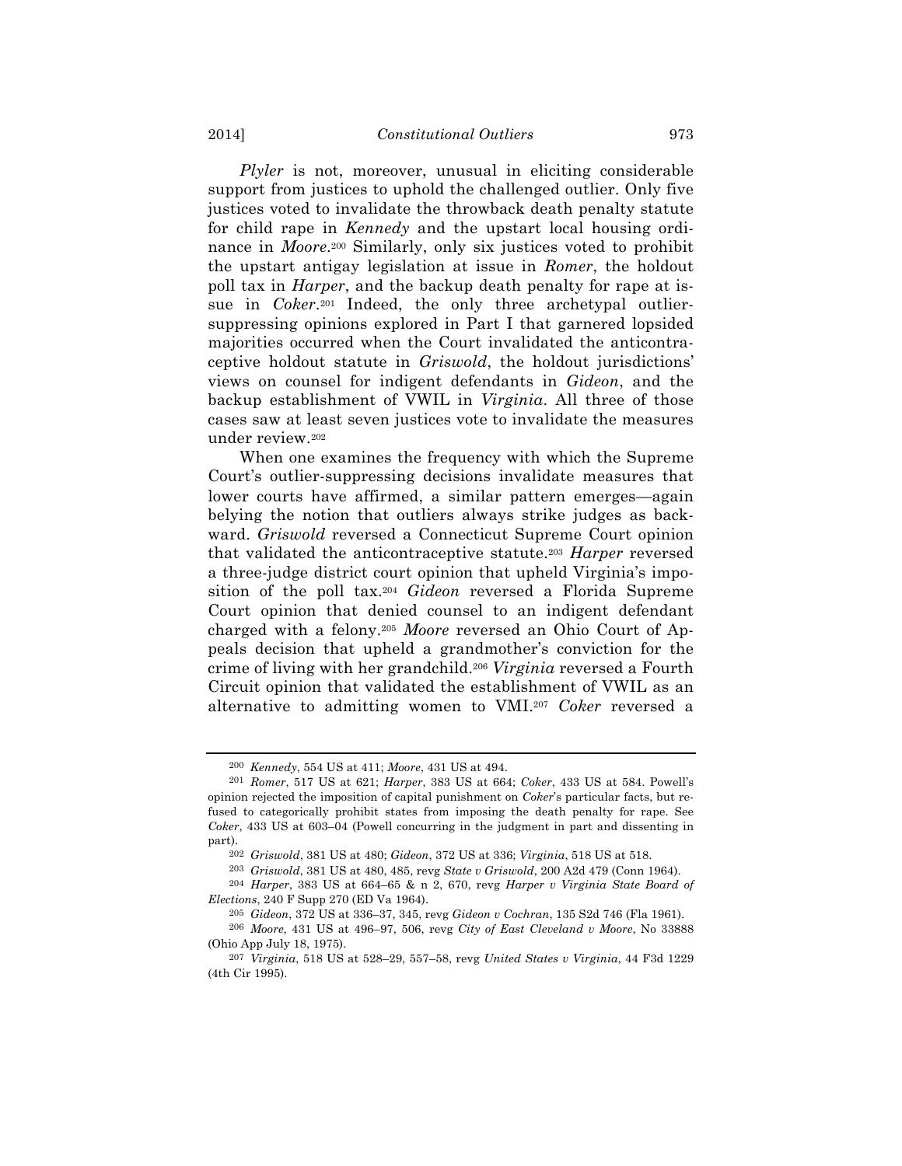*Plyler* is not, moreover, unusual in eliciting considerable support from justices to uphold the challenged outlier. Only five justices voted to invalidate the throwback death penalty statute for child rape in *Kennedy* and the upstart local housing ordinance in *Moore*.200 Similarly, only six justices voted to prohibit the upstart antigay legislation at issue in *Romer*, the holdout poll tax in *Harper*, and the backup death penalty for rape at issue in *Coker*.201 Indeed, the only three archetypal outliersuppressing opinions explored in Part I that garnered lopsided majorities occurred when the Court invalidated the anticontraceptive holdout statute in *Griswold*, the holdout jurisdictions' views on counsel for indigent defendants in *Gideon*, and the backup establishment of VWIL in *Virginia*. All three of those cases saw at least seven justices vote to invalidate the measures under review.202

When one examines the frequency with which the Supreme Court's outlier-suppressing decisions invalidate measures that lower courts have affirmed, a similar pattern emerges—again belying the notion that outliers always strike judges as backward. *Griswold* reversed a Connecticut Supreme Court opinion that validated the anticontraceptive statute.203 *Harper* reversed a three-judge district court opinion that upheld Virginia's imposition of the poll tax.204 *Gideon* reversed a Florida Supreme Court opinion that denied counsel to an indigent defendant charged with a felony.205 *Moore* reversed an Ohio Court of Appeals decision that upheld a grandmother's conviction for the crime of living with her grandchild.206 *Virginia* reversed a Fourth Circuit opinion that validated the establishment of VWIL as an alternative to admitting women to VMI.207 *Coker* reversed a

<sup>200</sup> *Kennedy*, 554 US at 411; *Moore*, 431 US at 494.

<sup>201</sup> *Romer*, 517 US at 621; *Harper*, 383 US at 664; *Coker*, 433 US at 584. Powell's opinion rejected the imposition of capital punishment on *Coker*'s particular facts, but refused to categorically prohibit states from imposing the death penalty for rape. See *Coker*, 433 US at 603–04 (Powell concurring in the judgment in part and dissenting in part).

<sup>202</sup> *Griswold*, 381 US at 480; *Gideon*, 372 US at 336; *Virginia*, 518 US at 518.

<sup>203</sup> *Griswold*, 381 US at 480, 485, revg *State v Griswold*, 200 A2d 479 (Conn 1964).

<sup>204</sup> *Harper*, 383 US at 664–65 & n 2, 670, revg *Harper v Virginia State Board of Elections*, 240 F Supp 270 (ED Va 1964).

<sup>205</sup> *Gideon*, 372 US at 336–37, 345, revg *Gideon v Cochran*, 135 S2d 746 (Fla 1961).

<sup>206</sup> *Moore*, 431 US at 496–97, 506, revg *City of East Cleveland v Moore*, No 33888 (Ohio App July 18, 1975).

<sup>207</sup> *Virginia*, 518 US at 528–29, 557–58, revg *United States v Virginia*, 44 F3d 1229 (4th Cir 1995).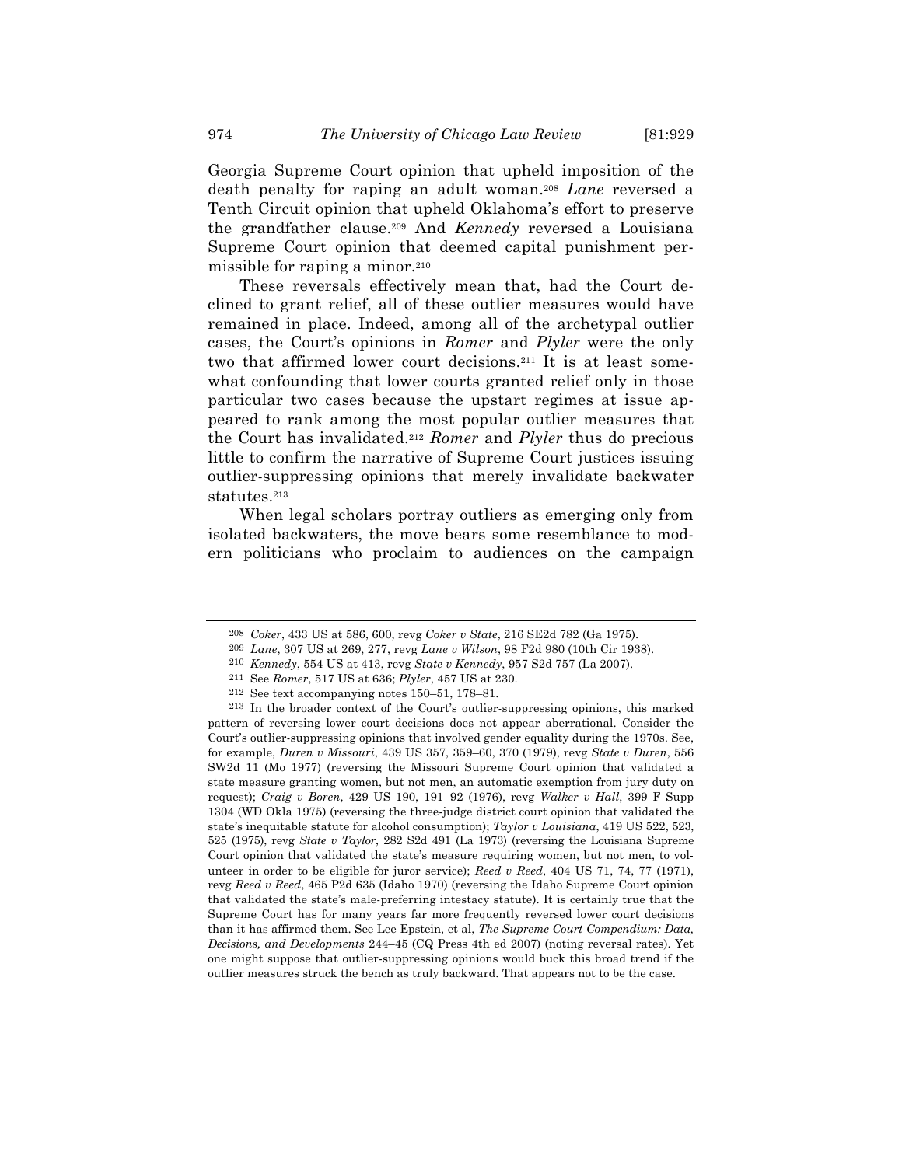Georgia Supreme Court opinion that upheld imposition of the death penalty for raping an adult woman.208 *Lane* reversed a Tenth Circuit opinion that upheld Oklahoma's effort to preserve the grandfather clause.209 And *Kennedy* reversed a Louisiana Supreme Court opinion that deemed capital punishment permissible for raping a minor.210

These reversals effectively mean that, had the Court declined to grant relief, all of these outlier measures would have remained in place. Indeed, among all of the archetypal outlier cases, the Court's opinions in *Romer* and *Plyler* were the only two that affirmed lower court decisions.211 It is at least somewhat confounding that lower courts granted relief only in those particular two cases because the upstart regimes at issue appeared to rank among the most popular outlier measures that the Court has invalidated.212 *Romer* and *Plyler* thus do precious little to confirm the narrative of Supreme Court justices issuing outlier-suppressing opinions that merely invalidate backwater statutes.213

When legal scholars portray outliers as emerging only from isolated backwaters, the move bears some resemblance to modern politicians who proclaim to audiences on the campaign

<sup>208</sup> *Coker*, 433 US at 586, 600, revg *Coker v State*, 216 SE2d 782 (Ga 1975).

<sup>209</sup> *Lane*, 307 US at 269, 277, revg *Lane v Wilson*, 98 F2d 980 (10th Cir 1938).

<sup>210</sup> *Kennedy*, 554 US at 413, revg *State v Kennedy*, 957 S2d 757 (La 2007).

<sup>211</sup> See *Romer*, 517 US at 636; *Plyler*, 457 US at 230.

<sup>212</sup> See text accompanying notes 150–51, 178–81.

<sup>213</sup> In the broader context of the Court's outlier-suppressing opinions, this marked pattern of reversing lower court decisions does not appear aberrational. Consider the Court's outlier-suppressing opinions that involved gender equality during the 1970s. See, for example, *Duren v Missouri*, 439 US 357, 359–60, 370 (1979), revg *State v Duren*, 556 SW2d 11 (Mo 1977) (reversing the Missouri Supreme Court opinion that validated a state measure granting women, but not men, an automatic exemption from jury duty on request); *Craig v Boren*, 429 US 190, 191–92 (1976), revg *Walker v Hall*, 399 F Supp 1304 (WD Okla 1975) (reversing the three-judge district court opinion that validated the state's inequitable statute for alcohol consumption); *Taylor v Louisiana*, 419 US 522, 523, 525 (1975), revg *State v Taylor*, 282 S2d 491 (La 1973) (reversing the Louisiana Supreme Court opinion that validated the state's measure requiring women, but not men, to volunteer in order to be eligible for juror service); *Reed v Reed*, 404 US 71, 74, 77 (1971), revg *Reed v Reed*, 465 P2d 635 (Idaho 1970) (reversing the Idaho Supreme Court opinion that validated the state's male-preferring intestacy statute). It is certainly true that the Supreme Court has for many years far more frequently reversed lower court decisions than it has affirmed them. See Lee Epstein, et al, *The Supreme Court Compendium: Data, Decisions, and Developments* 244–45 (CQ Press 4th ed 2007) (noting reversal rates). Yet one might suppose that outlier-suppressing opinions would buck this broad trend if the outlier measures struck the bench as truly backward. That appears not to be the case.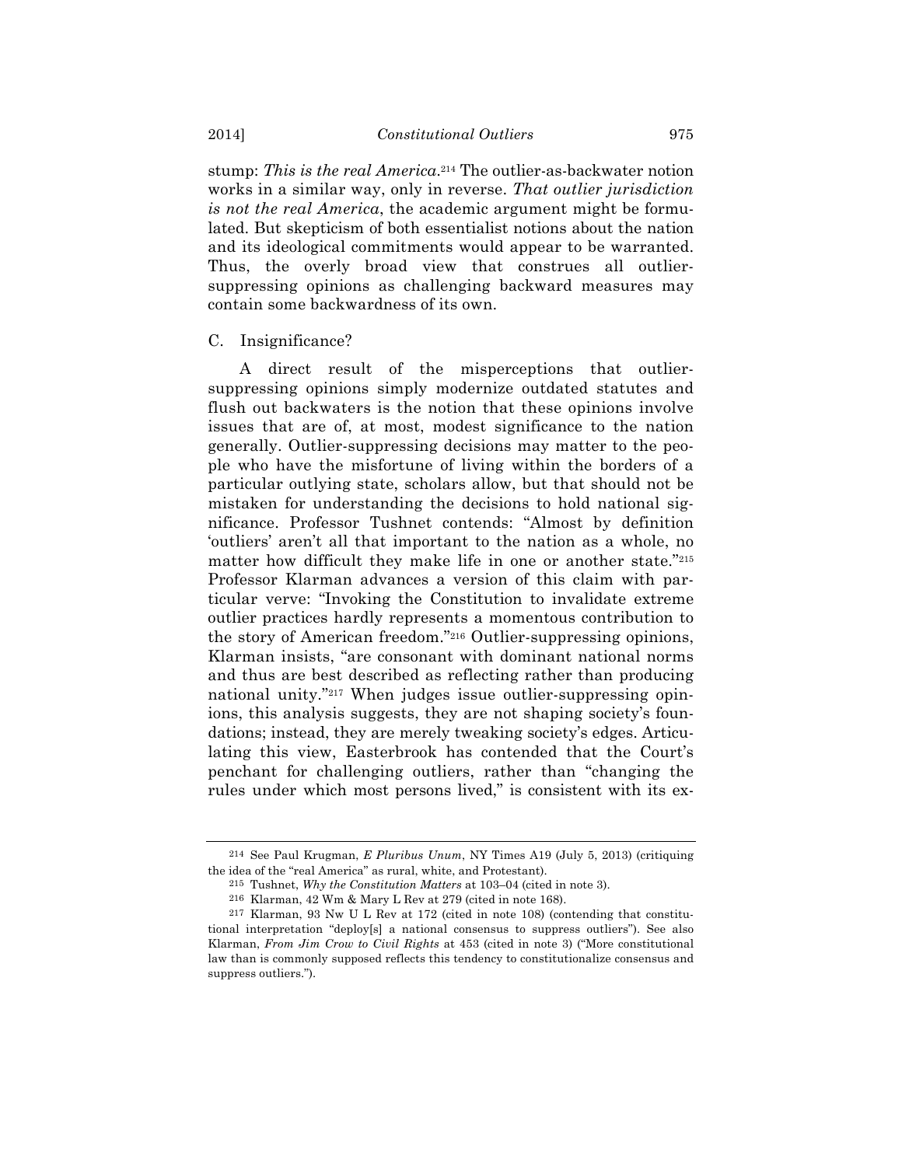stump: *This is the real America*.214 The outlier-as-backwater notion works in a similar way, only in reverse. *That outlier jurisdiction is not the real America*, the academic argument might be formulated. But skepticism of both essentialist notions about the nation and its ideological commitments would appear to be warranted. Thus, the overly broad view that construes all outliersuppressing opinions as challenging backward measures may contain some backwardness of its own.

#### C. Insignificance?

A direct result of the misperceptions that outliersuppressing opinions simply modernize outdated statutes and flush out backwaters is the notion that these opinions involve issues that are of, at most, modest significance to the nation generally. Outlier-suppressing decisions may matter to the people who have the misfortune of living within the borders of a particular outlying state, scholars allow, but that should not be mistaken for understanding the decisions to hold national significance. Professor Tushnet contends: "Almost by definition 'outliers' aren't all that important to the nation as a whole, no matter how difficult they make life in one or another state."215 Professor Klarman advances a version of this claim with particular verve: "Invoking the Constitution to invalidate extreme outlier practices hardly represents a momentous contribution to the story of American freedom."216 Outlier-suppressing opinions, Klarman insists, "are consonant with dominant national norms and thus are best described as reflecting rather than producing national unity."217 When judges issue outlier-suppressing opinions, this analysis suggests, they are not shaping society's foundations; instead, they are merely tweaking society's edges. Articulating this view, Easterbrook has contended that the Court's penchant for challenging outliers, rather than "changing the rules under which most persons lived," is consistent with its ex-

<sup>214</sup> See Paul Krugman, *E Pluribus Unum*, NY Times A19 (July 5, 2013) (critiquing the idea of the "real America" as rural, white, and Protestant).

<sup>215</sup> Tushnet, *Why the Constitution Matters* at 103–04 (cited in note 3).

<sup>216</sup> Klarman, 42 Wm & Mary L Rev at 279 (cited in note 168).

<sup>217</sup> Klarman, 93 Nw U L Rev at 172 (cited in note 108) (contending that constitutional interpretation "deploy[s] a national consensus to suppress outliers"). See also Klarman, *From Jim Crow to Civil Rights* at 453 (cited in note 3) ("More constitutional law than is commonly supposed reflects this tendency to constitutionalize consensus and suppress outliers.").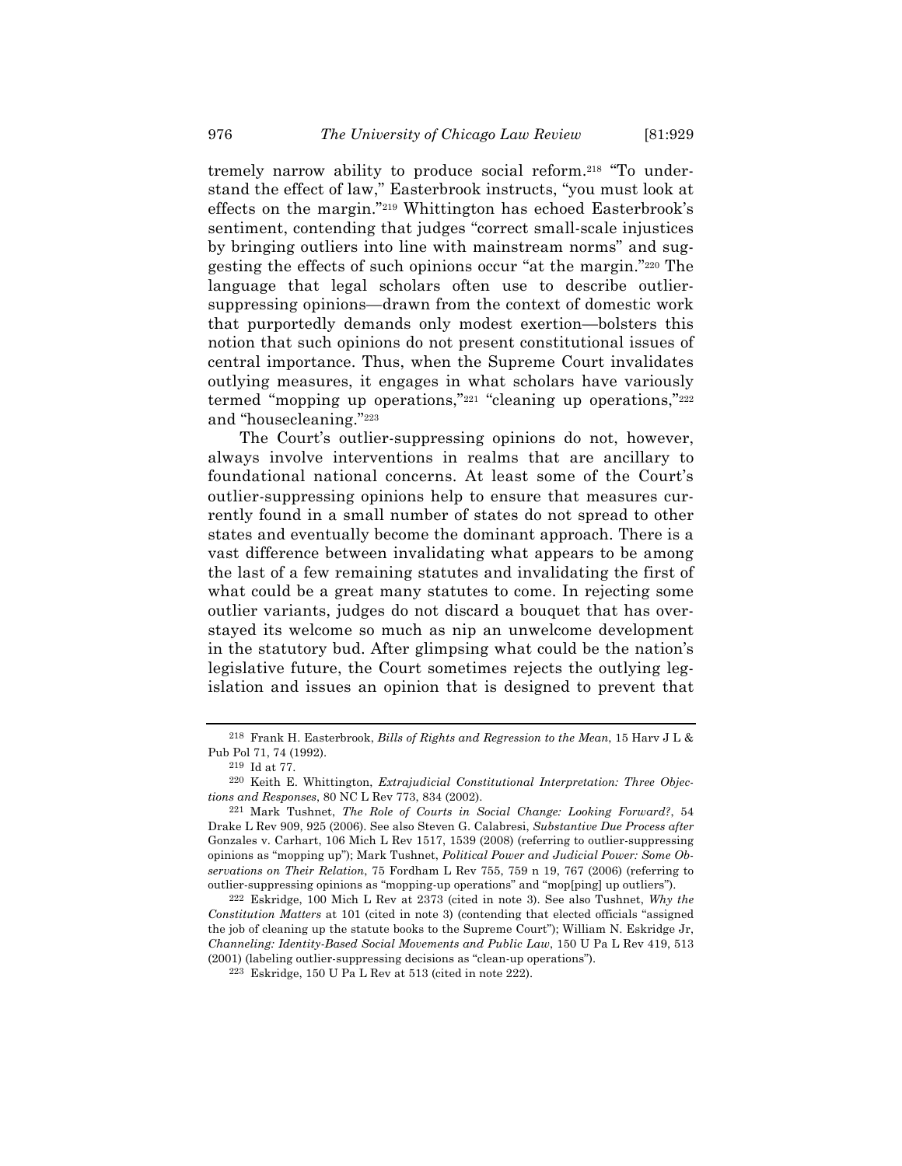tremely narrow ability to produce social reform.218 "To understand the effect of law," Easterbrook instructs, "you must look at effects on the margin."219 Whittington has echoed Easterbrook's sentiment, contending that judges "correct small-scale injustices by bringing outliers into line with mainstream norms" and suggesting the effects of such opinions occur "at the margin."220 The language that legal scholars often use to describe outliersuppressing opinions—drawn from the context of domestic work that purportedly demands only modest exertion—bolsters this notion that such opinions do not present constitutional issues of central importance. Thus, when the Supreme Court invalidates outlying measures, it engages in what scholars have variously termed "mopping up operations,"221 "cleaning up operations,"222 and "housecleaning."223

The Court's outlier-suppressing opinions do not, however, always involve interventions in realms that are ancillary to foundational national concerns. At least some of the Court's outlier-suppressing opinions help to ensure that measures currently found in a small number of states do not spread to other states and eventually become the dominant approach. There is a vast difference between invalidating what appears to be among the last of a few remaining statutes and invalidating the first of what could be a great many statutes to come. In rejecting some outlier variants, judges do not discard a bouquet that has overstayed its welcome so much as nip an unwelcome development in the statutory bud. After glimpsing what could be the nation's legislative future, the Court sometimes rejects the outlying legislation and issues an opinion that is designed to prevent that

<sup>218</sup> Frank H. Easterbrook, *Bills of Rights and Regression to the Mean*, 15 Harv J L & Pub Pol 71, 74 (1992).

<sup>219</sup> Id at 77.

<sup>220</sup> Keith E. Whittington, *Extrajudicial Constitutional Interpretation: Three Objections and Responses*, 80 NC L Rev 773, 834 (2002).

<sup>221</sup> Mark Tushnet, *The Role of Courts in Social Change: Looking Forward?*, 54 Drake L Rev 909, 925 (2006). See also Steven G. Calabresi, *Substantive Due Process after* Gonzales v. Carhart, 106 Mich L Rev 1517, 1539 (2008) (referring to outlier-suppressing opinions as "mopping up"); Mark Tushnet, *Political Power and Judicial Power: Some Observations on Their Relation*, 75 Fordham L Rev 755, 759 n 19, 767 (2006) (referring to outlier-suppressing opinions as "mopping-up operations" and "mop[ping] up outliers").

<sup>222</sup> Eskridge, 100 Mich L Rev at 2373 (cited in note 3). See also Tushnet, *Why the Constitution Matters* at 101 (cited in note 3) (contending that elected officials "assigned the job of cleaning up the statute books to the Supreme Court"); William N. Eskridge Jr, *Channeling: Identity-Based Social Movements and Public Law*, 150 U Pa L Rev 419, 513 (2001) (labeling outlier-suppressing decisions as "clean-up operations").

<sup>223</sup> Eskridge, 150 U Pa L Rev at 513 (cited in note 222).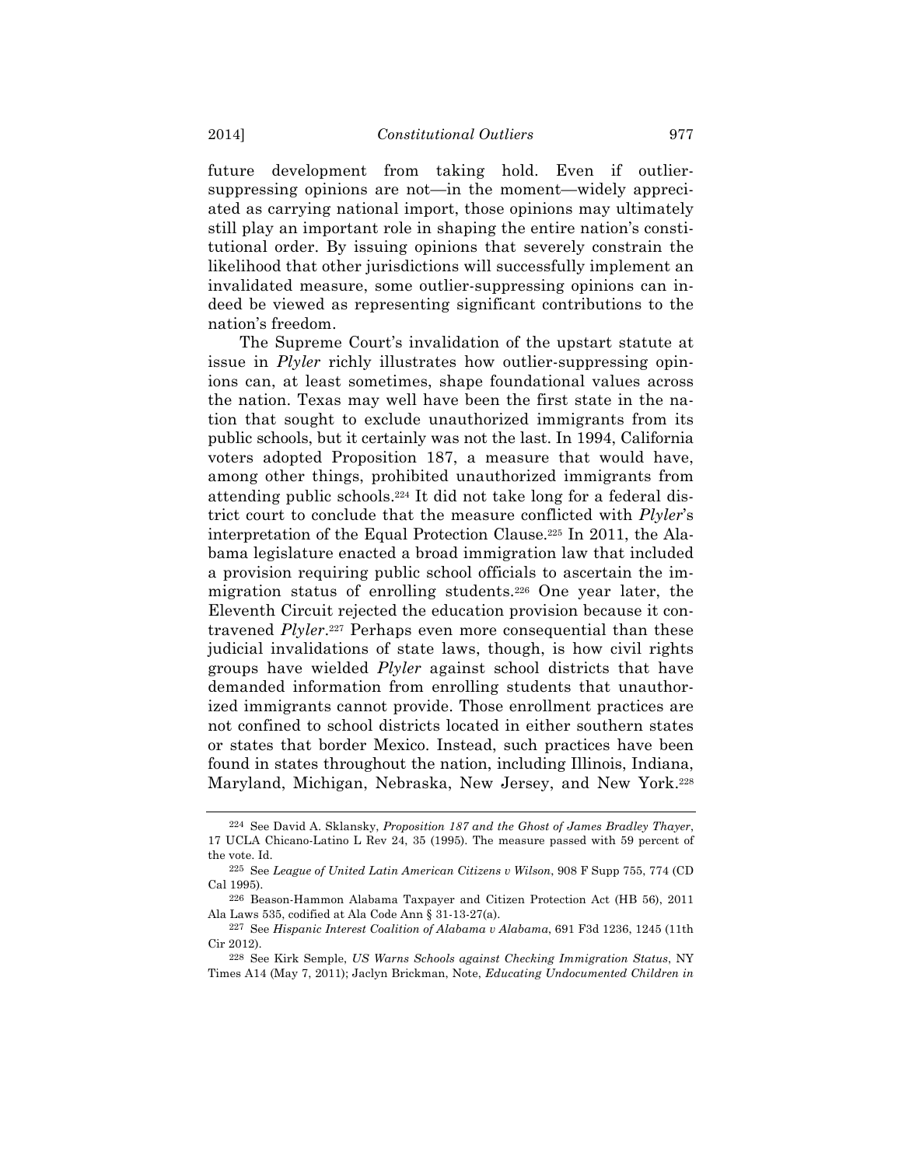future development from taking hold. Even if outliersuppressing opinions are not—in the moment—widely appreciated as carrying national import, those opinions may ultimately still play an important role in shaping the entire nation's constitutional order. By issuing opinions that severely constrain the likelihood that other jurisdictions will successfully implement an invalidated measure, some outlier-suppressing opinions can indeed be viewed as representing significant contributions to the nation's freedom.

The Supreme Court's invalidation of the upstart statute at issue in *Plyler* richly illustrates how outlier-suppressing opinions can, at least sometimes, shape foundational values across the nation. Texas may well have been the first state in the nation that sought to exclude unauthorized immigrants from its public schools, but it certainly was not the last. In 1994, California voters adopted Proposition 187, a measure that would have, among other things, prohibited unauthorized immigrants from attending public schools.224 It did not take long for a federal district court to conclude that the measure conflicted with *Plyler*'s interpretation of the Equal Protection Clause.225 In 2011, the Alabama legislature enacted a broad immigration law that included a provision requiring public school officials to ascertain the immigration status of enrolling students.226 One year later, the Eleventh Circuit rejected the education provision because it contravened *Plyler*.227 Perhaps even more consequential than these judicial invalidations of state laws, though, is how civil rights groups have wielded *Plyler* against school districts that have demanded information from enrolling students that unauthorized immigrants cannot provide. Those enrollment practices are not confined to school districts located in either southern states or states that border Mexico. Instead, such practices have been found in states throughout the nation, including Illinois, Indiana, Maryland, Michigan, Nebraska, New Jersey, and New York.228

<sup>224</sup> See David A. Sklansky, *Proposition 187 and the Ghost of James Bradley Thayer*, 17 UCLA Chicano-Latino L Rev 24, 35 (1995). The measure passed with 59 percent of the vote. Id.

<sup>225</sup> See *League of United Latin American Citizens v Wilson*, 908 F Supp 755, 774 (CD Cal 1995).

<sup>226</sup> Beason-Hammon Alabama Taxpayer and Citizen Protection Act (HB 56), 2011 Ala Laws 535, codified at Ala Code Ann § 31-13-27(a).

<sup>227</sup> See *Hispanic Interest Coalition of Alabama v Alabama*, 691 F3d 1236, 1245 (11th Cir 2012).

<sup>228</sup> See Kirk Semple, *US Warns Schools against Checking Immigration Status*, NY Times A14 (May 7, 2011); Jaclyn Brickman, Note, *Educating Undocumented Children in*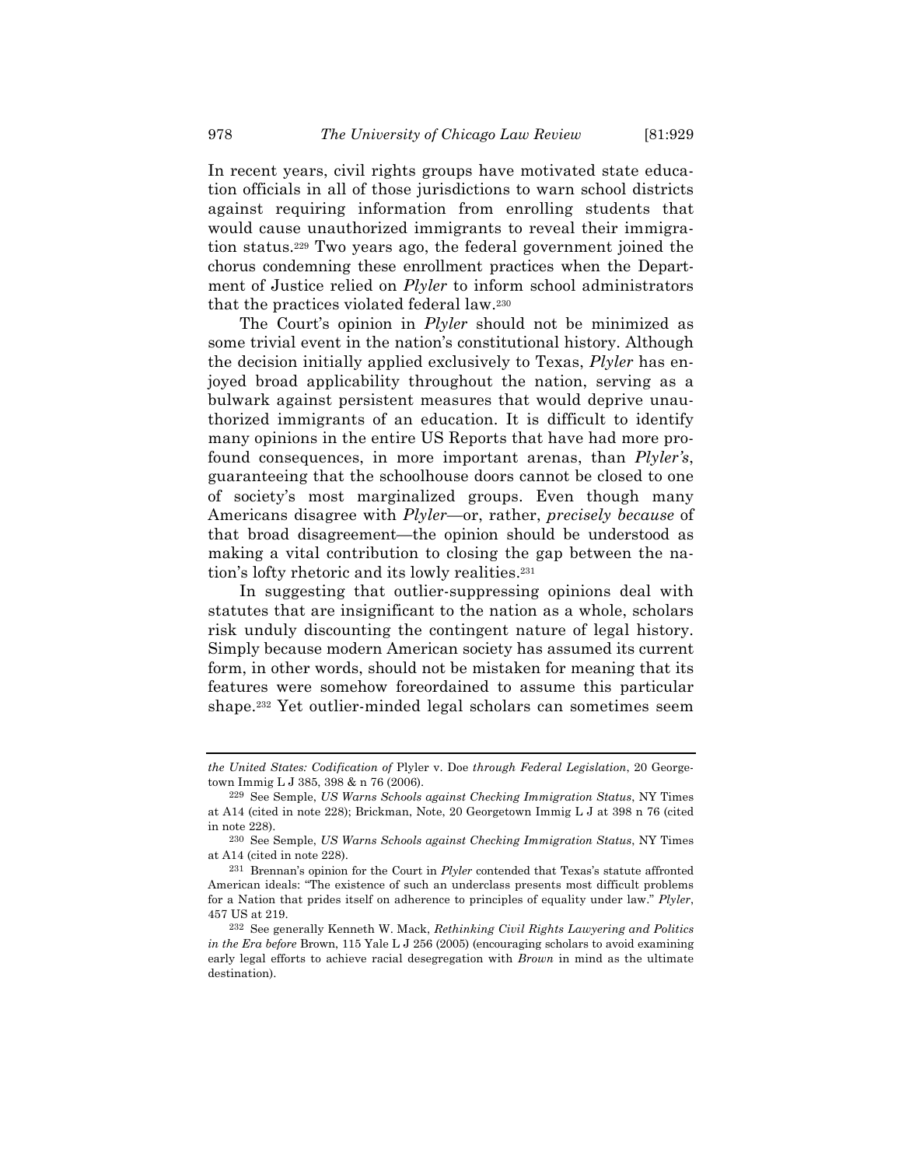In recent years, civil rights groups have motivated state education officials in all of those jurisdictions to warn school districts against requiring information from enrolling students that would cause unauthorized immigrants to reveal their immigration status.229 Two years ago, the federal government joined the chorus condemning these enrollment practices when the Department of Justice relied on *Plyler* to inform school administrators that the practices violated federal law.230

The Court's opinion in *Plyler* should not be minimized as some trivial event in the nation's constitutional history. Although the decision initially applied exclusively to Texas, *Plyler* has enjoyed broad applicability throughout the nation, serving as a bulwark against persistent measures that would deprive unauthorized immigrants of an education. It is difficult to identify many opinions in the entire US Reports that have had more profound consequences, in more important arenas, than *Plyler's*, guaranteeing that the schoolhouse doors cannot be closed to one of society's most marginalized groups. Even though many Americans disagree with *Plyler*—or, rather, *precisely because* of that broad disagreement—the opinion should be understood as making a vital contribution to closing the gap between the nation's lofty rhetoric and its lowly realities.231

In suggesting that outlier-suppressing opinions deal with statutes that are insignificant to the nation as a whole, scholars risk unduly discounting the contingent nature of legal history. Simply because modern American society has assumed its current form, in other words, should not be mistaken for meaning that its features were somehow foreordained to assume this particular shape.232 Yet outlier-minded legal scholars can sometimes seem

*the United States: Codification of* Plyler v. Doe *through Federal Legislation*, 20 Georgetown Immig L J 385, 398 & n 76 (2006).

<sup>229</sup> See Semple, *US Warns Schools against Checking Immigration Status*, NY Times at A14 (cited in note 228); Brickman, Note, 20 Georgetown Immig L J at 398 n 76 (cited in note 228).

<sup>230</sup> See Semple, *US Warns Schools against Checking Immigration Status*, NY Times at A14 (cited in note 228).

<sup>231</sup> Brennan's opinion for the Court in *Plyler* contended that Texas's statute affronted American ideals: "The existence of such an underclass presents most difficult problems for a Nation that prides itself on adherence to principles of equality under law." *Plyler*, 457 US at 219.

<sup>232</sup> See generally Kenneth W. Mack, *Rethinking Civil Rights Lawyering and Politics in the Era before* Brown, 115 Yale L J 256 (2005) (encouraging scholars to avoid examining early legal efforts to achieve racial desegregation with *Brown* in mind as the ultimate destination).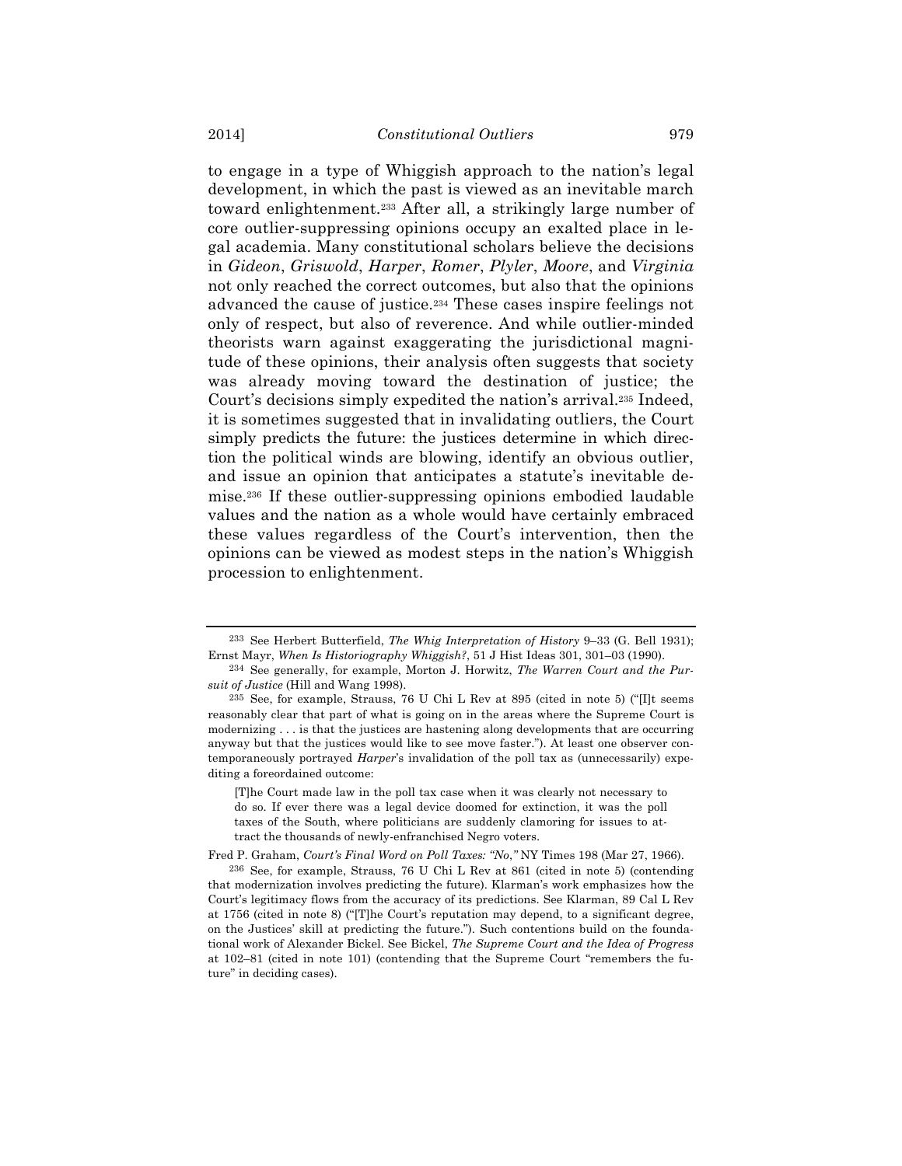to engage in a type of Whiggish approach to the nation's legal development, in which the past is viewed as an inevitable march toward enlightenment.233 After all, a strikingly large number of core outlier-suppressing opinions occupy an exalted place in legal academia. Many constitutional scholars believe the decisions in *Gideon*, *Griswold*, *Harper*, *Romer*, *Plyler*, *Moore*, and *Virginia* not only reached the correct outcomes, but also that the opinions advanced the cause of justice.234 These cases inspire feelings not only of respect, but also of reverence. And while outlier-minded theorists warn against exaggerating the jurisdictional magnitude of these opinions, their analysis often suggests that society was already moving toward the destination of justice; the Court's decisions simply expedited the nation's arrival.235 Indeed, it is sometimes suggested that in invalidating outliers, the Court simply predicts the future: the justices determine in which direction the political winds are blowing, identify an obvious outlier, and issue an opinion that anticipates a statute's inevitable demise.236 If these outlier-suppressing opinions embodied laudable values and the nation as a whole would have certainly embraced these values regardless of the Court's intervention, then the opinions can be viewed as modest steps in the nation's Whiggish procession to enlightenment.

Fred P. Graham, *Court's Final Word on Poll Taxes: "No*,*"* NY Times 198 (Mar 27, 1966).

<sup>233</sup> See Herbert Butterfield, *The Whig Interpretation of History* 9–33 (G. Bell 1931); Ernst Mayr, *When Is Historiography Whiggish?*, 51 J Hist Ideas 301, 301–03 (1990).

<sup>234</sup> See generally, for example, Morton J. Horwitz, *The Warren Court and the Pursuit of Justice* (Hill and Wang 1998).

<sup>235</sup> See, for example, Strauss, 76 U Chi L Rev at 895 (cited in note 5) ("[I]t seems reasonably clear that part of what is going on in the areas where the Supreme Court is modernizing . . . is that the justices are hastening along developments that are occurring anyway but that the justices would like to see move faster."). At least one observer contemporaneously portrayed *Harper*'s invalidation of the poll tax as (unnecessarily) expediting a foreordained outcome:

<sup>[</sup>T]he Court made law in the poll tax case when it was clearly not necessary to do so. If ever there was a legal device doomed for extinction, it was the poll taxes of the South, where politicians are suddenly clamoring for issues to attract the thousands of newly-enfranchised Negro voters.

<sup>236</sup> See, for example, Strauss, 76 U Chi L Rev at 861 (cited in note 5) (contending that modernization involves predicting the future). Klarman's work emphasizes how the Court's legitimacy flows from the accuracy of its predictions. See Klarman, 89 Cal L Rev at 1756 (cited in note 8) ("[T]he Court's reputation may depend, to a significant degree, on the Justices' skill at predicting the future."). Such contentions build on the foundational work of Alexander Bickel. See Bickel, *The Supreme Court and the Idea of Progress* at 102–81 (cited in note 101) (contending that the Supreme Court "remembers the future" in deciding cases).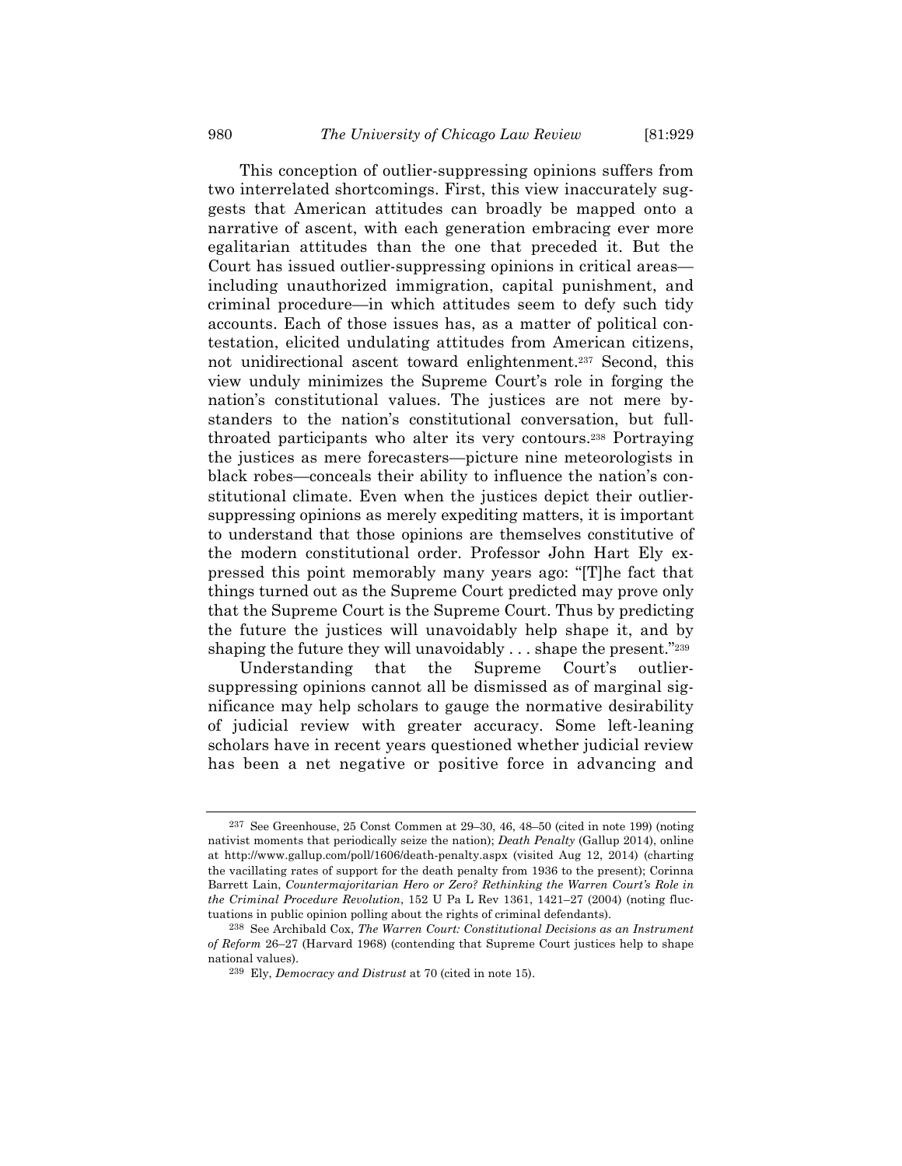This conception of outlier-suppressing opinions suffers from two interrelated shortcomings. First, this view inaccurately suggests that American attitudes can broadly be mapped onto a narrative of ascent, with each generation embracing ever more egalitarian attitudes than the one that preceded it. But the Court has issued outlier-suppressing opinions in critical areas including unauthorized immigration, capital punishment, and criminal procedure—in which attitudes seem to defy such tidy accounts. Each of those issues has, as a matter of political contestation, elicited undulating attitudes from American citizens, not unidirectional ascent toward enlightenment.237 Second, this view unduly minimizes the Supreme Court's role in forging the nation's constitutional values. The justices are not mere bystanders to the nation's constitutional conversation, but fullthroated participants who alter its very contours.238 Portraying the justices as mere forecasters—picture nine meteorologists in black robes—conceals their ability to influence the nation's constitutional climate. Even when the justices depict their outliersuppressing opinions as merely expediting matters, it is important to understand that those opinions are themselves constitutive of the modern constitutional order. Professor John Hart Ely expressed this point memorably many years ago: "[T]he fact that things turned out as the Supreme Court predicted may prove only that the Supreme Court is the Supreme Court. Thus by predicting the future the justices will unavoidably help shape it, and by shaping the future they will unavoidably  $\dots$  shape the present."<sup>239</sup>

Understanding that the Supreme Court's outliersuppressing opinions cannot all be dismissed as of marginal significance may help scholars to gauge the normative desirability of judicial review with greater accuracy. Some left-leaning scholars have in recent years questioned whether judicial review has been a net negative or positive force in advancing and

<sup>237</sup> See Greenhouse, 25 Const Commen at 29–30, 46, 48–50 (cited in note 199) (noting nativist moments that periodically seize the nation); *Death Penalty* (Gallup 2014), online at http://www.gallup.com/poll/1606/death-penalty.aspx (visited Aug 12, 2014) (charting the vacillating rates of support for the death penalty from 1936 to the present); Corinna Barrett Lain, *Countermajoritarian Hero or Zero? Rethinking the Warren Court's Role in the Criminal Procedure Revolution*, 152 U Pa L Rev 1361, 1421–27 (2004) (noting fluctuations in public opinion polling about the rights of criminal defendants).

<sup>238</sup> See Archibald Cox, *The Warren Court: Constitutional Decisions as an Instrument of Reform* 26–27 (Harvard 1968) (contending that Supreme Court justices help to shape national values).

<sup>239</sup> Ely, *Democracy and Distrust* at 70 (cited in note 15).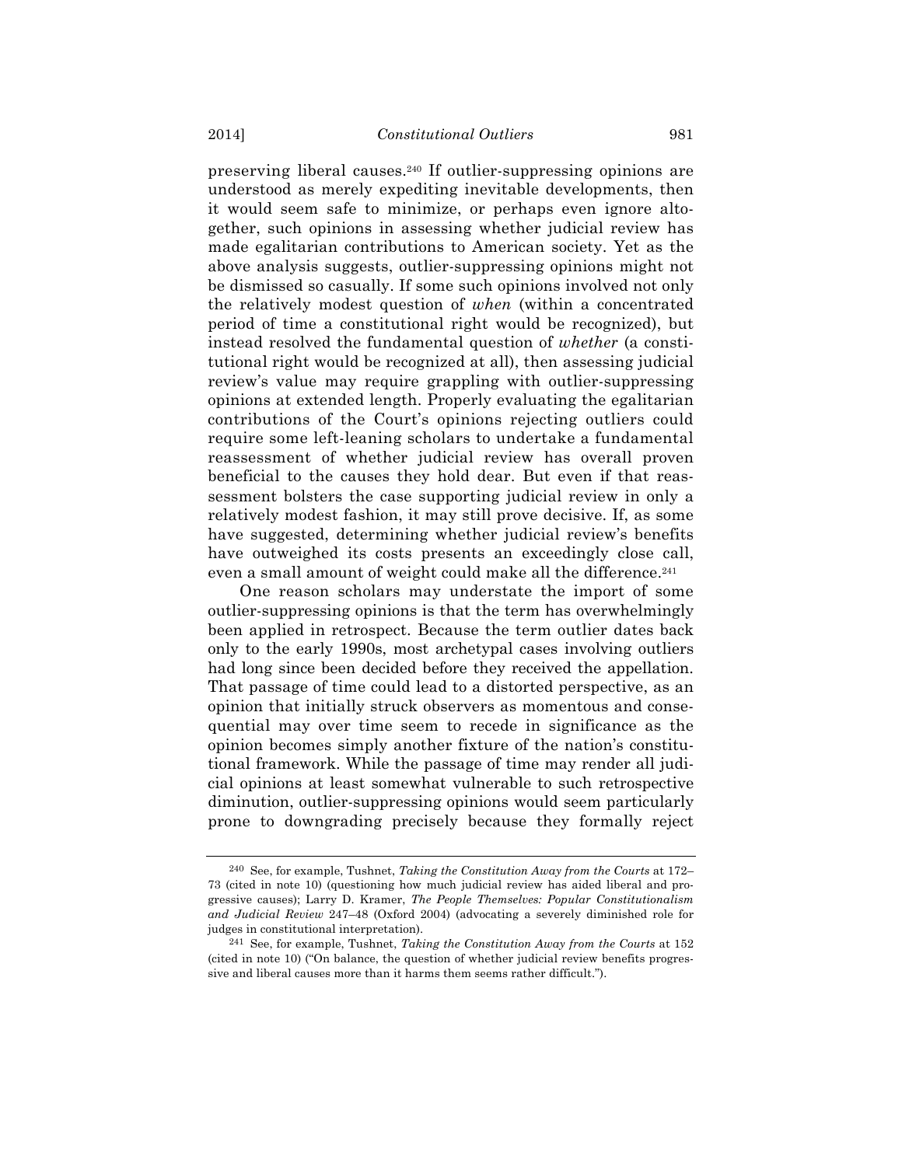preserving liberal causes.240 If outlier-suppressing opinions are understood as merely expediting inevitable developments, then it would seem safe to minimize, or perhaps even ignore altogether, such opinions in assessing whether judicial review has made egalitarian contributions to American society. Yet as the above analysis suggests, outlier-suppressing opinions might not be dismissed so casually. If some such opinions involved not only the relatively modest question of *when* (within a concentrated period of time a constitutional right would be recognized), but instead resolved the fundamental question of *whether* (a constitutional right would be recognized at all), then assessing judicial review's value may require grappling with outlier-suppressing opinions at extended length. Properly evaluating the egalitarian contributions of the Court's opinions rejecting outliers could require some left-leaning scholars to undertake a fundamental reassessment of whether judicial review has overall proven beneficial to the causes they hold dear. But even if that reassessment bolsters the case supporting judicial review in only a relatively modest fashion, it may still prove decisive. If, as some have suggested, determining whether judicial review's benefits have outweighed its costs presents an exceedingly close call, even a small amount of weight could make all the difference.<sup>241</sup>

One reason scholars may understate the import of some outlier-suppressing opinions is that the term has overwhelmingly been applied in retrospect. Because the term outlier dates back only to the early 1990s, most archetypal cases involving outliers had long since been decided before they received the appellation. That passage of time could lead to a distorted perspective, as an opinion that initially struck observers as momentous and consequential may over time seem to recede in significance as the opinion becomes simply another fixture of the nation's constitutional framework. While the passage of time may render all judicial opinions at least somewhat vulnerable to such retrospective diminution, outlier-suppressing opinions would seem particularly prone to downgrading precisely because they formally reject

<sup>240</sup> See, for example, Tushnet, *Taking the Constitution Away from the Courts* at 172– 73 (cited in note 10) (questioning how much judicial review has aided liberal and progressive causes); Larry D. Kramer, *The People Themselves: Popular Constitutionalism and Judicial Review* 247–48 (Oxford 2004) (advocating a severely diminished role for judges in constitutional interpretation).

<sup>241</sup> See, for example, Tushnet, *Taking the Constitution Away from the Courts* at 152 (cited in note 10) ("On balance, the question of whether judicial review benefits progressive and liberal causes more than it harms them seems rather difficult.").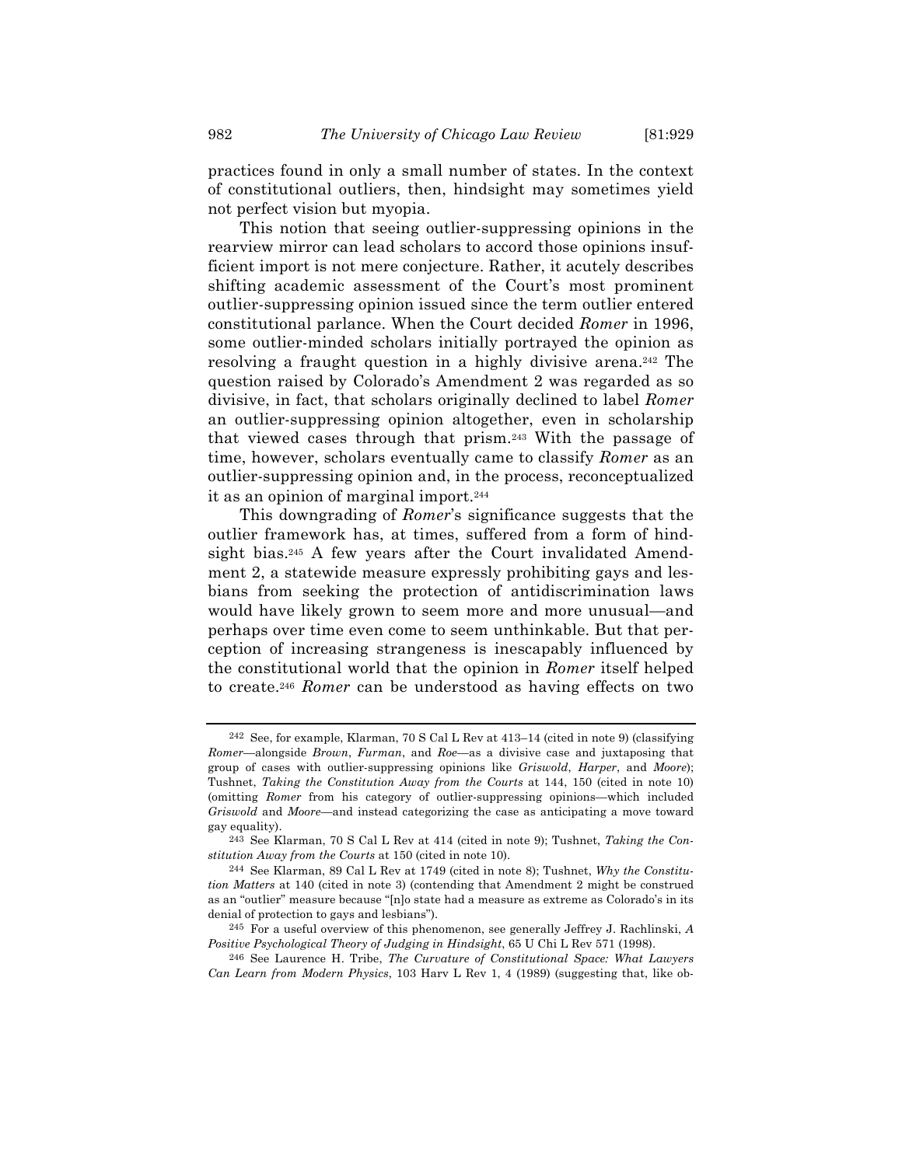practices found in only a small number of states. In the context of constitutional outliers, then, hindsight may sometimes yield not perfect vision but myopia.

This notion that seeing outlier-suppressing opinions in the rearview mirror can lead scholars to accord those opinions insufficient import is not mere conjecture. Rather, it acutely describes shifting academic assessment of the Court's most prominent outlier-suppressing opinion issued since the term outlier entered constitutional parlance. When the Court decided *Romer* in 1996, some outlier-minded scholars initially portrayed the opinion as resolving a fraught question in a highly divisive arena.242 The question raised by Colorado's Amendment 2 was regarded as so divisive, in fact, that scholars originally declined to label *Romer* an outlier-suppressing opinion altogether, even in scholarship that viewed cases through that prism.243 With the passage of time, however, scholars eventually came to classify *Romer* as an outlier-suppressing opinion and, in the process, reconceptualized it as an opinion of marginal import.244

This downgrading of *Romer*'s significance suggests that the outlier framework has, at times, suffered from a form of hindsight bias.<sup>245</sup> A few years after the Court invalidated Amendment 2, a statewide measure expressly prohibiting gays and lesbians from seeking the protection of antidiscrimination laws would have likely grown to seem more and more unusual—and perhaps over time even come to seem unthinkable. But that perception of increasing strangeness is inescapably influenced by the constitutional world that the opinion in *Romer* itself helped to create.246 *Romer* can be understood as having effects on two

<sup>242</sup> See, for example, Klarman, 70 S Cal L Rev at 413–14 (cited in note 9) (classifying *Romer*—alongside *Brown*, *Furman*, and *Roe*—as a divisive case and juxtaposing that group of cases with outlier-suppressing opinions like *Griswold*, *Harper*, and *Moore*); Tushnet, *Taking the Constitution Away from the Courts* at 144, 150 (cited in note 10) (omitting *Romer* from his category of outlier-suppressing opinions—which included *Griswold* and *Moore*—and instead categorizing the case as anticipating a move toward gay equality).

<sup>243</sup> See Klarman, 70 S Cal L Rev at 414 (cited in note 9); Tushnet, *Taking the Constitution Away from the Courts* at 150 (cited in note 10).

<sup>244</sup> See Klarman, 89 Cal L Rev at 1749 (cited in note 8); Tushnet, *Why the Constitution Matters* at 140 (cited in note 3) (contending that Amendment 2 might be construed as an "outlier" measure because "[n]o state had a measure as extreme as Colorado's in its denial of protection to gays and lesbians").

<sup>245</sup> For a useful overview of this phenomenon, see generally Jeffrey J. Rachlinski, *A Positive Psychological Theory of Judging in Hindsight*, 65 U Chi L Rev 571 (1998).

<sup>246</sup> See Laurence H. Tribe, *The Curvature of Constitutional Space: What Lawyers Can Learn from Modern Physics*, 103 Harv L Rev 1, 4 (1989) (suggesting that, like ob-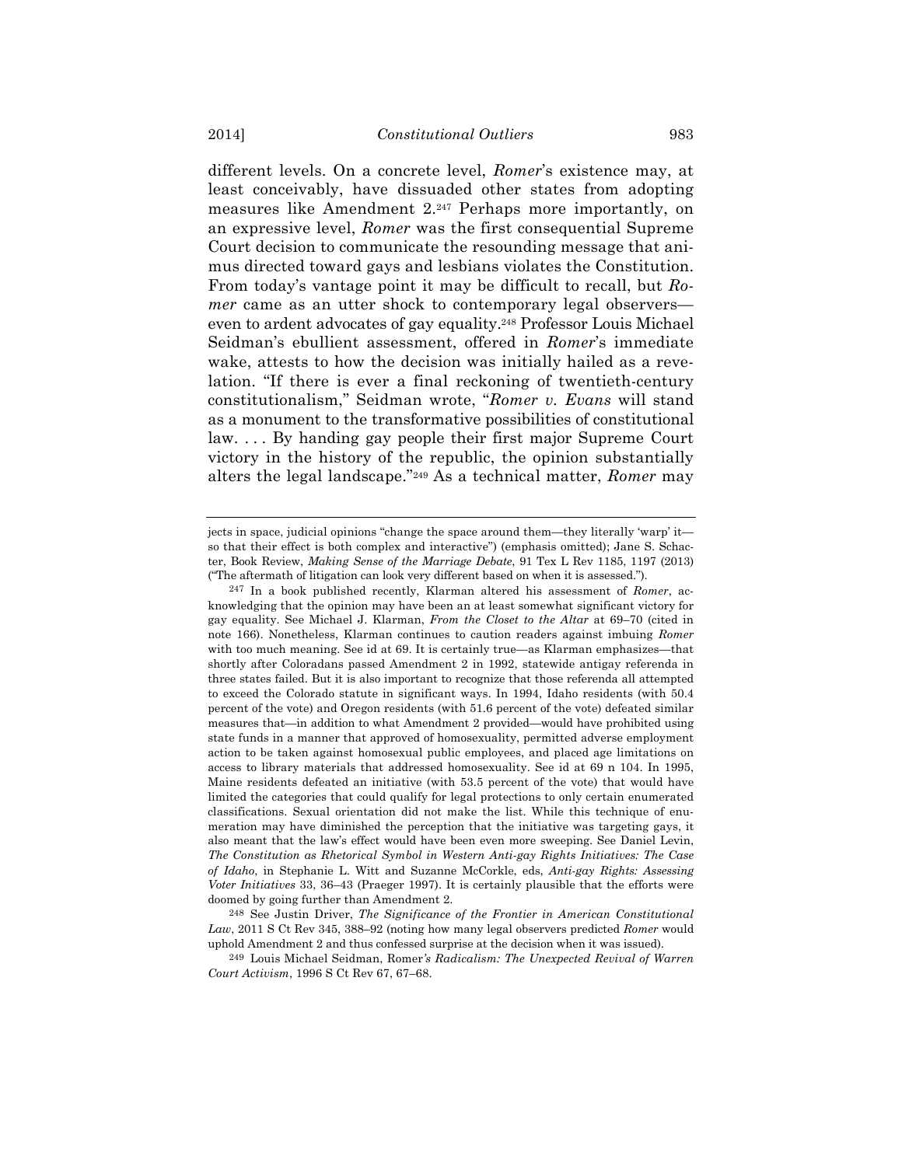different levels. On a concrete level, *Romer*'s existence may, at least conceivably, have dissuaded other states from adopting measures like Amendment 2.247 Perhaps more importantly, on an expressive level, *Romer* was the first consequential Supreme Court decision to communicate the resounding message that animus directed toward gays and lesbians violates the Constitution. From today's vantage point it may be difficult to recall, but *Romer* came as an utter shock to contemporary legal observers even to ardent advocates of gay equality.248 Professor Louis Michael Seidman's ebullient assessment, offered in *Romer*'s immediate wake, attests to how the decision was initially hailed as a revelation. "If there is ever a final reckoning of twentieth-century constitutionalism," Seidman wrote, "*Romer v. Evans* will stand as a monument to the transformative possibilities of constitutional law. . . . By handing gay people their first major Supreme Court victory in the history of the republic, the opinion substantially alters the legal landscape."249 As a technical matter, *Romer* may

248 See Justin Driver, *The Significance of the Frontier in American Constitutional Law*, 2011 S Ct Rev 345, 388–92 (noting how many legal observers predicted *Romer* would uphold Amendment 2 and thus confessed surprise at the decision when it was issued).

249 Louis Michael Seidman, Romer*'s Radicalism: The Unexpected Revival of Warren Court Activism*, 1996 S Ct Rev 67, 67–68.

jects in space, judicial opinions "change the space around them—they literally 'warp' it so that their effect is both complex and interactive") (emphasis omitted); Jane S. Schacter, Book Review, *Making Sense of the Marriage Debate*, 91 Tex L Rev 1185, 1197 (2013) ("The aftermath of litigation can look very different based on when it is assessed.").

<sup>247</sup> In a book published recently, Klarman altered his assessment of *Romer*, acknowledging that the opinion may have been an at least somewhat significant victory for gay equality. See Michael J. Klarman, *From the Closet to the Altar* at 69–70 (cited in note 166). Nonetheless, Klarman continues to caution readers against imbuing *Romer* with too much meaning. See id at 69. It is certainly true—as Klarman emphasizes—that shortly after Coloradans passed Amendment 2 in 1992, statewide antigay referenda in three states failed. But it is also important to recognize that those referenda all attempted to exceed the Colorado statute in significant ways. In 1994, Idaho residents (with 50.4 percent of the vote) and Oregon residents (with 51.6 percent of the vote) defeated similar measures that—in addition to what Amendment 2 provided—would have prohibited using state funds in a manner that approved of homosexuality, permitted adverse employment action to be taken against homosexual public employees, and placed age limitations on access to library materials that addressed homosexuality. See id at 69 n 104. In 1995, Maine residents defeated an initiative (with 53.5 percent of the vote) that would have limited the categories that could qualify for legal protections to only certain enumerated classifications. Sexual orientation did not make the list. While this technique of enumeration may have diminished the perception that the initiative was targeting gays, it also meant that the law's effect would have been even more sweeping. See Daniel Levin, *The Constitution as Rhetorical Symbol in Western Anti-gay Rights Initiatives: The Case of Idaho*, in Stephanie L. Witt and Suzanne McCorkle, eds, *Anti-gay Rights: Assessing Voter Initiatives* 33, 36–43 (Praeger 1997). It is certainly plausible that the efforts were doomed by going further than Amendment 2.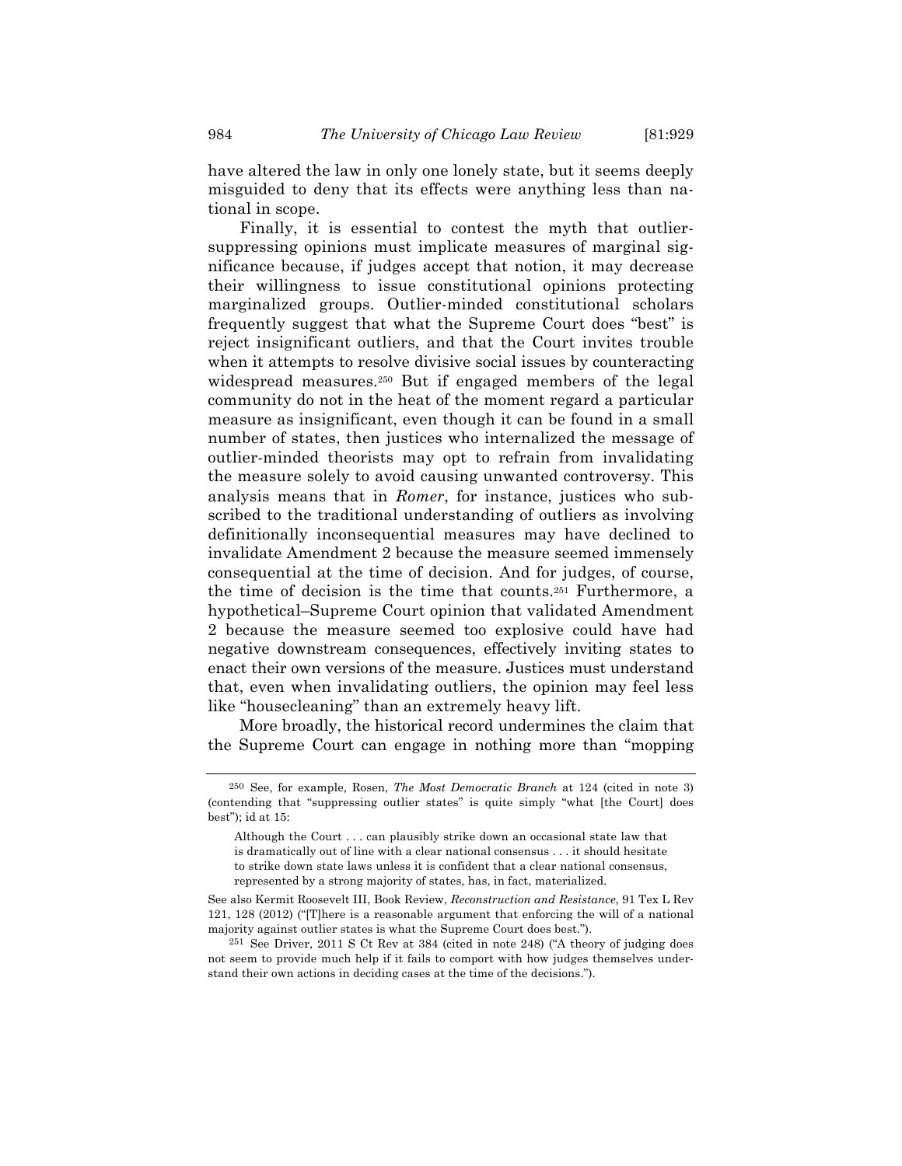have altered the law in only one lonely state, but it seems deeply misguided to deny that its effects were anything less than national in scope.

Finally, it is essential to contest the myth that outliersuppressing opinions must implicate measures of marginal significance because, if judges accept that notion, it may decrease their willingness to issue constitutional opinions protecting marginalized groups. Outlier-minded constitutional scholars frequently suggest that what the Supreme Court does "best" is reject insignificant outliers, and that the Court invites trouble when it attempts to resolve divisive social issues by counteracting widespread measures.250 But if engaged members of the legal community do not in the heat of the moment regard a particular measure as insignificant, even though it can be found in a small number of states, then justices who internalized the message of outlier-minded theorists may opt to refrain from invalidating the measure solely to avoid causing unwanted controversy. This analysis means that in *Romer*, for instance, justices who subscribed to the traditional understanding of outliers as involving definitionally inconsequential measures may have declined to invalidate Amendment 2 because the measure seemed immensely consequential at the time of decision. And for judges, of course, the time of decision is the time that counts.251 Furthermore, a hypothetical–Supreme Court opinion that validated Amendment 2 because the measure seemed too explosive could have had negative downstream consequences, effectively inviting states to enact their own versions of the measure. Justices must understand that, even when invalidating outliers, the opinion may feel less like "housecleaning" than an extremely heavy lift.

More broadly, the historical record undermines the claim that the Supreme Court can engage in nothing more than "mopping

<sup>250</sup> See, for example, Rosen, *The Most Democratic Branch* at 124 (cited in note 3) (contending that "suppressing outlier states" is quite simply "what [the Court] does best"); id at 15:

Although the Court . . . can plausibly strike down an occasional state law that is dramatically out of line with a clear national consensus . . . it should hesitate to strike down state laws unless it is confident that a clear national consensus, represented by a strong majority of states, has, in fact, materialized.

See also Kermit Roosevelt III, Book Review, *Reconstruction and Resistance*, 91 Tex L Rev 121, 128 (2012) ("[T]here is a reasonable argument that enforcing the will of a national majority against outlier states is what the Supreme Court does best.").

<sup>251</sup> See Driver, 2011 S Ct Rev at 384 (cited in note 248) ("A theory of judging does not seem to provide much help if it fails to comport with how judges themselves understand their own actions in deciding cases at the time of the decisions.").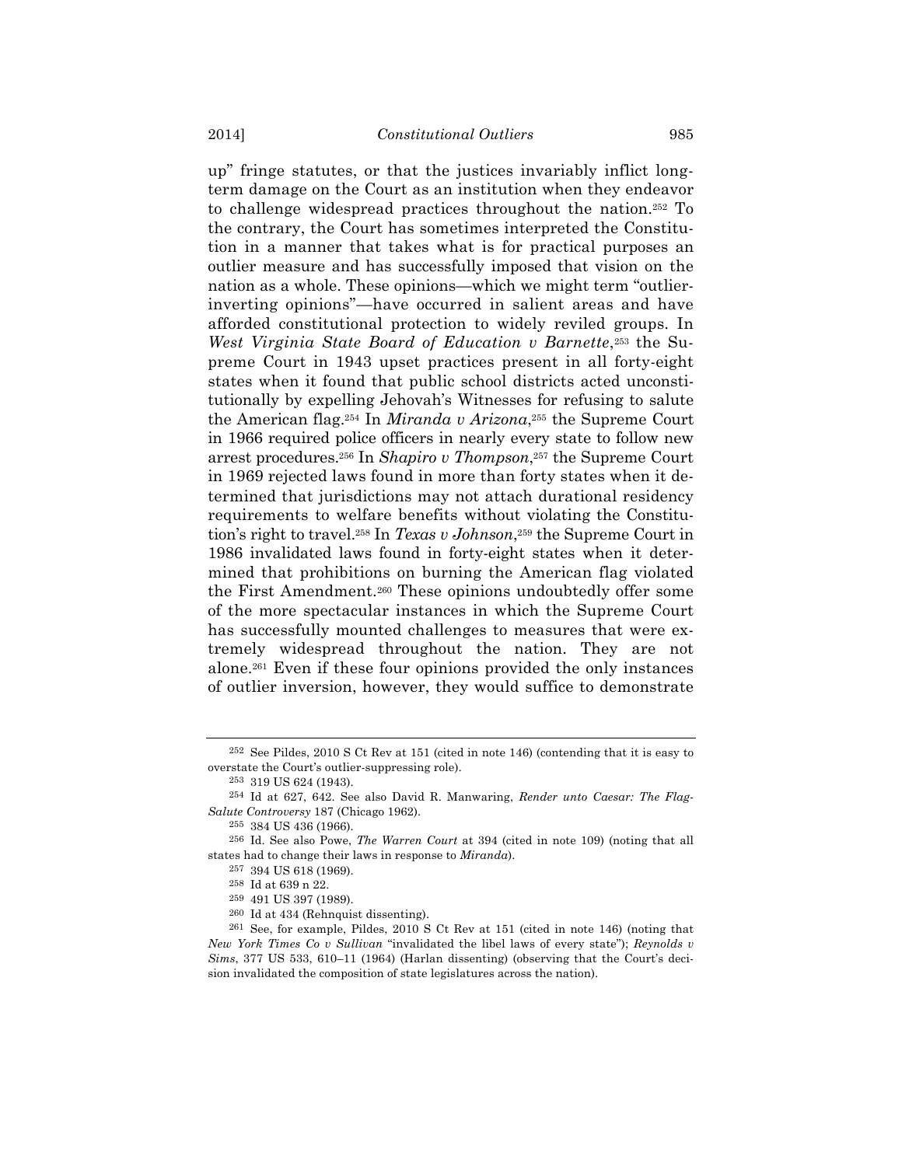up" fringe statutes, or that the justices invariably inflict longterm damage on the Court as an institution when they endeavor to challenge widespread practices throughout the nation.252 To the contrary, the Court has sometimes interpreted the Constitution in a manner that takes what is for practical purposes an outlier measure and has successfully imposed that vision on the nation as a whole. These opinions—which we might term "outlierinverting opinions"—have occurred in salient areas and have afforded constitutional protection to widely reviled groups. In *West Virginia State Board of Education v Barnette*,253 the Supreme Court in 1943 upset practices present in all forty-eight states when it found that public school districts acted unconstitutionally by expelling Jehovah's Witnesses for refusing to salute the American flag.254 In *Miranda v Arizona*,255 the Supreme Court in 1966 required police officers in nearly every state to follow new arrest procedures.256 In *Shapiro v Thompson*,257 the Supreme Court in 1969 rejected laws found in more than forty states when it determined that jurisdictions may not attach durational residency requirements to welfare benefits without violating the Constitution's right to travel.258 In *Texas v Johnson*,259 the Supreme Court in 1986 invalidated laws found in forty-eight states when it determined that prohibitions on burning the American flag violated the First Amendment.260 These opinions undoubtedly offer some of the more spectacular instances in which the Supreme Court has successfully mounted challenges to measures that were extremely widespread throughout the nation. They are not alone.261 Even if these four opinions provided the only instances of outlier inversion, however, they would suffice to demonstrate

<sup>252</sup> See Pildes, 2010 S Ct Rev at 151 (cited in note 146) (contending that it is easy to overstate the Court's outlier-suppressing role).

<sup>253</sup> 319 US 624 (1943).

<sup>254</sup> Id at 627, 642. See also David R. Manwaring, *Render unto Caesar: The Flag-Salute Controversy* 187 (Chicago 1962).

<sup>255</sup> 384 US 436 (1966).

<sup>256</sup> Id. See also Powe, *The Warren Court* at 394 (cited in note 109) (noting that all states had to change their laws in response to *Miranda*).

<sup>257</sup> 394 US 618 (1969).

<sup>258</sup> Id at 639 n 22.

<sup>259</sup> 491 US 397 (1989).

<sup>260</sup> Id at 434 (Rehnquist dissenting).

<sup>261</sup> See, for example, Pildes, 2010 S Ct Rev at 151 (cited in note 146) (noting that *New York Times Co v Sullivan* "invalidated the libel laws of every state"); *Reynolds v Sims*, 377 US 533, 610–11 (1964) (Harlan dissenting) (observing that the Court's decision invalidated the composition of state legislatures across the nation).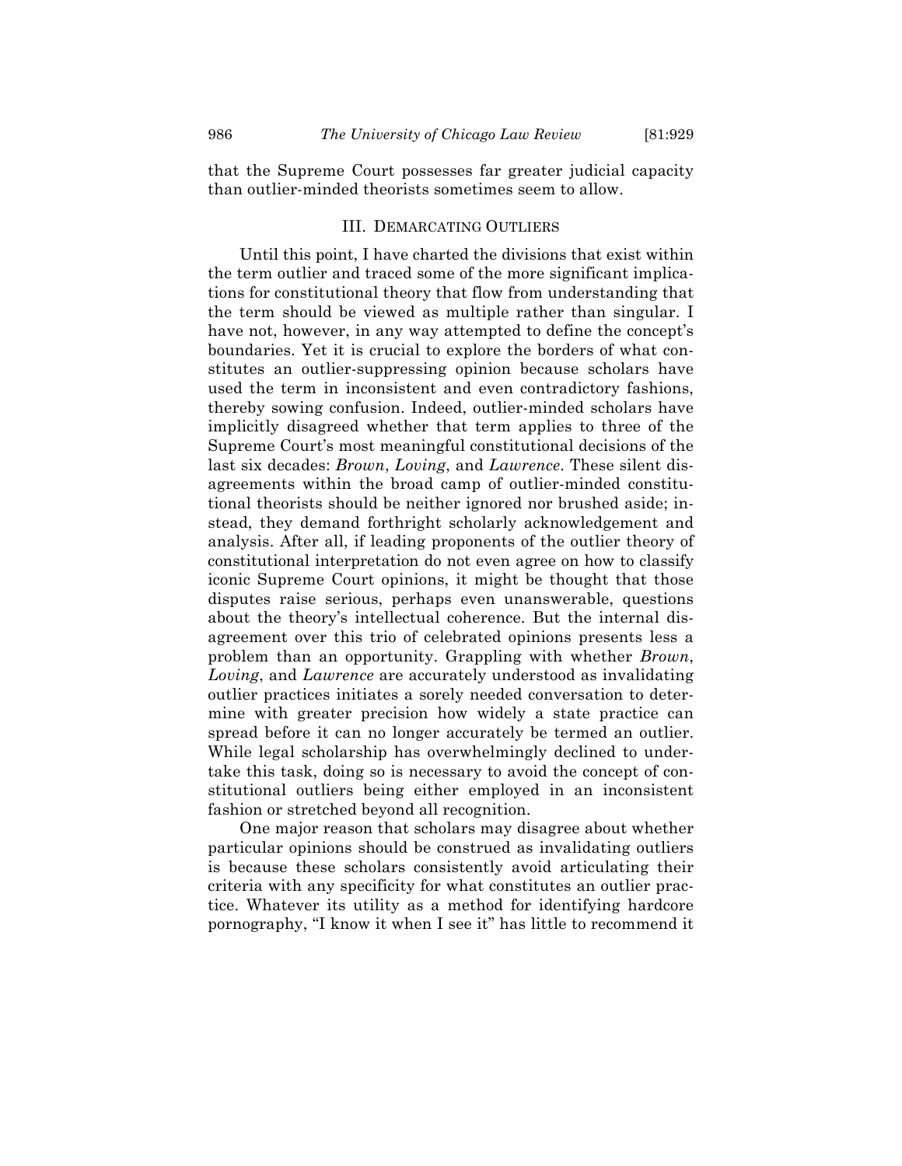that the Supreme Court possesses far greater judicial capacity than outlier-minded theorists sometimes seem to allow.

# III. DEMARCATING OUTLIERS

Until this point, I have charted the divisions that exist within the term outlier and traced some of the more significant implications for constitutional theory that flow from understanding that the term should be viewed as multiple rather than singular. I have not, however, in any way attempted to define the concept's boundaries. Yet it is crucial to explore the borders of what constitutes an outlier-suppressing opinion because scholars have used the term in inconsistent and even contradictory fashions, thereby sowing confusion. Indeed, outlier-minded scholars have implicitly disagreed whether that term applies to three of the Supreme Court's most meaningful constitutional decisions of the last six decades: *Brown*, *Loving*, and *Lawrence*. These silent disagreements within the broad camp of outlier-minded constitutional theorists should be neither ignored nor brushed aside; instead, they demand forthright scholarly acknowledgement and analysis. After all, if leading proponents of the outlier theory of constitutional interpretation do not even agree on how to classify iconic Supreme Court opinions, it might be thought that those disputes raise serious, perhaps even unanswerable, questions about the theory's intellectual coherence. But the internal disagreement over this trio of celebrated opinions presents less a problem than an opportunity. Grappling with whether *Brown*, *Loving*, and *Lawrence* are accurately understood as invalidating outlier practices initiates a sorely needed conversation to determine with greater precision how widely a state practice can spread before it can no longer accurately be termed an outlier. While legal scholarship has overwhelmingly declined to undertake this task, doing so is necessary to avoid the concept of constitutional outliers being either employed in an inconsistent fashion or stretched beyond all recognition.

One major reason that scholars may disagree about whether particular opinions should be construed as invalidating outliers is because these scholars consistently avoid articulating their criteria with any specificity for what constitutes an outlier practice. Whatever its utility as a method for identifying hardcore pornography, "I know it when I see it" has little to recommend it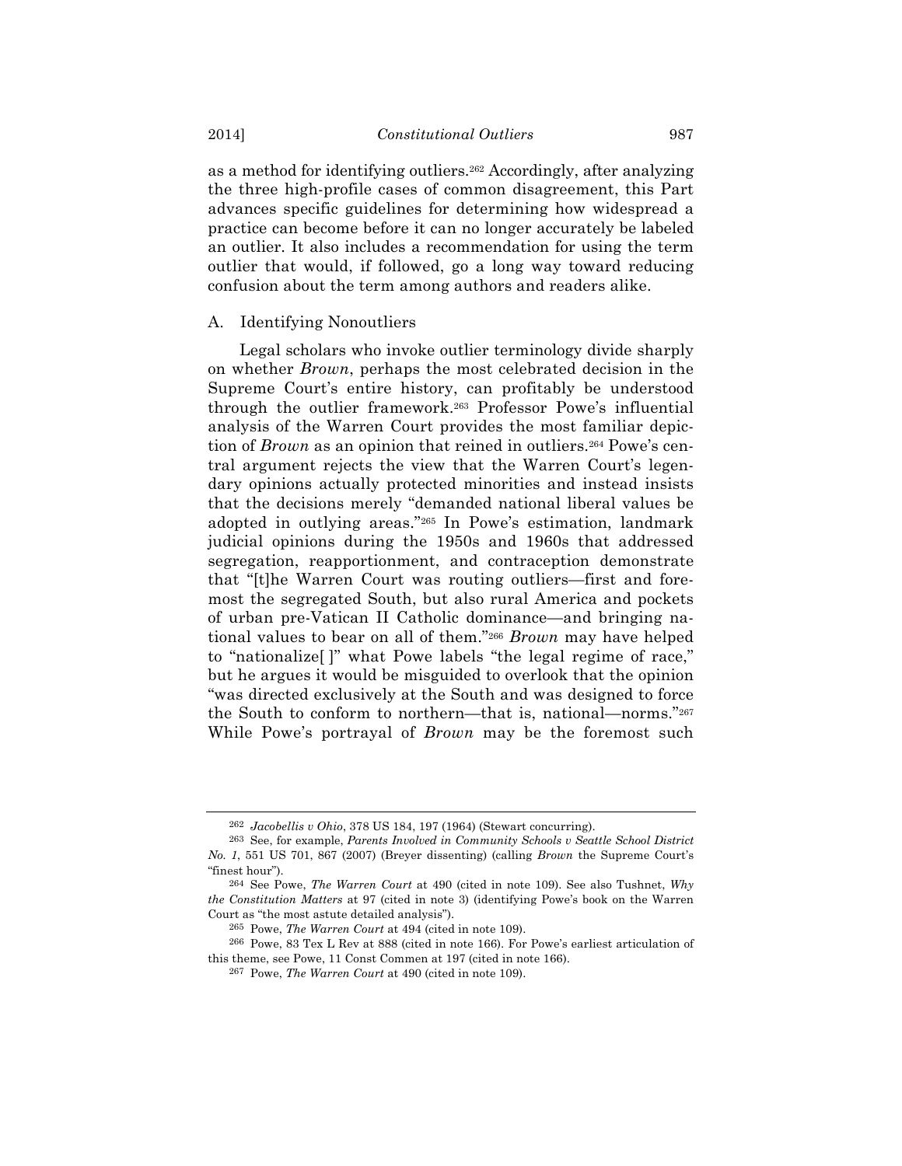as a method for identifying outliers.262 Accordingly, after analyzing the three high-profile cases of common disagreement, this Part advances specific guidelines for determining how widespread a practice can become before it can no longer accurately be labeled an outlier. It also includes a recommendation for using the term outlier that would, if followed, go a long way toward reducing confusion about the term among authors and readers alike.

## A. Identifying Nonoutliers

Legal scholars who invoke outlier terminology divide sharply on whether *Brown*, perhaps the most celebrated decision in the Supreme Court's entire history, can profitably be understood through the outlier framework.263 Professor Powe's influential analysis of the Warren Court provides the most familiar depiction of *Brown* as an opinion that reined in outliers.<sup>264</sup> Powe's central argument rejects the view that the Warren Court's legendary opinions actually protected minorities and instead insists that the decisions merely "demanded national liberal values be adopted in outlying areas."265 In Powe's estimation, landmark judicial opinions during the 1950s and 1960s that addressed segregation, reapportionment, and contraception demonstrate that "[t]he Warren Court was routing outliers—first and foremost the segregated South, but also rural America and pockets of urban pre-Vatican II Catholic dominance—and bringing national values to bear on all of them."266 *Brown* may have helped to "nationalize[ ]" what Powe labels "the legal regime of race," but he argues it would be misguided to overlook that the opinion "was directed exclusively at the South and was designed to force the South to conform to northern—that is, national—norms."267 While Powe's portrayal of *Brown* may be the foremost such

<sup>262</sup> *Jacobellis v Ohio*, 378 US 184, 197 (1964) (Stewart concurring).

<sup>263</sup> See, for example, *Parents Involved in Community Schools v Seattle School District No. 1*, 551 US 701, 867 (2007) (Breyer dissenting) (calling *Brown* the Supreme Court's "finest hour").

<sup>264</sup> See Powe, *The Warren Court* at 490 (cited in note 109). See also Tushnet, *Why the Constitution Matters* at 97 (cited in note 3) (identifying Powe's book on the Warren Court as "the most astute detailed analysis").

<sup>265</sup> Powe, *The Warren Court* at 494 (cited in note 109).

<sup>266</sup> Powe, 83 Tex L Rev at 888 (cited in note 166). For Powe's earliest articulation of this theme, see Powe, 11 Const Commen at 197 (cited in note 166).

<sup>267</sup> Powe, *The Warren Court* at 490 (cited in note 109).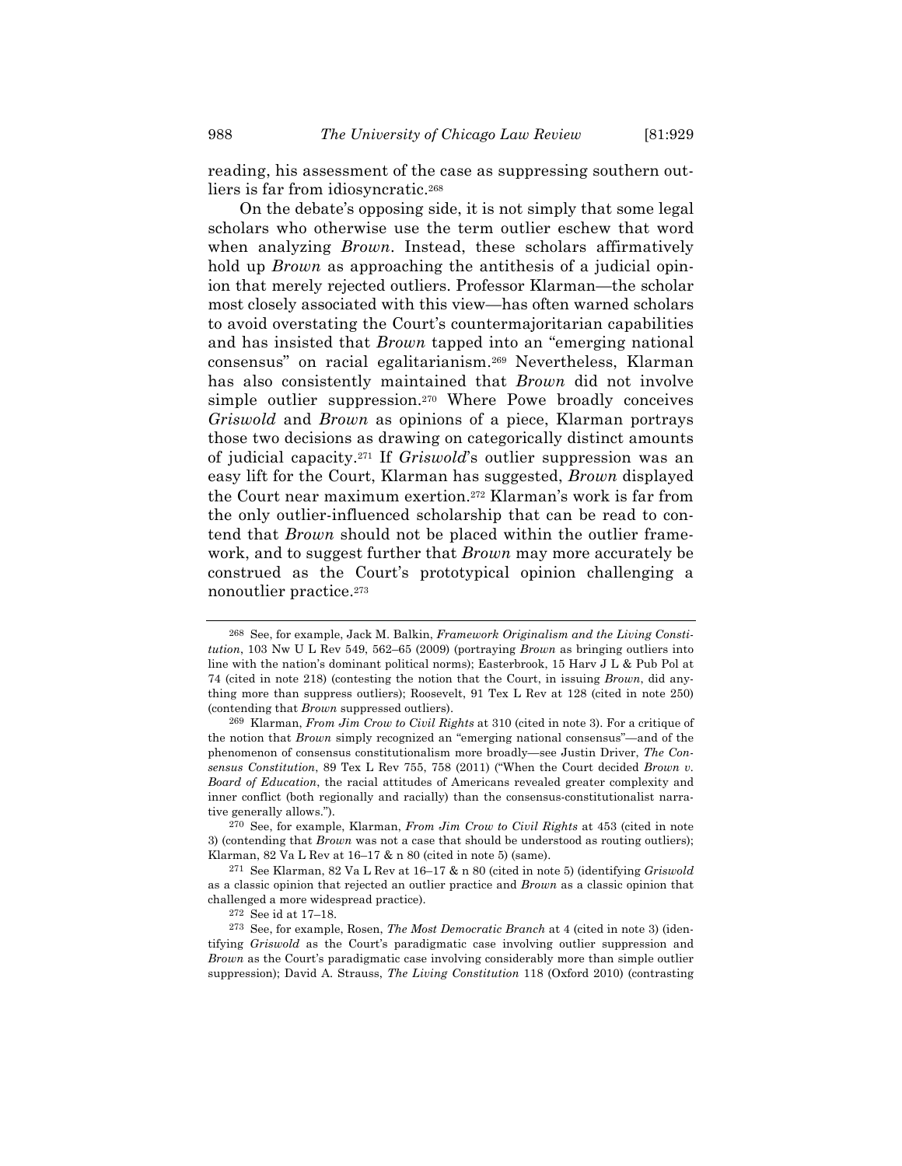reading, his assessment of the case as suppressing southern outliers is far from idiosyncratic.268

On the debate's opposing side, it is not simply that some legal scholars who otherwise use the term outlier eschew that word when analyzing *Brown*. Instead, these scholars affirmatively hold up *Brown* as approaching the antithesis of a judicial opinion that merely rejected outliers. Professor Klarman—the scholar most closely associated with this view—has often warned scholars to avoid overstating the Court's countermajoritarian capabilities and has insisted that *Brown* tapped into an "emerging national consensus" on racial egalitarianism.269 Nevertheless, Klarman has also consistently maintained that *Brown* did not involve simple outlier suppression.270 Where Powe broadly conceives *Griswold* and *Brown* as opinions of a piece, Klarman portrays those two decisions as drawing on categorically distinct amounts of judicial capacity.271 If *Griswold*'s outlier suppression was an easy lift for the Court, Klarman has suggested, *Brown* displayed the Court near maximum exertion.272 Klarman's work is far from the only outlier-influenced scholarship that can be read to contend that *Brown* should not be placed within the outlier framework, and to suggest further that *Brown* may more accurately be construed as the Court's prototypical opinion challenging a nonoutlier practice.273

<sup>268</sup> See, for example, Jack M. Balkin, *Framework Originalism and the Living Constitution*, 103 Nw U L Rev 549, 562–65 (2009) (portraying *Brown* as bringing outliers into line with the nation's dominant political norms); Easterbrook, 15 Harv J L & Pub Pol at 74 (cited in note 218) (contesting the notion that the Court, in issuing *Brown*, did anything more than suppress outliers); Roosevelt, 91 Tex L Rev at 128 (cited in note 250) (contending that *Brown* suppressed outliers).

<sup>269</sup> Klarman, *From Jim Crow to Civil Rights* at 310 (cited in note 3). For a critique of the notion that *Brown* simply recognized an "emerging national consensus"—and of the phenomenon of consensus constitutionalism more broadly—see Justin Driver, *The Consensus Constitution*, 89 Tex L Rev 755, 758 (2011) ("When the Court decided *Brown v. Board of Education*, the racial attitudes of Americans revealed greater complexity and inner conflict (both regionally and racially) than the consensus-constitutionalist narrative generally allows.").

<sup>270</sup> See, for example, Klarman, *From Jim Crow to Civil Rights* at 453 (cited in note 3) (contending that *Brown* was not a case that should be understood as routing outliers); Klarman, 82 Va L Rev at 16–17 & n 80 (cited in note 5) (same).

<sup>271</sup> See Klarman, 82 Va L Rev at 16–17 & n 80 (cited in note 5) (identifying *Griswold* as a classic opinion that rejected an outlier practice and *Brown* as a classic opinion that challenged a more widespread practice).

<sup>272</sup> See id at 17–18.

<sup>273</sup> See, for example, Rosen, *The Most Democratic Branch* at 4 (cited in note 3) (identifying *Griswold* as the Court's paradigmatic case involving outlier suppression and *Brown* as the Court's paradigmatic case involving considerably more than simple outlier suppression); David A. Strauss, *The Living Constitution* 118 (Oxford 2010) (contrasting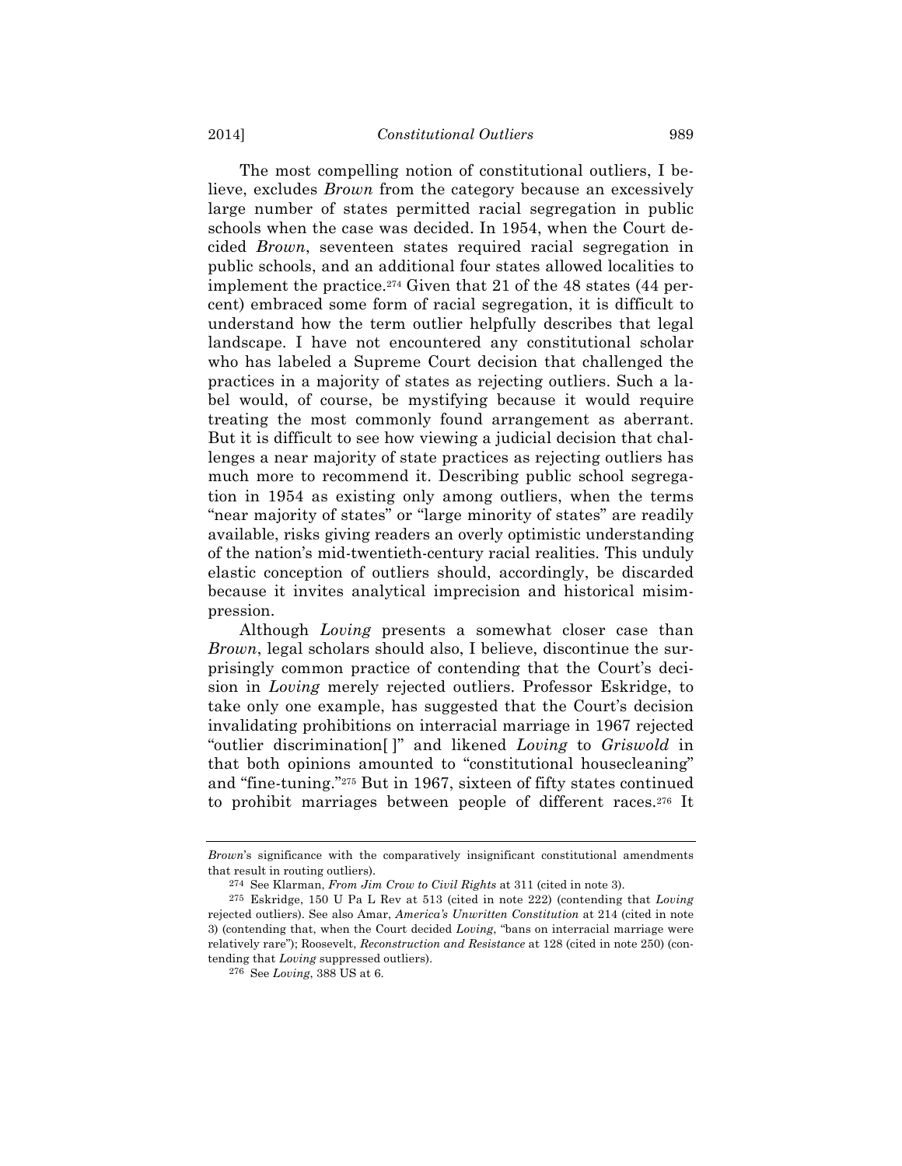The most compelling notion of constitutional outliers, I believe, excludes *Brown* from the category because an excessively large number of states permitted racial segregation in public schools when the case was decided. In 1954, when the Court decided *Brown*, seventeen states required racial segregation in public schools, and an additional four states allowed localities to implement the practice.274 Given that 21 of the 48 states (44 percent) embraced some form of racial segregation, it is difficult to understand how the term outlier helpfully describes that legal landscape. I have not encountered any constitutional scholar who has labeled a Supreme Court decision that challenged the practices in a majority of states as rejecting outliers. Such a label would, of course, be mystifying because it would require treating the most commonly found arrangement as aberrant. But it is difficult to see how viewing a judicial decision that challenges a near majority of state practices as rejecting outliers has much more to recommend it. Describing public school segregation in 1954 as existing only among outliers, when the terms "near majority of states" or "large minority of states" are readily available, risks giving readers an overly optimistic understanding of the nation's mid-twentieth-century racial realities. This unduly elastic conception of outliers should, accordingly, be discarded because it invites analytical imprecision and historical misimpression.

Although *Loving* presents a somewhat closer case than *Brown*, legal scholars should also, I believe, discontinue the surprisingly common practice of contending that the Court's decision in *Loving* merely rejected outliers. Professor Eskridge, to take only one example, has suggested that the Court's decision invalidating prohibitions on interracial marriage in 1967 rejected "outlier discrimination[ ]" and likened *Loving* to *Griswold* in that both opinions amounted to "constitutional housecleaning" and "fine-tuning."275 But in 1967, sixteen of fifty states continued to prohibit marriages between people of different races.276 It

*Brown*'s significance with the comparatively insignificant constitutional amendments that result in routing outliers).

<sup>274</sup> See Klarman, *From Jim Crow to Civil Rights* at 311 (cited in note 3).

<sup>275</sup> Eskridge, 150 U Pa L Rev at 513 (cited in note 222) (contending that *Loving* rejected outliers). See also Amar, *America's Unwritten Constitution* at 214 (cited in note 3) (contending that, when the Court decided *Loving*, "bans on interracial marriage were relatively rare"); Roosevelt, *Reconstruction and Resistance* at 128 (cited in note 250) (contending that *Loving* suppressed outliers).

<sup>276</sup> See *Loving*, 388 US at 6.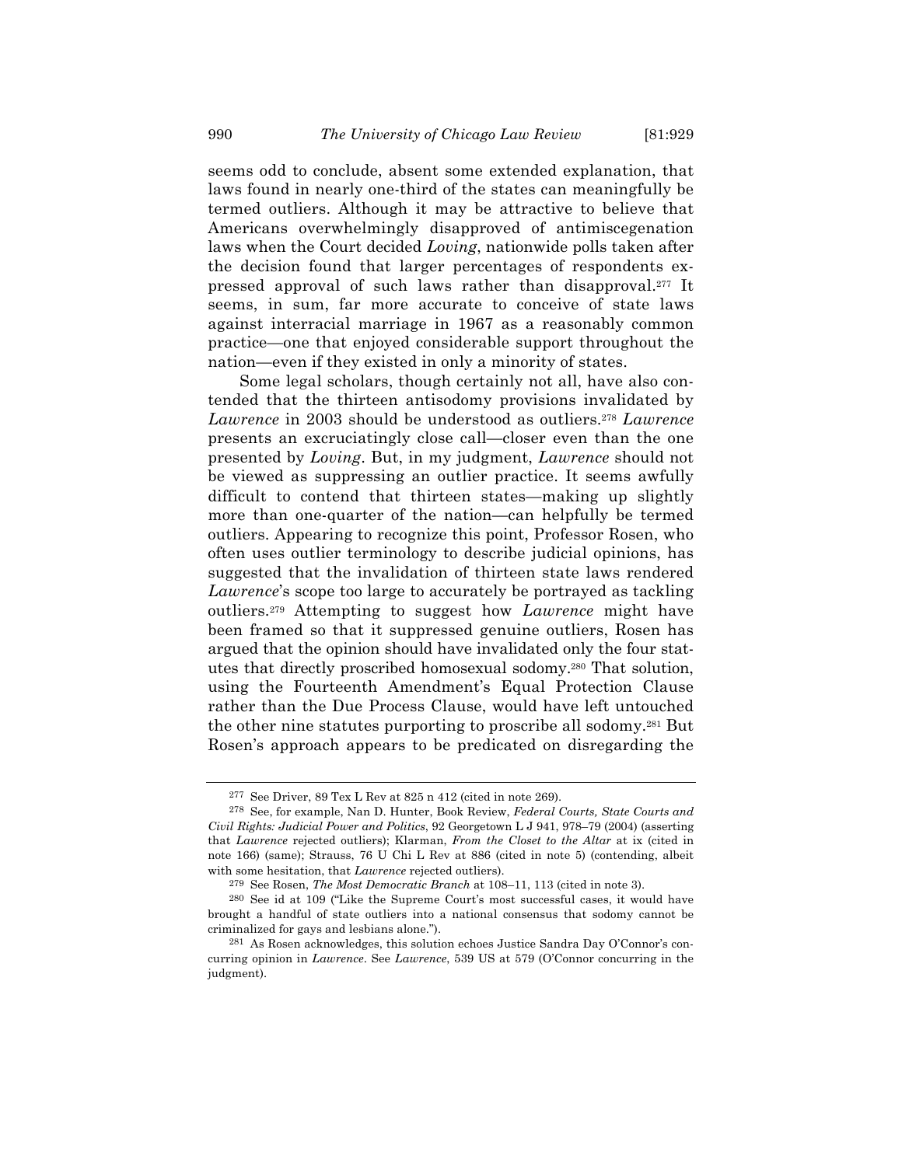seems odd to conclude, absent some extended explanation, that laws found in nearly one-third of the states can meaningfully be termed outliers. Although it may be attractive to believe that Americans overwhelmingly disapproved of antimiscegenation laws when the Court decided *Loving*, nationwide polls taken after the decision found that larger percentages of respondents expressed approval of such laws rather than disapproval.277 It seems, in sum, far more accurate to conceive of state laws against interracial marriage in 1967 as a reasonably common practice—one that enjoyed considerable support throughout the nation—even if they existed in only a minority of states.

Some legal scholars, though certainly not all, have also contended that the thirteen antisodomy provisions invalidated by *Lawrence* in 2003 should be understood as outliers.278 *Lawrence* presents an excruciatingly close call—closer even than the one presented by *Loving*. But, in my judgment, *Lawrence* should not be viewed as suppressing an outlier practice. It seems awfully difficult to contend that thirteen states—making up slightly more than one-quarter of the nation—can helpfully be termed outliers. Appearing to recognize this point, Professor Rosen, who often uses outlier terminology to describe judicial opinions, has suggested that the invalidation of thirteen state laws rendered *Lawrence*'s scope too large to accurately be portrayed as tackling outliers.279 Attempting to suggest how *Lawrence* might have been framed so that it suppressed genuine outliers, Rosen has argued that the opinion should have invalidated only the four statutes that directly proscribed homosexual sodomy.280 That solution, using the Fourteenth Amendment's Equal Protection Clause rather than the Due Process Clause, would have left untouched the other nine statutes purporting to proscribe all sodomy.281 But Rosen's approach appears to be predicated on disregarding the

<sup>277</sup> See Driver, 89 Tex L Rev at 825 n 412 (cited in note 269).

<sup>278</sup> See, for example, Nan D. Hunter, Book Review, *Federal Courts, State Courts and Civil Rights: Judicial Power and Politics*, 92 Georgetown L J 941, 978–79 (2004) (asserting that *Lawrence* rejected outliers); Klarman, *From the Closet to the Altar* at ix (cited in note 166) (same); Strauss, 76 U Chi L Rev at 886 (cited in note 5) (contending, albeit with some hesitation, that *Lawrence* rejected outliers).

<sup>279</sup> See Rosen, *The Most Democratic Branch* at 108–11, 113 (cited in note 3).

<sup>280</sup> See id at 109 ("Like the Supreme Court's most successful cases, it would have brought a handful of state outliers into a national consensus that sodomy cannot be criminalized for gays and lesbians alone.").

<sup>281</sup> As Rosen acknowledges, this solution echoes Justice Sandra Day O'Connor's concurring opinion in *Lawrence*. See *Lawrence*, 539 US at 579 (O'Connor concurring in the judgment).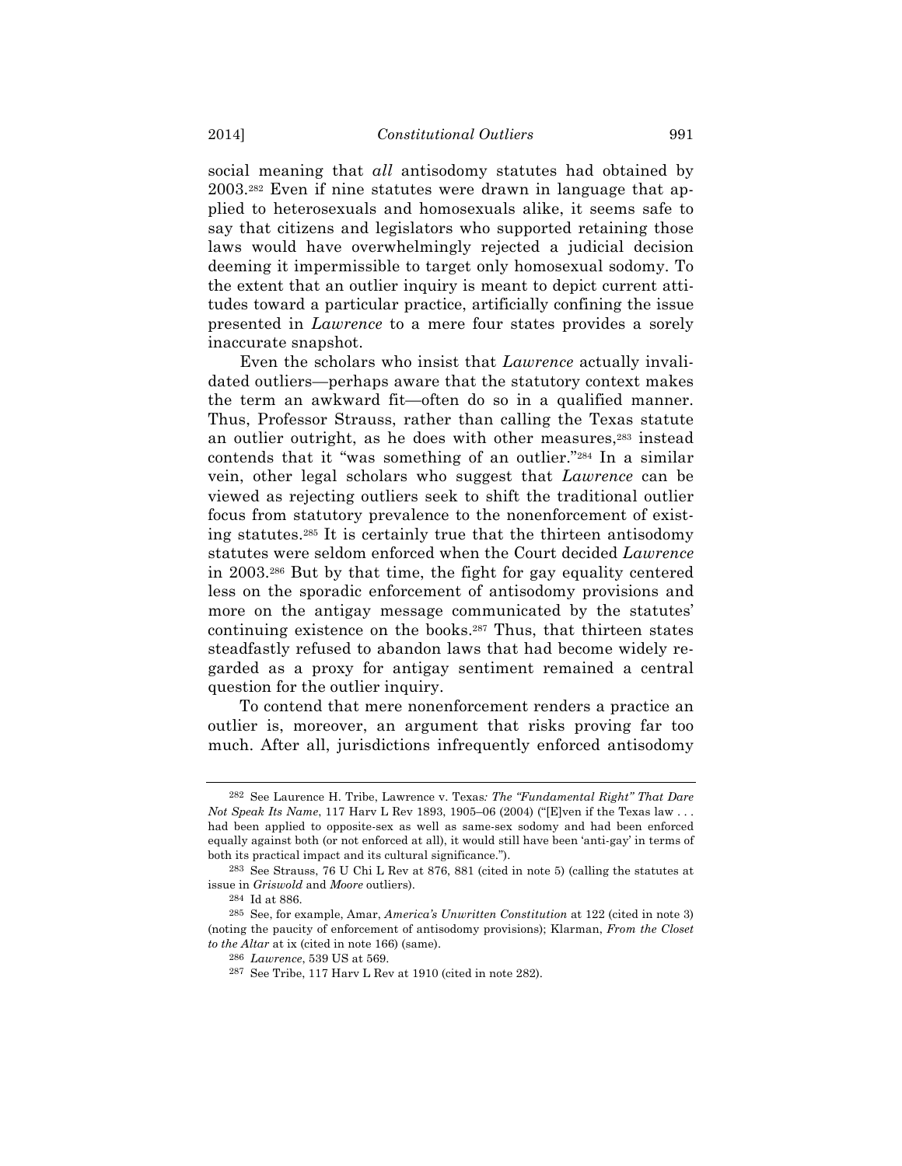social meaning that *all* antisodomy statutes had obtained by 2003.282 Even if nine statutes were drawn in language that applied to heterosexuals and homosexuals alike, it seems safe to say that citizens and legislators who supported retaining those laws would have overwhelmingly rejected a judicial decision deeming it impermissible to target only homosexual sodomy. To the extent that an outlier inquiry is meant to depict current attitudes toward a particular practice, artificially confining the issue presented in *Lawrence* to a mere four states provides a sorely inaccurate snapshot.

Even the scholars who insist that *Lawrence* actually invalidated outliers—perhaps aware that the statutory context makes the term an awkward fit—often do so in a qualified manner. Thus, Professor Strauss, rather than calling the Texas statute an outlier outright, as he does with other measures,<sup>283</sup> instead contends that it "was something of an outlier."284 In a similar vein, other legal scholars who suggest that *Lawrence* can be viewed as rejecting outliers seek to shift the traditional outlier focus from statutory prevalence to the nonenforcement of existing statutes.285 It is certainly true that the thirteen antisodomy statutes were seldom enforced when the Court decided *Lawrence* in 2003.286 But by that time, the fight for gay equality centered less on the sporadic enforcement of antisodomy provisions and more on the antigay message communicated by the statutes' continuing existence on the books.287 Thus, that thirteen states steadfastly refused to abandon laws that had become widely regarded as a proxy for antigay sentiment remained a central question for the outlier inquiry.

To contend that mere nonenforcement renders a practice an outlier is, moreover, an argument that risks proving far too much. After all, jurisdictions infrequently enforced antisodomy

<sup>282</sup> See Laurence H. Tribe, Lawrence v. Texas*: The "Fundamental Right" That Dare Not Speak Its Name*, 117 Harv L Rev 1893, 1905–06 (2004) ("[E]ven if the Texas law . . . had been applied to opposite-sex as well as same-sex sodomy and had been enforced equally against both (or not enforced at all), it would still have been 'anti-gay' in terms of both its practical impact and its cultural significance.").

<sup>283</sup> See Strauss, 76 U Chi L Rev at 876, 881 (cited in note 5) (calling the statutes at issue in *Griswold* and *Moore* outliers).

<sup>284</sup> Id at 886.

<sup>285</sup> See, for example, Amar, *America's Unwritten Constitution* at 122 (cited in note 3) (noting the paucity of enforcement of antisodomy provisions); Klarman, *From the Closet to the Altar* at ix (cited in note 166) (same).

<sup>286</sup> *Lawrence*, 539 US at 569.

<sup>287</sup> See Tribe, 117 Harv L Rev at 1910 (cited in note 282).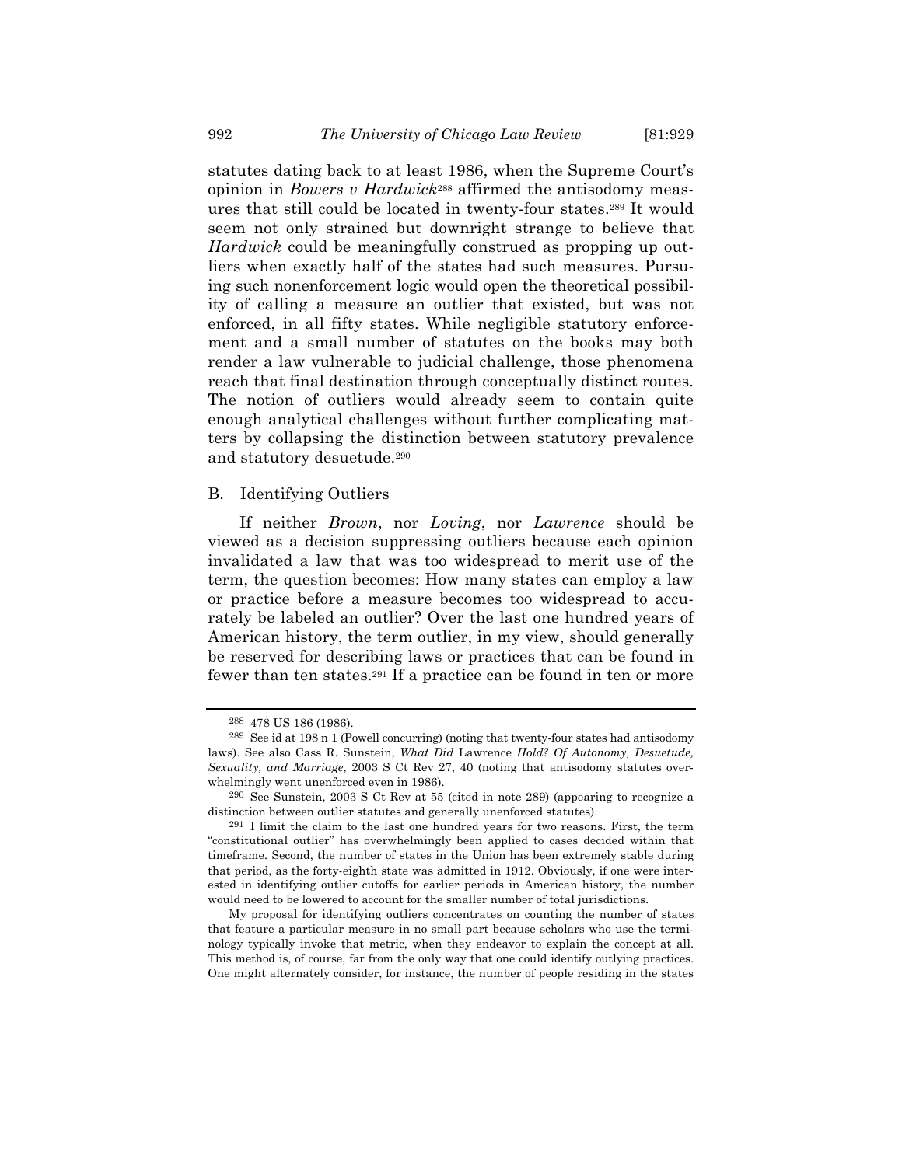statutes dating back to at least 1986, when the Supreme Court's opinion in *Bowers v Hardwick*288 affirmed the antisodomy measures that still could be located in twenty-four states.289 It would seem not only strained but downright strange to believe that *Hardwick* could be meaningfully construed as propping up outliers when exactly half of the states had such measures. Pursuing such nonenforcement logic would open the theoretical possibility of calling a measure an outlier that existed, but was not enforced, in all fifty states. While negligible statutory enforcement and a small number of statutes on the books may both render a law vulnerable to judicial challenge, those phenomena reach that final destination through conceptually distinct routes. The notion of outliers would already seem to contain quite enough analytical challenges without further complicating matters by collapsing the distinction between statutory prevalence and statutory desuetude.290

# B. Identifying Outliers

If neither *Brown*, nor *Loving*, nor *Lawrence* should be viewed as a decision suppressing outliers because each opinion invalidated a law that was too widespread to merit use of the term, the question becomes: How many states can employ a law or practice before a measure becomes too widespread to accurately be labeled an outlier? Over the last one hundred years of American history, the term outlier, in my view, should generally be reserved for describing laws or practices that can be found in fewer than ten states.291 If a practice can be found in ten or more

<sup>288</sup> 478 US 186 (1986).

<sup>289</sup> See id at 198 n 1 (Powell concurring) (noting that twenty-four states had antisodomy laws). See also Cass R. Sunstein, *What Did* Lawrence *Hold? Of Autonomy, Desuetude, Sexuality, and Marriage*, 2003 S Ct Rev 27, 40 (noting that antisodomy statutes overwhelmingly went unenforced even in 1986).

<sup>290</sup> See Sunstein, 2003 S Ct Rev at 55 (cited in note 289) (appearing to recognize a distinction between outlier statutes and generally unenforced statutes).

<sup>291</sup> I limit the claim to the last one hundred years for two reasons. First, the term "constitutional outlier" has overwhelmingly been applied to cases decided within that timeframe. Second, the number of states in the Union has been extremely stable during that period, as the forty-eighth state was admitted in 1912. Obviously, if one were interested in identifying outlier cutoffs for earlier periods in American history, the number would need to be lowered to account for the smaller number of total jurisdictions.

My proposal for identifying outliers concentrates on counting the number of states that feature a particular measure in no small part because scholars who use the terminology typically invoke that metric, when they endeavor to explain the concept at all. This method is, of course, far from the only way that one could identify outlying practices. One might alternately consider, for instance, the number of people residing in the states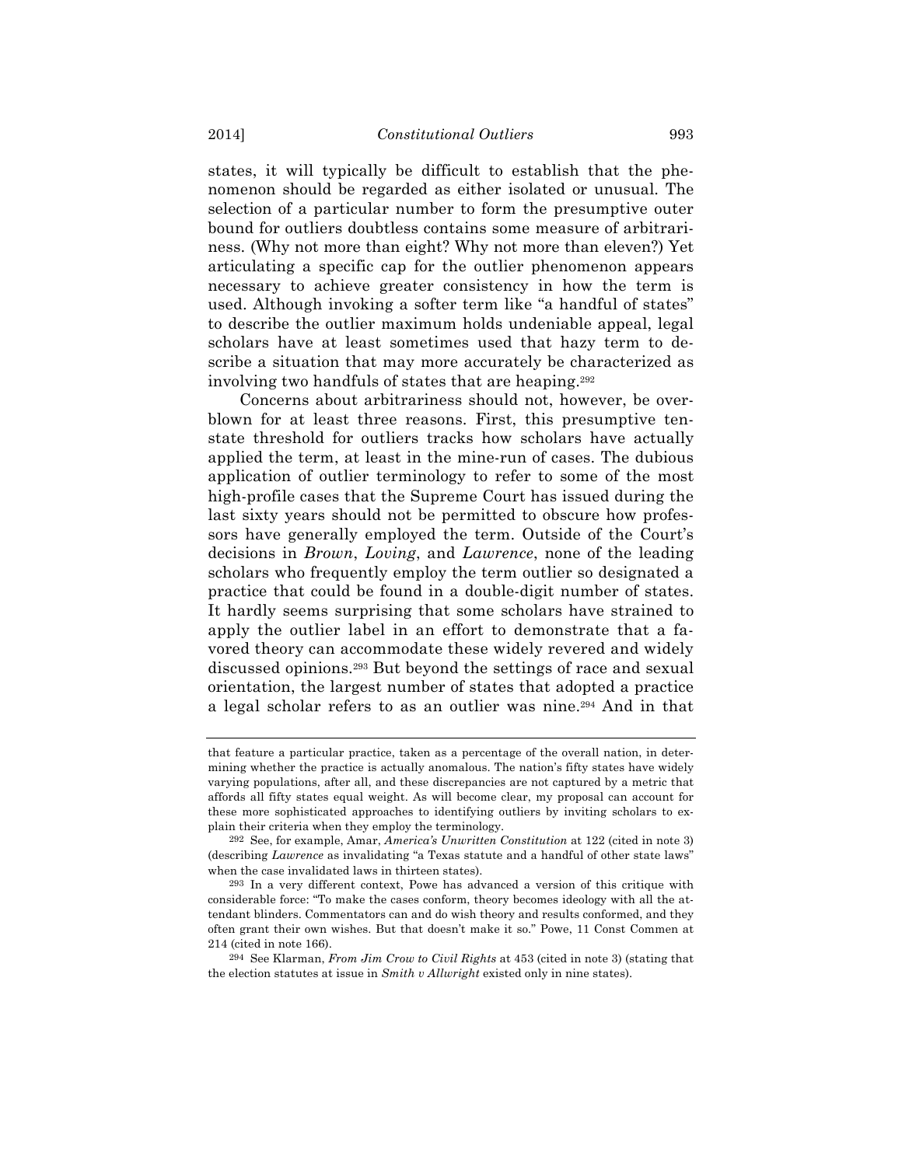states, it will typically be difficult to establish that the phenomenon should be regarded as either isolated or unusual. The selection of a particular number to form the presumptive outer bound for outliers doubtless contains some measure of arbitrariness. (Why not more than eight? Why not more than eleven?) Yet articulating a specific cap for the outlier phenomenon appears necessary to achieve greater consistency in how the term is used. Although invoking a softer term like "a handful of states" to describe the outlier maximum holds undeniable appeal, legal scholars have at least sometimes used that hazy term to describe a situation that may more accurately be characterized as involving two handfuls of states that are heaping.292

Concerns about arbitrariness should not, however, be overblown for at least three reasons. First, this presumptive tenstate threshold for outliers tracks how scholars have actually applied the term, at least in the mine-run of cases. The dubious application of outlier terminology to refer to some of the most high-profile cases that the Supreme Court has issued during the last sixty years should not be permitted to obscure how professors have generally employed the term. Outside of the Court's decisions in *Brown*, *Loving*, and *Lawrence*, none of the leading scholars who frequently employ the term outlier so designated a practice that could be found in a double-digit number of states. It hardly seems surprising that some scholars have strained to apply the outlier label in an effort to demonstrate that a favored theory can accommodate these widely revered and widely discussed opinions.293 But beyond the settings of race and sexual orientation, the largest number of states that adopted a practice a legal scholar refers to as an outlier was nine.294 And in that

that feature a particular practice, taken as a percentage of the overall nation, in determining whether the practice is actually anomalous. The nation's fifty states have widely varying populations, after all, and these discrepancies are not captured by a metric that affords all fifty states equal weight. As will become clear, my proposal can account for these more sophisticated approaches to identifying outliers by inviting scholars to explain their criteria when they employ the terminology.

<sup>292</sup> See, for example, Amar, *America's Unwritten Constitution* at 122 (cited in note 3) (describing *Lawrence* as invalidating "a Texas statute and a handful of other state laws" when the case invalidated laws in thirteen states).

<sup>293</sup> In a very different context, Powe has advanced a version of this critique with considerable force: "To make the cases conform, theory becomes ideology with all the attendant blinders. Commentators can and do wish theory and results conformed, and they often grant their own wishes. But that doesn't make it so." Powe, 11 Const Commen at 214 (cited in note 166).

<sup>294</sup> See Klarman, *From Jim Crow to Civil Rights* at 453 (cited in note 3) (stating that the election statutes at issue in *Smith v Allwright* existed only in nine states).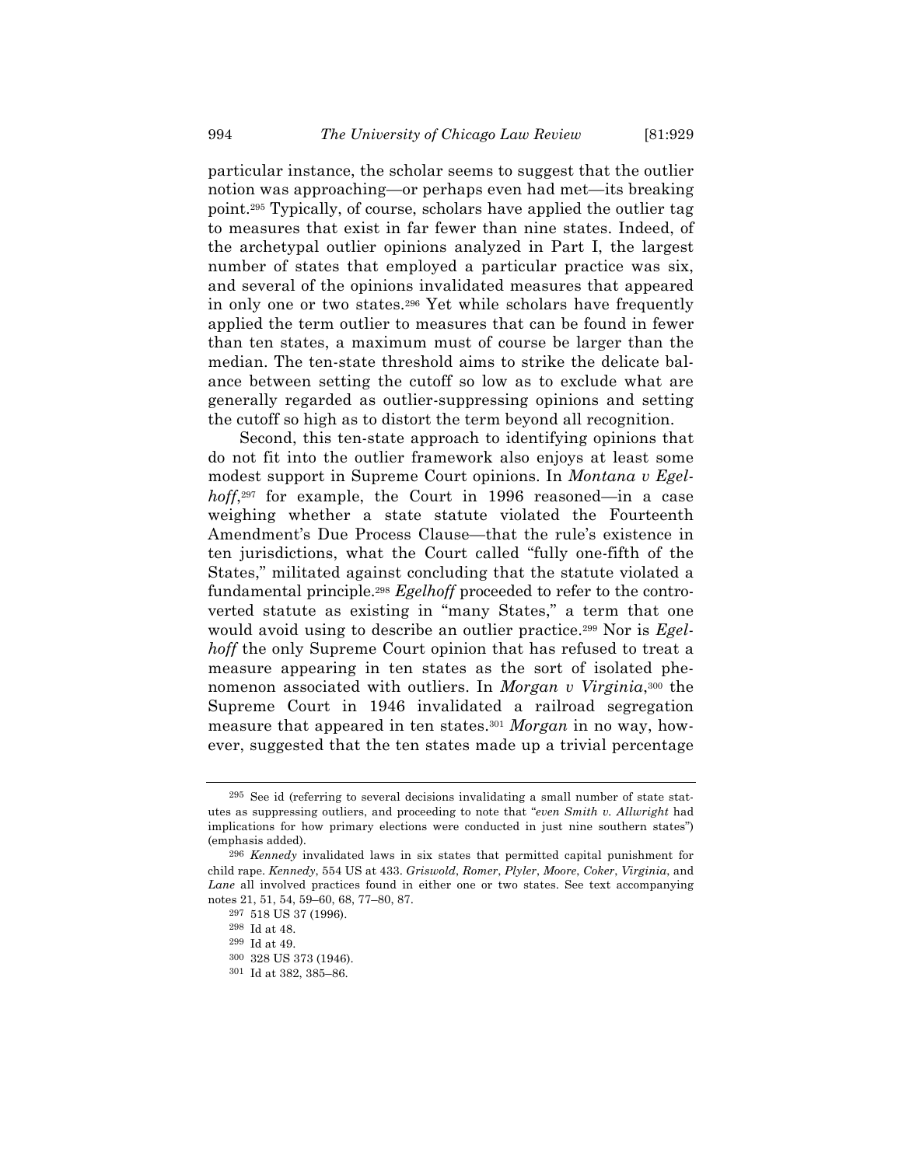particular instance, the scholar seems to suggest that the outlier notion was approaching—or perhaps even had met—its breaking point.295 Typically, of course, scholars have applied the outlier tag to measures that exist in far fewer than nine states. Indeed, of the archetypal outlier opinions analyzed in Part I, the largest number of states that employed a particular practice was six, and several of the opinions invalidated measures that appeared in only one or two states.296 Yet while scholars have frequently applied the term outlier to measures that can be found in fewer than ten states, a maximum must of course be larger than the median. The ten-state threshold aims to strike the delicate balance between setting the cutoff so low as to exclude what are generally regarded as outlier-suppressing opinions and setting the cutoff so high as to distort the term beyond all recognition.

Second, this ten-state approach to identifying opinions that do not fit into the outlier framework also enjoys at least some modest support in Supreme Court opinions. In *Montana v Egelhoff*,297 for example, the Court in 1996 reasoned—in a case weighing whether a state statute violated the Fourteenth Amendment's Due Process Clause—that the rule's existence in ten jurisdictions, what the Court called "fully one-fifth of the States," militated against concluding that the statute violated a fundamental principle.298 *Egelhoff* proceeded to refer to the controverted statute as existing in "many States," a term that one would avoid using to describe an outlier practice.299 Nor is *Egelhoff* the only Supreme Court opinion that has refused to treat a measure appearing in ten states as the sort of isolated phenomenon associated with outliers. In *Morgan v Virginia*,300 the Supreme Court in 1946 invalidated a railroad segregation measure that appeared in ten states.301 *Morgan* in no way, however, suggested that the ten states made up a trivial percentage

<sup>295</sup> See id (referring to several decisions invalidating a small number of state statutes as suppressing outliers, and proceeding to note that "*even Smith v. Allwright* had implications for how primary elections were conducted in just nine southern states") (emphasis added).

<sup>296</sup> *Kennedy* invalidated laws in six states that permitted capital punishment for child rape. *Kennedy*, 554 US at 433. *Griswold*, *Romer*, *Plyler*, *Moore*, *Coker*, *Virginia*, and *Lane* all involved practices found in either one or two states. See text accompanying notes 21, 51, 54, 59–60, 68, 77–80, 87.

<sup>297</sup> 518 US 37 (1996).

<sup>298</sup> Id at 48.

<sup>299</sup> Id at 49.

<sup>300</sup> 328 US 373 (1946).

<sup>301</sup> Id at 382, 385–86.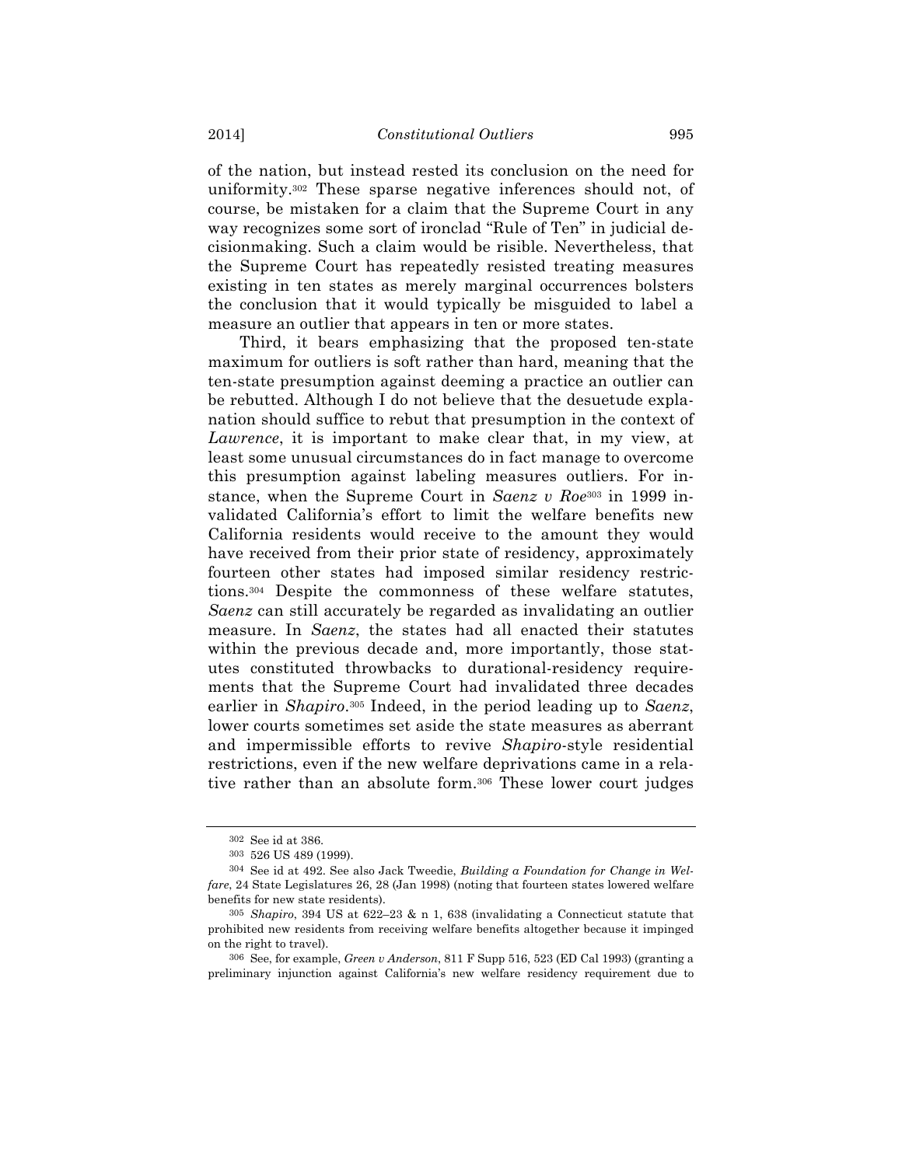of the nation, but instead rested its conclusion on the need for uniformity.302 These sparse negative inferences should not, of course, be mistaken for a claim that the Supreme Court in any way recognizes some sort of ironclad "Rule of Ten" in judicial decisionmaking. Such a claim would be risible. Nevertheless, that the Supreme Court has repeatedly resisted treating measures existing in ten states as merely marginal occurrences bolsters the conclusion that it would typically be misguided to label a measure an outlier that appears in ten or more states.

Third, it bears emphasizing that the proposed ten-state maximum for outliers is soft rather than hard, meaning that the ten-state presumption against deeming a practice an outlier can be rebutted. Although I do not believe that the desuetude explanation should suffice to rebut that presumption in the context of *Lawrence*, it is important to make clear that, in my view, at least some unusual circumstances do in fact manage to overcome this presumption against labeling measures outliers. For instance, when the Supreme Court in *Saenz v Roe*303 in 1999 invalidated California's effort to limit the welfare benefits new California residents would receive to the amount they would have received from their prior state of residency, approximately fourteen other states had imposed similar residency restrictions.304 Despite the commonness of these welfare statutes, *Saenz* can still accurately be regarded as invalidating an outlier measure. In *Saenz*, the states had all enacted their statutes within the previous decade and, more importantly, those statutes constituted throwbacks to durational-residency requirements that the Supreme Court had invalidated three decades earlier in *Shapiro*.305 Indeed, in the period leading up to *Saenz*, lower courts sometimes set aside the state measures as aberrant and impermissible efforts to revive *Shapiro*-style residential restrictions, even if the new welfare deprivations came in a relative rather than an absolute form.306 These lower court judges

<sup>302</sup> See id at 386.

<sup>303</sup> 526 US 489 (1999).

<sup>304</sup> See id at 492. See also Jack Tweedie, *Building a Foundation for Change in Welfare*, 24 State Legislatures 26, 28 (Jan 1998) (noting that fourteen states lowered welfare benefits for new state residents).

<sup>305</sup> *Shapiro*, 394 US at 622–23 & n 1, 638 (invalidating a Connecticut statute that prohibited new residents from receiving welfare benefits altogether because it impinged on the right to travel).

<sup>306</sup> See, for example, *Green v Anderson*, 811 F Supp 516, 523 (ED Cal 1993) (granting a preliminary injunction against California's new welfare residency requirement due to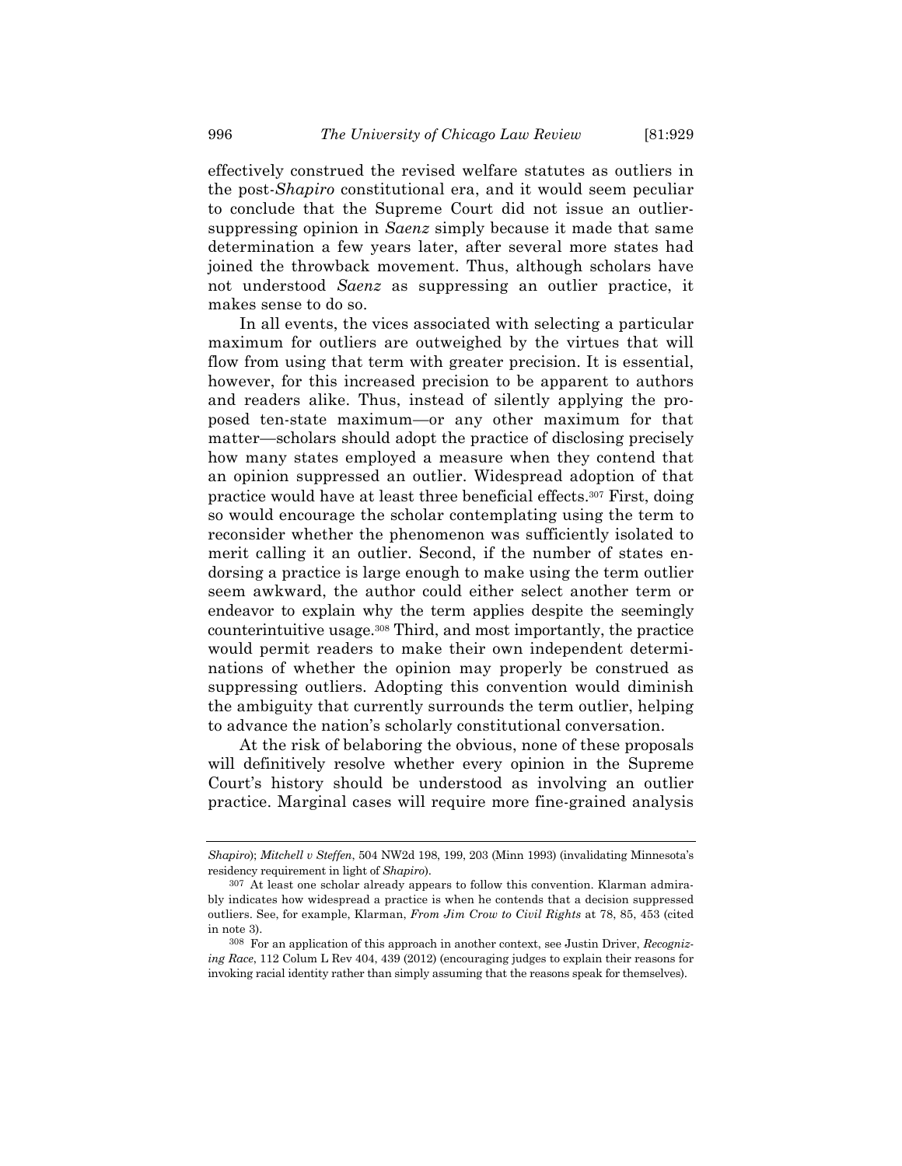effectively construed the revised welfare statutes as outliers in the post-*Shapiro* constitutional era, and it would seem peculiar to conclude that the Supreme Court did not issue an outliersuppressing opinion in *Saenz* simply because it made that same determination a few years later, after several more states had joined the throwback movement. Thus, although scholars have not understood *Saenz* as suppressing an outlier practice, it makes sense to do so.

In all events, the vices associated with selecting a particular maximum for outliers are outweighed by the virtues that will flow from using that term with greater precision. It is essential, however, for this increased precision to be apparent to authors and readers alike. Thus, instead of silently applying the proposed ten-state maximum—or any other maximum for that matter—scholars should adopt the practice of disclosing precisely how many states employed a measure when they contend that an opinion suppressed an outlier. Widespread adoption of that practice would have at least three beneficial effects.307 First, doing so would encourage the scholar contemplating using the term to reconsider whether the phenomenon was sufficiently isolated to merit calling it an outlier. Second, if the number of states endorsing a practice is large enough to make using the term outlier seem awkward, the author could either select another term or endeavor to explain why the term applies despite the seemingly counterintuitive usage.308 Third, and most importantly, the practice would permit readers to make their own independent determinations of whether the opinion may properly be construed as suppressing outliers. Adopting this convention would diminish the ambiguity that currently surrounds the term outlier, helping to advance the nation's scholarly constitutional conversation.

At the risk of belaboring the obvious, none of these proposals will definitively resolve whether every opinion in the Supreme Court's history should be understood as involving an outlier practice. Marginal cases will require more fine-grained analysis

*Shapiro*); *Mitchell v Steffen*, 504 NW2d 198, 199, 203 (Minn 1993) (invalidating Minnesota's residency requirement in light of *Shapiro*).

<sup>307</sup> At least one scholar already appears to follow this convention. Klarman admirably indicates how widespread a practice is when he contends that a decision suppressed outliers. See, for example, Klarman, *From Jim Crow to Civil Rights* at 78, 85, 453 (cited in note 3).

<sup>308</sup> For an application of this approach in another context, see Justin Driver, *Recognizing Race*, 112 Colum L Rev 404, 439 (2012) (encouraging judges to explain their reasons for invoking racial identity rather than simply assuming that the reasons speak for themselves).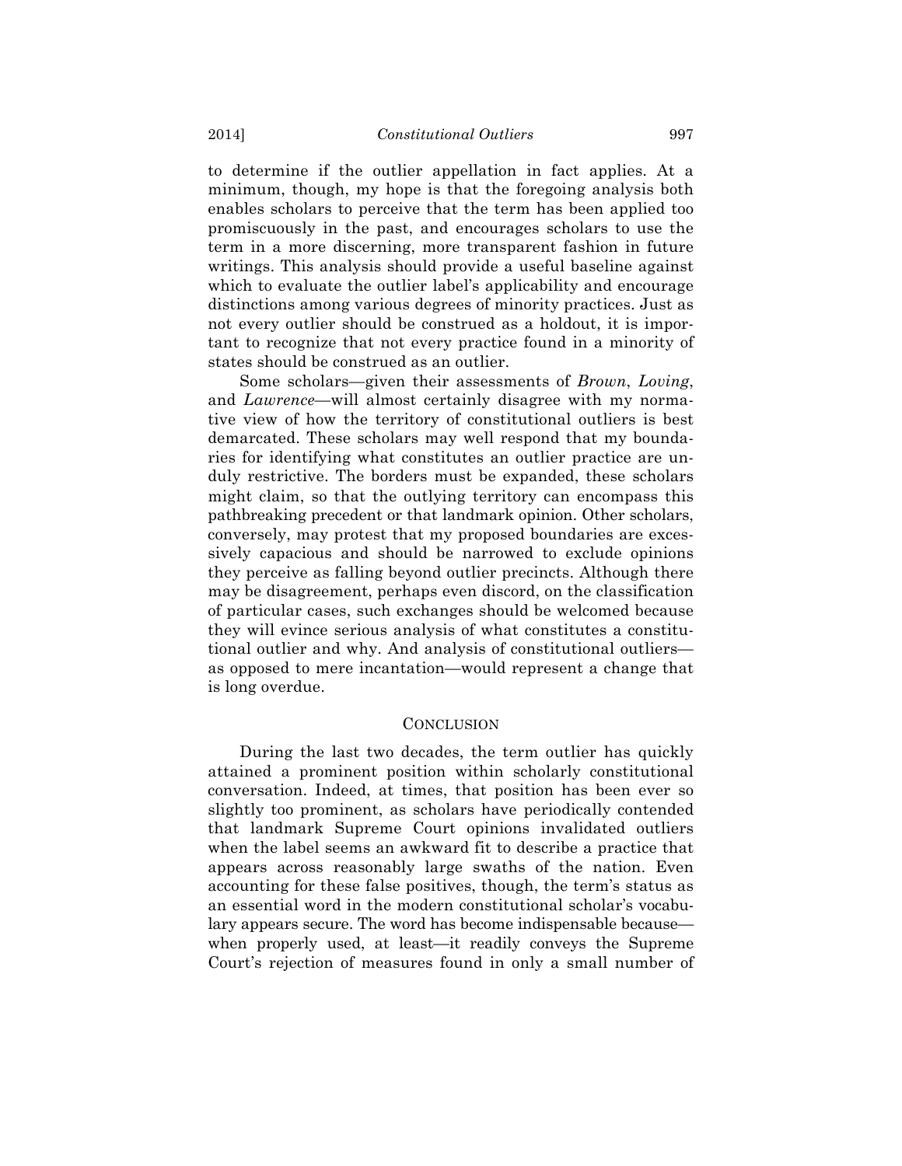to determine if the outlier appellation in fact applies. At a minimum, though, my hope is that the foregoing analysis both enables scholars to perceive that the term has been applied too promiscuously in the past, and encourages scholars to use the term in a more discerning, more transparent fashion in future writings. This analysis should provide a useful baseline against which to evaluate the outlier label's applicability and encourage distinctions among various degrees of minority practices. Just as not every outlier should be construed as a holdout, it is important to recognize that not every practice found in a minority of states should be construed as an outlier.

Some scholars—given their assessments of *Brown*, *Loving*, and *Lawrence*—will almost certainly disagree with my normative view of how the territory of constitutional outliers is best demarcated. These scholars may well respond that my boundaries for identifying what constitutes an outlier practice are unduly restrictive. The borders must be expanded, these scholars might claim, so that the outlying territory can encompass this pathbreaking precedent or that landmark opinion. Other scholars, conversely, may protest that my proposed boundaries are excessively capacious and should be narrowed to exclude opinions they perceive as falling beyond outlier precincts. Although there may be disagreement, perhaps even discord, on the classification of particular cases, such exchanges should be welcomed because they will evince serious analysis of what constitutes a constitutional outlier and why. And analysis of constitutional outliers as opposed to mere incantation—would represent a change that is long overdue.

# **CONCLUSION**

During the last two decades, the term outlier has quickly attained a prominent position within scholarly constitutional conversation. Indeed, at times, that position has been ever so slightly too prominent, as scholars have periodically contended that landmark Supreme Court opinions invalidated outliers when the label seems an awkward fit to describe a practice that appears across reasonably large swaths of the nation. Even accounting for these false positives, though, the term's status as an essential word in the modern constitutional scholar's vocabulary appears secure. The word has become indispensable because when properly used, at least—it readily conveys the Supreme Court's rejection of measures found in only a small number of